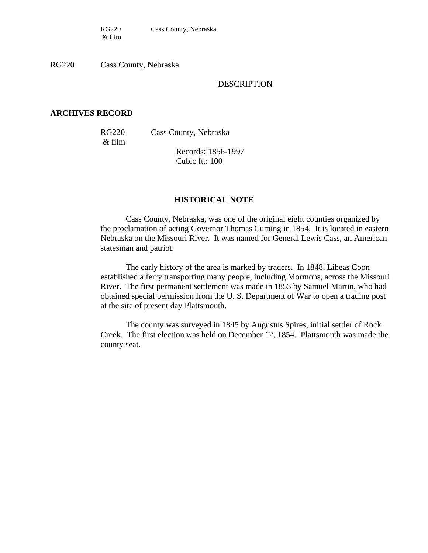RG220 Cass County, Nebraska

#### DESCRIPTION

#### **ARCHIVES RECORD**

& film

RG220 Cass County, Nebraska

Records: 1856-1997 Cubic ft.: 100

#### **HISTORICAL NOTE**

Cass County, Nebraska, was one of the original eight counties organized by the proclamation of acting Governor Thomas Cuming in 1854. It is located in eastern Nebraska on the Missouri River. It was named for General Lewis Cass, an American statesman and patriot.

The early history of the area is marked by traders. In 1848, Libeas Coon established a ferry transporting many people, including Mormons, across the Missouri River. The first permanent settlement was made in 1853 by Samuel Martin, who had obtained special permission from the U. S. Department of War to open a trading post at the site of present day Plattsmouth.

The county was surveyed in 1845 by Augustus Spires, initial settler of Rock Creek. The first election was held on December 12, 1854. Plattsmouth was made the county seat.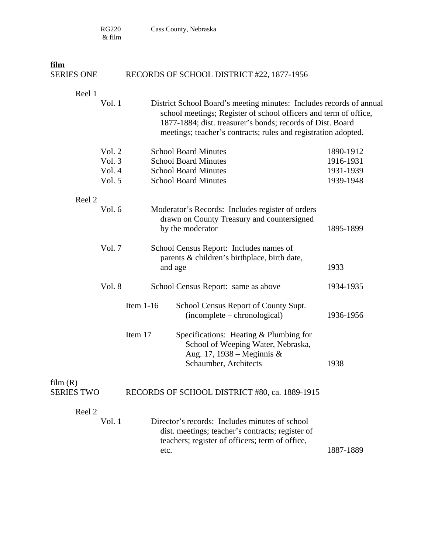RG220 Cass County, Nebraska

 $\&$  film

| film                                 |             |                                                                                                                                                                                                                                                                         |                                                  |
|--------------------------------------|-------------|-------------------------------------------------------------------------------------------------------------------------------------------------------------------------------------------------------------------------------------------------------------------------|--------------------------------------------------|
| <b>SERIES ONE</b>                    |             | RECORDS OF SCHOOL DISTRICT #22, 1877-1956                                                                                                                                                                                                                               |                                                  |
| Reel 1<br>Vol. 1                     |             | District School Board's meeting minutes: Includes records of annual<br>school meetings; Register of school officers and term of office,<br>1877-1884; dist. treasurer's bonds; records of Dist. Board<br>meetings; teacher's contracts; rules and registration adopted. |                                                  |
| Vol. 2<br>Vol. 3<br>Vol. 4<br>Vol. 5 |             | <b>School Board Minutes</b><br><b>School Board Minutes</b><br><b>School Board Minutes</b><br><b>School Board Minutes</b>                                                                                                                                                | 1890-1912<br>1916-1931<br>1931-1939<br>1939-1948 |
| Reel 2                               |             |                                                                                                                                                                                                                                                                         |                                                  |
| Vol. 6                               |             | Moderator's Records: Includes register of orders<br>drawn on County Treasury and countersigned<br>by the moderator                                                                                                                                                      | 1895-1899                                        |
| Vol. 7                               |             | School Census Report: Includes names of<br>parents & children's birthplace, birth date,<br>and age                                                                                                                                                                      | 1933                                             |
| Vol. 8                               |             | School Census Report: same as above                                                                                                                                                                                                                                     | 1934-1935                                        |
|                                      | Item $1-16$ | School Census Report of County Supt.<br>(incomplete – chronological)                                                                                                                                                                                                    | 1936-1956                                        |
|                                      | Item 17     | Specifications: Heating & Plumbing for<br>School of Weeping Water, Nebraska,<br>Aug. 17, 1938 – Meginnis &<br>Schaumber, Architects                                                                                                                                     | 1938                                             |
| film(R)<br><b>SERIES TWO</b>         |             | RECORDS OF SCHOOL DISTRICT #80, ca. 1889-1915                                                                                                                                                                                                                           |                                                  |
| Reel 2<br>Vol. 1                     | etc.        | Director's records: Includes minutes of school<br>dist. meetings; teacher's contracts; register of<br>teachers; register of officers; term of office,                                                                                                                   | 1887-1889                                        |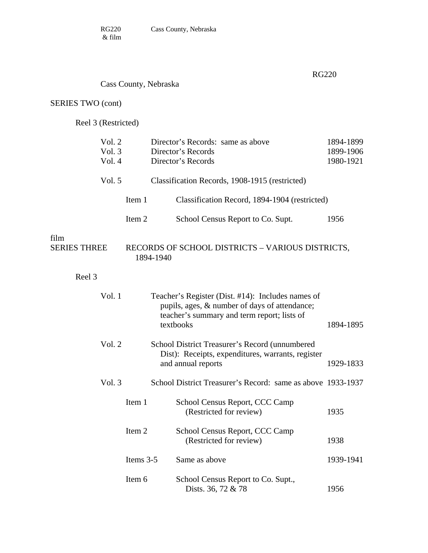#### RG220

## Cass County, Nebraska

## SERIES TWO (cont)

Reel 3 (Restricted)

| Vol. 2<br>Vol. 3<br>Vol. 4  |           | Director's Records: same as above<br>Director's Records<br>Director's Records                                                                                  | 1894-1899<br>1899-1906<br>1980-1921 |
|-----------------------------|-----------|----------------------------------------------------------------------------------------------------------------------------------------------------------------|-------------------------------------|
| Vol. 5                      |           | Classification Records, 1908-1915 (restricted)                                                                                                                 |                                     |
|                             | Item 1    | Classification Record, 1894-1904 (restricted)                                                                                                                  |                                     |
|                             | Item 2    | School Census Report to Co. Supt.                                                                                                                              | 1956                                |
| film<br><b>SERIES THREE</b> |           | RECORDS OF SCHOOL DISTRICTS - VARIOUS DISTRICTS,<br>1894-1940                                                                                                  |                                     |
| Reel 3                      |           |                                                                                                                                                                |                                     |
| Vol. 1                      |           | Teacher's Register (Dist. #14): Includes names of<br>pupils, ages, & number of days of attendance;<br>teacher's summary and term report; lists of<br>textbooks | 1894-1895                           |
| Vol. 2                      |           | School District Treasurer's Record (unnumbered<br>Dist): Receipts, expenditures, warrants, register<br>and annual reports                                      | 1929-1833                           |
| Vol. 3                      |           | School District Treasurer's Record: same as above 1933-1937                                                                                                    |                                     |
|                             | Item 1    | School Census Report, CCC Camp<br>(Restricted for review)                                                                                                      | 1935                                |
|                             | Item 2    | School Census Report, CCC Camp<br>(Restricted for review)                                                                                                      | 1938                                |
|                             | Items 3-5 | Same as above                                                                                                                                                  | 1939-1941                           |
|                             | Item 6    | School Census Report to Co. Supt.,<br>Dists. 36, 72 & 78                                                                                                       | 1956                                |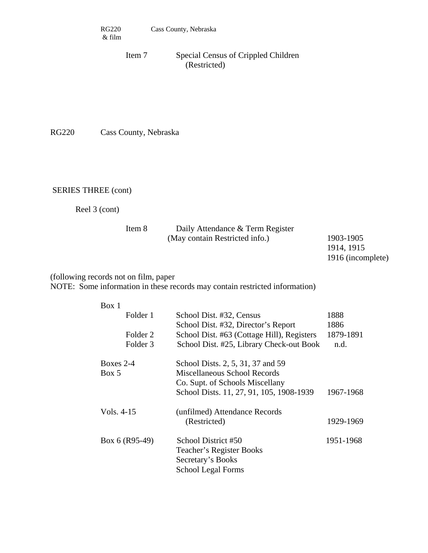Item 7 Special Census of Crippled Children (Restricted)

RG220 Cass County, Nebraska

SERIES THREE (cont)

Reel 3 (cont)

| Item 8 | Daily Attendance & Term Register |            |
|--------|----------------------------------|------------|
|        | (May contain Restricted info.)   | 1903-1905  |
|        |                                  | 1914, 1915 |

```
1916 (incomplete)
```
### (following records not on film, paper NOTE: Some information in these records may contain restricted information)

| Box 1               |                                            |           |
|---------------------|--------------------------------------------|-----------|
| Folder 1            | School Dist. #32, Census                   | 1888      |
|                     | School Dist. #32, Director's Report        | 1886      |
| Folder 2            | School Dist. #63 (Cottage Hill), Registers | 1879-1891 |
| Folder <sub>3</sub> | School Dist. #25, Library Check-out Book   | n.d.      |
| Boxes $2-4$         | School Dists. 2, 5, 31, 37 and 59          |           |
| Box 5               | Miscellaneous School Records               |           |
|                     | Co. Supt. of Schools Miscellany            |           |
|                     | School Dists. 11, 27, 91, 105, 1908-1939   | 1967-1968 |
| Vols. 4-15          | (unfilmed) Attendance Records              |           |
|                     | (Restricted)                               | 1929-1969 |
| Box 6 (R95-49)      | School District #50                        | 1951-1968 |
|                     | Teacher's Register Books                   |           |
|                     | Secretary's Books                          |           |
|                     | <b>School Legal Forms</b>                  |           |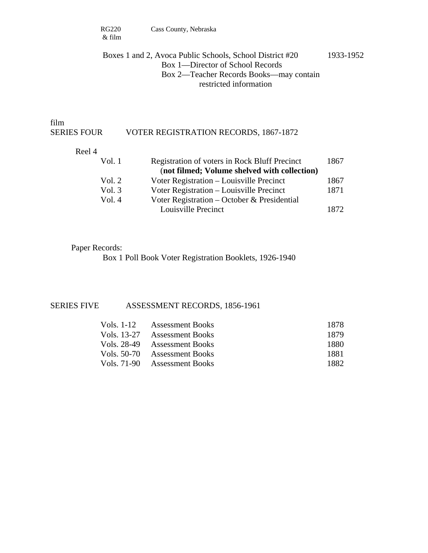### Boxes 1 and 2, Avoca Public Schools, School District #20 1933-1952 Box 1—Director of School Records Box 2—Teacher Records Books—may contain restricted information

film

#### SERIES FOUR VOTER REGISTRATION RECORDS, 1867-1872

#### Reel 4

| Vol. 1 | Registration of voters in Rock Bluff Precinct | 1867 |
|--------|-----------------------------------------------|------|
|        | (not filmed; Volume shelved with collection)  |      |
| Vol. 2 | Voter Registration – Louisville Precinct      | 1867 |
| Vol. 3 | Voter Registration - Louisville Precinct      | 1871 |
| Vol. 4 | Voter Registration – October & Presidential   |      |
|        | Louisville Precinct                           | 1872 |

#### Paper Records:

Box 1 Poll Book Voter Registration Booklets, 1926-1940

#### SERIES FIVE ASSESSMENT RECORDS, 1856-1961

| Vols. 1-12 Assessment Books  | 1878 |
|------------------------------|------|
| Vols. 13-27 Assessment Books | 1879 |
| Vols. 28-49 Assessment Books | 1880 |
| Vols. 50-70 Assessment Books | 1881 |
| Vols. 71-90 Assessment Books | 1882 |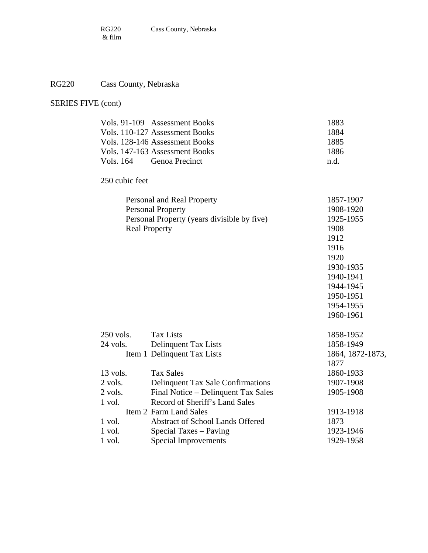## RG220 Cass County, Nebraska

## SERIES FIVE (cont)

|                | Vols. 91-109 Assessment Books               | 1883             |
|----------------|---------------------------------------------|------------------|
|                | Vols. 110-127 Assessment Books              | 1884             |
|                | Vols. 128-146 Assessment Books              | 1885             |
|                | Vols. 147-163 Assessment Books              | 1886             |
| Vols. 164      | Genoa Precinct                              | n.d.             |
| 250 cubic feet |                                             |                  |
|                | Personal and Real Property                  | 1857-1907        |
|                | <b>Personal Property</b>                    | 1908-1920        |
|                | Personal Property (years divisible by five) | 1925-1955        |
|                | <b>Real Property</b>                        | 1908             |
|                |                                             | 1912             |
|                |                                             | 1916             |
|                |                                             | 1920             |
|                |                                             | 1930-1935        |
|                |                                             | 1940-1941        |
|                |                                             | 1944-1945        |
|                |                                             | 1950-1951        |
|                |                                             | 1954-1955        |
|                |                                             | 1960-1961        |
| $250$ vols.    | <b>Tax Lists</b>                            | 1858-1952        |
| 24 vols.       | Delinquent Tax Lists                        | 1858-1949        |
|                | Item 1 Delinquent Tax Lists                 | 1864, 1872-1873, |
|                |                                             | 1877             |
| 13 vols.       | <b>Tax Sales</b>                            | 1860-1933        |
| 2 vols.        | Delinquent Tax Sale Confirmations           | 1907-1908        |
| 2 vols.        | Final Notice - Delinquent Tax Sales         | 1905-1908        |
| 1 vol.         | Record of Sheriff's Land Sales              |                  |
|                | Item 2 Farm Land Sales                      | 1913-1918        |
| 1 vol.         | Abstract of School Lands Offered            | 1873             |
| 1 vol.         | Special Taxes – Paving                      | 1923-1946        |
| 1 vol.         | <b>Special Improvements</b>                 | 1929-1958        |
|                |                                             |                  |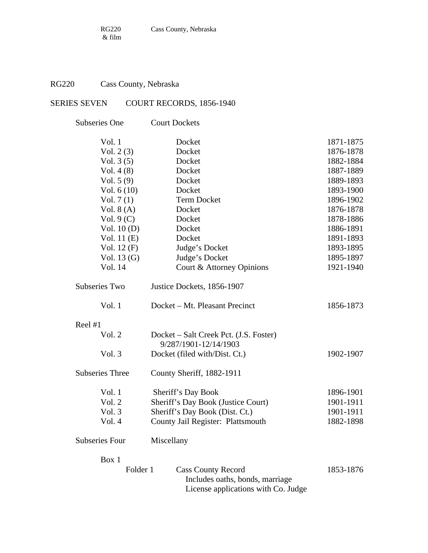## RG220 Cass County, Nebraska

## SERIES SEVEN COURT RECORDS, 1856-1940

| <b>Subseries One</b>   | <b>Court Dockets</b>                                                                                |           |
|------------------------|-----------------------------------------------------------------------------------------------------|-----------|
| Vol. 1                 | Docket                                                                                              | 1871-1875 |
| Vol. $2(3)$            | Docket                                                                                              | 1876-1878 |
| Vol. $3(5)$            | Docket                                                                                              | 1882-1884 |
| Vol. $4(8)$            | Docket                                                                                              | 1887-1889 |
| Vol. $5(9)$            | Docket                                                                                              | 1889-1893 |
| Vol. $6(10)$           | Docket                                                                                              | 1893-1900 |
| Vol. $7(1)$            | <b>Term Docket</b>                                                                                  | 1896-1902 |
| Vol. $8(A)$            | Docket                                                                                              | 1876-1878 |
| Vol. $9(C)$            | Docket                                                                                              | 1878-1886 |
| Vol. $10(D)$           | Docket                                                                                              | 1886-1891 |
| Vol. $11(E)$           | Docket                                                                                              | 1891-1893 |
| Vol. $12(F)$           | Judge's Docket                                                                                      | 1893-1895 |
| Vol. $13(G)$           | Judge's Docket                                                                                      | 1895-1897 |
| Vol. 14                | Court & Attorney Opinions                                                                           | 1921-1940 |
| <b>Subseries Two</b>   | Justice Dockets, 1856-1907                                                                          |           |
| Vol. 1                 | Docket – Mt. Pleasant Precinct                                                                      | 1856-1873 |
| Reel #1                |                                                                                                     |           |
| Vol. 2                 | Docket – Salt Creek Pct. (J.S. Foster)<br>9/287/1901-12/14/1903                                     |           |
| Vol. 3                 | Docket (filed with/Dist. Ct.)                                                                       | 1902-1907 |
| <b>Subseries Three</b> | County Sheriff, 1882-1911                                                                           |           |
| Vol. 1                 | Sheriff's Day Book                                                                                  | 1896-1901 |
| Vol. 2                 | Sheriff's Day Book (Justice Court)                                                                  | 1901-1911 |
| Vol. 3                 | Sheriff's Day Book (Dist. Ct.)                                                                      | 1901-1911 |
| Vol. 4                 | County Jail Register: Plattsmouth                                                                   | 1882-1898 |
| <b>Subseries Four</b>  | Miscellany                                                                                          |           |
| Box 1                  |                                                                                                     |           |
| Folder 1               | <b>Cass County Record</b><br>Includes oaths, bonds, marriage<br>License applications with Co. Judge | 1853-1876 |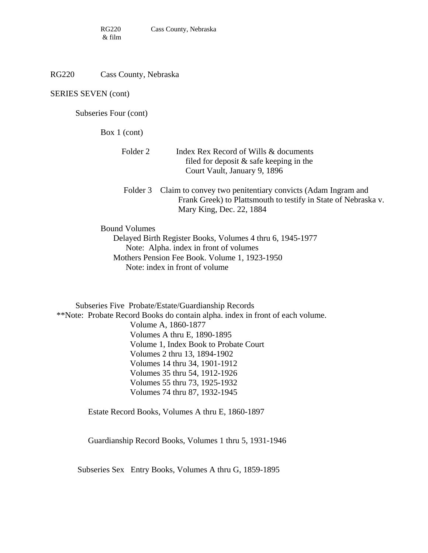RG220 Cass County, Nebraska

SERIES SEVEN (cont)

Subseries Four (cont)

Box 1 (cont)

| Folder 2 | Index Rex Record of Wills & documents      |
|----------|--------------------------------------------|
|          | filed for deposit $\&$ safe keeping in the |
|          | Court Vault, January 9, 1896               |

Folder 3 Claim to convey two penitentiary convicts (Adam Ingram and Frank Greek) to Plattsmouth to testify in State of Nebraska v. Mary King, Dec. 22, 1884

Bound Volumes

 Delayed Birth Register Books, Volumes 4 thru 6, 1945-1977 Note: Alpha. index in front of volumes Mothers Pension Fee Book. Volume 1, 1923-1950 Note: index in front of volume

Subseries Five Probate/Estate/Guardianship Records \*\*Note: Probate Record Books do contain alpha. index in front of each volume. Volume A, 1860-1877 Volumes A thru E, 1890-1895 Volume 1, Index Book to Probate Court Volumes 2 thru 13, 1894-1902 Volumes 14 thru 34, 1901-1912 Volumes 35 thru 54, 1912-1926 Volumes 55 thru 73, 1925-1932 Volumes 74 thru 87, 1932-1945

Estate Record Books, Volumes A thru E, 1860-1897

Guardianship Record Books, Volumes 1 thru 5, 1931-1946

Subseries Sex Entry Books, Volumes A thru G, 1859-1895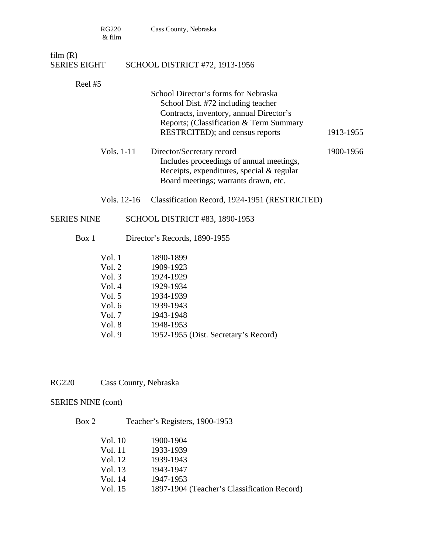|                                | <b>RG220</b><br>& film | Cass County, Nebraska                                                                                                                                                                               |           |
|--------------------------------|------------------------|-----------------------------------------------------------------------------------------------------------------------------------------------------------------------------------------------------|-----------|
| film(R)<br><b>SERIES EIGHT</b> |                        | SCHOOL DISTRICT #72, 1913-1956                                                                                                                                                                      |           |
|                                |                        |                                                                                                                                                                                                     |           |
| Reel #5                        |                        |                                                                                                                                                                                                     |           |
|                                |                        | School Director's forms for Nebraska<br>School Dist. #72 including teacher<br>Contracts, inventory, annual Director's<br>Reports; (Classification & Term Summary<br>RESTRCITED); and census reports | 1913-1955 |
|                                | Vols. 1-11             | Director/Secretary record<br>Includes proceedings of annual meetings,<br>Receipts, expenditures, special & regular<br>Board meetings; warrants drawn, etc.                                          | 1900-1956 |
|                                | Vols. 12-16            | Classification Record, 1924-1951 (RESTRICTED)                                                                                                                                                       |           |
| <b>SERIES NINE</b>             |                        | SCHOOL DISTRICT #83, 1890-1953                                                                                                                                                                      |           |
| Box 1                          |                        | Director's Records, 1890-1955                                                                                                                                                                       |           |
|                                | Vol.1                  | 1890-1899                                                                                                                                                                                           |           |
|                                | Vol. 2                 | 1909-1923                                                                                                                                                                                           |           |
|                                | Vol. $3$               | 1924-1929                                                                                                                                                                                           |           |
|                                | Vol. 4                 | 1929-1934                                                                                                                                                                                           |           |
|                                | Vol. $5$               | 1934-1939                                                                                                                                                                                           |           |
|                                | Vol. $6$               | 1939-1943                                                                                                                                                                                           |           |
|                                | Vol. $7$               | 1943-1948                                                                                                                                                                                           |           |
|                                | Vol. 8                 | 1948-1953                                                                                                                                                                                           |           |
|                                | Vol. 9                 | 1952-1955 (Dist. Secretary's Record)                                                                                                                                                                |           |

RG220 Cass County, Nebraska

## SERIES NINE (cont)

Box 2 Teacher's Registers, 1900-1953

| Vol. 10 | 1900-1904                                   |
|---------|---------------------------------------------|
| Vol. 11 | 1933-1939                                   |
| Vol. 12 | 1939-1943                                   |
| Vol. 13 | 1943-1947                                   |
| Vol. 14 | 1947-1953                                   |
| Vol. 15 | 1897-1904 (Teacher's Classification Record) |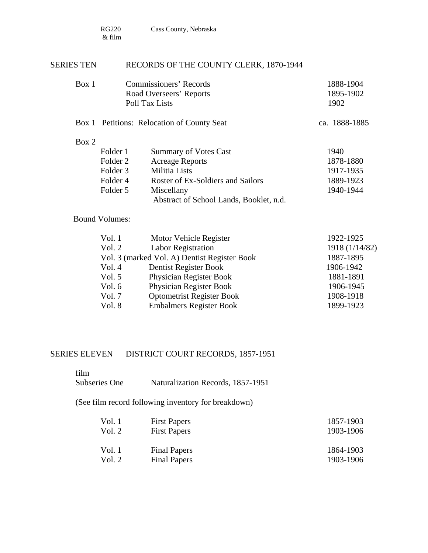#### SERIES TEN RECORDS OF THE COUNTY CLERK, 1870-1944

| Box 1 | Commissioners' Records  | 1888-1904 |
|-------|-------------------------|-----------|
|       | Road Overseers' Reports | 1895-1902 |
|       | Poll Tax Lists          | 1902      |
|       |                         |           |

### Box 1 Petitions: Relocation of County Seat ca. 1888-1885

#### Box 2

| Folder 1 | <b>Summary of Votes Cast</b>            | 1940      |
|----------|-----------------------------------------|-----------|
| Folder 2 | <b>Acreage Reports</b>                  | 1878-1880 |
| Folder 3 | Militia Lists                           | 1917-1935 |
| Folder 4 | Roster of Ex-Soldiers and Sailors       | 1889-1923 |
| Folder 5 | Miscellany                              | 1940-1944 |
|          | Abstract of School Lands, Booklet, n.d. |           |

### Bound Volumes:

| Vol. 1   | Motor Vehicle Register                       | 1922-1925      |
|----------|----------------------------------------------|----------------|
| Vol. 2   | <b>Labor Registration</b>                    | 1918 (1/14/82) |
|          | Vol. 3 (marked Vol. A) Dentist Register Book | 1887-1895      |
| Vol. 4   | Dentist Register Book                        | 1906-1942      |
| Vol. $5$ | Physician Register Book                      | 1881-1891      |
| Vol. $6$ | Physician Register Book                      | 1906-1945      |
| Vol. 7   | <b>Optometrist Register Book</b>             | 1908-1918      |
| Vol. 8   | <b>Embalmers Register Book</b>               | 1899-1923      |
|          |                                              |                |

#### SERIES ELEVEN DISTRICT COURT RECORDS, 1857-1951

film

Subseries One Naturalization Records, 1857-1951

(See film record following inventory for breakdown)

| Vol. 1 | <b>First Papers</b> | 1857-1903 |
|--------|---------------------|-----------|
| Vol. 2 | <b>First Papers</b> | 1903-1906 |
|        |                     |           |
| Vol. 1 | <b>Final Papers</b> | 1864-1903 |
| Vol. 2 | <b>Final Papers</b> | 1903-1906 |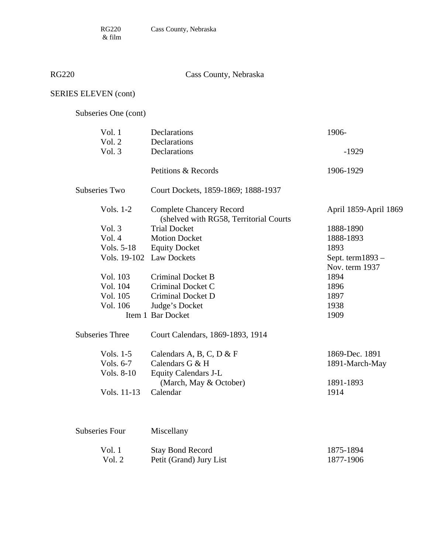$\&$  film

RG220 Cass County, Nebraska

## SERIES ELEVEN (cont)

Subseries One (cont)

| Vol. 1                 | Declarations                                                              | 1906-                                 |
|------------------------|---------------------------------------------------------------------------|---------------------------------------|
| Vol. 2                 | Declarations                                                              |                                       |
| Vol. 3                 | Declarations                                                              | $-1929$                               |
|                        | Petitions & Records                                                       | 1906-1929                             |
| <b>Subseries Two</b>   | Court Dockets, 1859-1869; 1888-1937                                       |                                       |
| Vols. 1-2              | <b>Complete Chancery Record</b><br>(shelved with RG58, Territorial Courts | April 1859-April 1869                 |
| Vol. 3                 | <b>Trial Docket</b>                                                       | 1888-1890                             |
| Vol. 4                 | <b>Motion Docket</b>                                                      | 1888-1893                             |
| Vols. 5-18             | <b>Equity Docket</b>                                                      | 1893                                  |
|                        | Vols. 19-102 Law Dockets                                                  | Sept. term $1893 -$<br>Nov. term 1937 |
| Vol. 103               | <b>Criminal Docket B</b>                                                  | 1894                                  |
| Vol. 104               | Criminal Docket C                                                         | 1896                                  |
| Vol. 105               | Criminal Docket D                                                         | 1897                                  |
| Vol. 106               | Judge's Docket                                                            | 1938                                  |
|                        | Item 1 Bar Docket                                                         | 1909                                  |
| <b>Subseries Three</b> | Court Calendars, 1869-1893, 1914                                          |                                       |
| Vols. 1-5              | Calendars A, B, C, D & F                                                  | 1869-Dec. 1891                        |
| Vols. 6-7              | Calendars G & H                                                           | 1891-March-May                        |
| Vols. 8-10             | <b>Equity Calendars J-L</b>                                               |                                       |
|                        | (March, May & October)                                                    | 1891-1893                             |
| Vols. 11-13            | Calendar                                                                  | 1914                                  |
|                        |                                                                           |                                       |
| <b>Subseries Four</b>  | Miscellany                                                                |                                       |

| Vol. 1 | <b>Stay Bond Record</b> | 1875-1894 |
|--------|-------------------------|-----------|
| Vol. 2 | Petit (Grand) Jury List | 1877-1906 |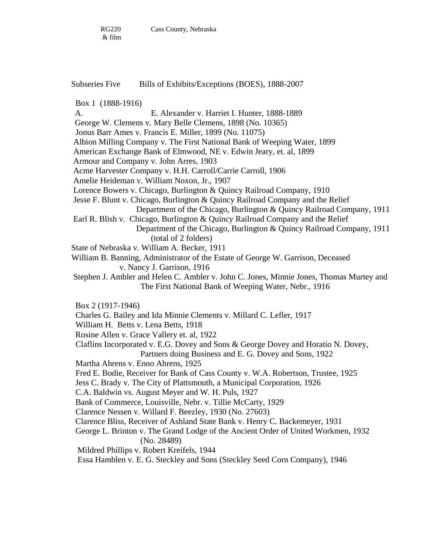Subseries Five Bills of Exhibits/Exceptions (BOES), 1888-2007

Box 1 (1888-1916)

A. E. Alexander v. Harriet I. Hunter, 1888-1889

George W. Clemens v. Mary Belle Clemens, 1898 (No. 10365)

Jonus Barr Ames v. Francis E. Miller, 1899 (No. 11075)

Albion Milling Company v. The First National Bank of Weeping Water, 1899

American Exchange Bank of Elmwood, NE v. Edwin Jeary, et. al, 1899

Armour and Company v. John Arres, 1903

Acme Harvester Company v. H.H. Carroll/Carrie Carroll, 1906

Amelie Heideman v. William Noxon, Jr., 1907

Lorence Bowers v. Chicago, Burlington & Quincy Railroad Company, 1910

 Jesse F. Blunt v. Chicago, Burlington & Quincy Railroad Company and the Relief Department of the Chicago, Burlington & Quincy Railroad Company, 1911

 Earl R. Blish v. Chicago, Burlington & Quincy Railroad Company and the Relief Department of the Chicago, Burlington & Quincy Railroad Company, 1911

(total of 2 folders)

State of Nebraska v. William A. Becker, 1911

 William B. Banning, Administrator of the Estate of George W. Garrison, Deceased v. Nancy J. Garrison, 1916

 Stephen J. Ambler and Helen C. Ambler v. John C. Jones, Minnie Jones, Thomas Murtey and The First National Bank of Weeping Water, Nebr., 1916

Box 2 (1917-1946)

Charles G. Bailey and Ida Minnie Clements v. Millard C. Lefler, 1917

William H. Betts v. Lena Betts, 1918

Rosine Allen v. Grace Vallery et. al, 1922

 Claflins Incorporated v. E.G. Dovey and Sons & George Dovey and Horatio N. Dovey, Partners doing Business and E. G. Dovey and Sons, 1922

Martha Ahrens v. Enno Ahrens, 1925

Fred E. Bodie, Receiver for Bank of Cass County v. W.A. Robertson, Trustee, 1925

Jess C. Brady v. The City of Plattsmouth, a Municipal Corporation, 1926

C.A. Baldwin vs. August Meyer and W. H. Puls, 1927

Bank of Commerce, Louisville, Nebr. v. Tillie McCarty, 1929

Clarence Nessen v. Willard F. Beezley, 1930 (No. 27603)

Clarence Bliss, Receiver of Ashland State Bank v. Henry C. Backemeyer, 1931

 George L. Brinton v. The Grand Lodge of the Ancient Order of United Workmen, 1932 (No. 28489)

Mildred Phillips v. Robert Kreifels, 1944

Essa Hamblen v. E. G. Steckley and Sons (Steckley Seed Corn Company), 1946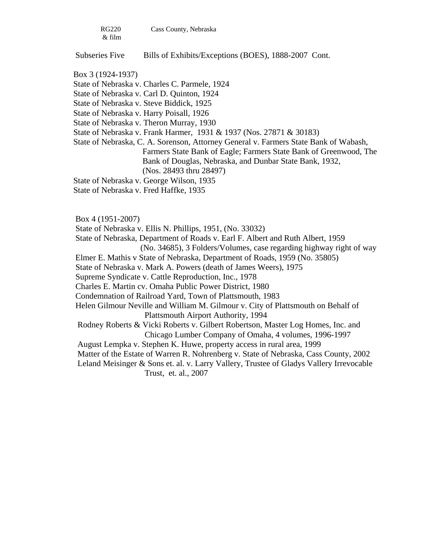| RG220  | Cass County, Nebraska |
|--------|-----------------------|
| & film |                       |

Subseries Five Bills of Exhibits/Exceptions (BOES), 1888-2007 Cont.

State of Nebraska v. Charles C. Parmele, 1924

State of Nebraska v. Carl D. Quinton, 1924

State of Nebraska v. Steve Biddick, 1925

State of Nebraska v. Harry Poisall, 1926

State of Nebraska v. Theron Murray, 1930

State of Nebraska v. Frank Harmer, 1931 & 1937 (Nos. 27871 & 30183)

 State of Nebraska, C. A. Sorenson, Attorney General v. Farmers State Bank of Wabash, Farmers State Bank of Eagle; Farmers State Bank of Greenwood, The Bank of Douglas, Nebraska, and Dunbar State Bank, 1932, (Nos. 28493 thru 28497)

State of Nebraska v. George Wilson, 1935

State of Nebraska v. Fred Haffke, 1935

Box 4 (1951-2007)

State of Nebraska v. Ellis N. Phillips, 1951, (No. 33032)

State of Nebraska, Department of Roads v. Earl F. Albert and Ruth Albert, 1959

(No. 34685), 3 Folders/Volumes, case regarding highway right of way

Elmer E. Mathis v State of Nebraska, Department of Roads, 1959 (No. 35805)

State of Nebraska v. Mark A. Powers (death of James Weers), 1975

Supreme Syndicate v. Cattle Reproduction, Inc., 1978

Charles E. Martin cv. Omaha Public Power District, 1980

Condemnation of Railroad Yard, Town of Plattsmouth, 1983

 Helen Gilmour Neville and William M. Gilmour v. City of Plattsmouth on Behalf of Plattsmouth Airport Authority, 1994

 Rodney Roberts & Vicki Roberts v. Gilbert Robertson, Master Log Homes, Inc. and Chicago Lumber Company of Omaha, 4 volumes, 1996-1997

August Lempka v. Stephen K. Huwe, property access in rural area, 1999

Matter of the Estate of Warren R. Nohrenberg v. State of Nebraska, Cass County, 2002

 Leland Meisinger & Sons et. al. v. Larry Vallery, Trustee of Gladys Vallery Irrevocable Trust, et. al., 2007

Box 3 (1924-1937)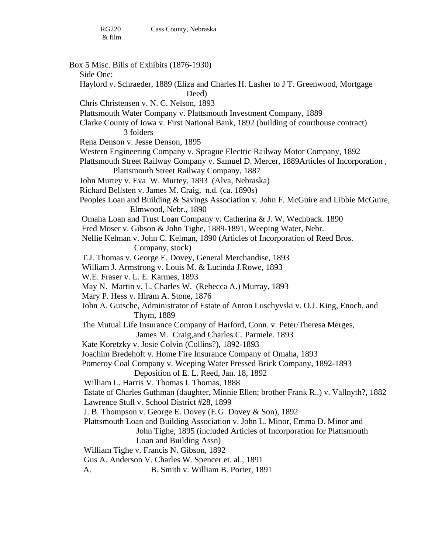Box 5 Misc. Bills of Exhibits (1876-1930) Side One: Haylord v. Schraeder, 1889 (Eliza and Charles H. Lasher to J T. Greenwood, Mortgage Deed) Chris Christensen v. N. C. Nelson, 1893 Plattsmouth Water Company v. Plattsmouth Investment Company, 1889 Clarke County of Iowa v. First National Bank, 1892 (building of courthouse contract) 3 folders Rena Denson v. Jesse Denson, 1895 Western Engineering Company v. Sprague Electric Railway Motor Company, 1892 Plattsmouth Street Railway Company v. Samuel D. Mercer, 1889Articles of Incorporation , Plattsmouth Street Railway Company, 1887 John Murtey v. Eva W. Murtey, 1893 (Alva, Nebraska) Richard Bellsten v. James M. Craig, n.d. (ca. 1890s) Peoples Loan and Building & Savings Association v. John F. McGuire and Libbie McGuire, Elmwood, Nebr., 1890 Omaha Loan and Trust Loan Company v. Catherina & J. W. Wechback. 1890 Fred Moser v. Gibson & John Tighe, 1889-1891, Weeping Water, Nebr. Nellie Kelman v. John C. Kelman, 1890 (Articles of Incorporation of Reed Bros. Company, stock) T.J. Thomas v. George E. Dovey, General Merchandise, 1893 William J. Armstrong v. Louis M. & Lucinda J.Rowe, 1893 W.E. Fraser v. L. E. Karmes, 1893 May N. Martin v. L. Charles W. (Rebecca A.) Murray, 1893 Mary P. Hess v. Hiram A. Stone, 1876 John A. Gutsche, Administrator of Estate of Anton Luschyvski v. O.J. King, Enoch, and Thym, 1889 The Mutual Life Insurance Company of Harford, Conn. v. Peter/Theresa Merges, James M. Craig,and Charles.C. Parmele. 1893 Kate Koretzky v. Josie Colvin (Collins?), 1892-1893 Joachim Bredehoft v. Home Fire Insurance Company of Omaha, 1893 Pomeroy Coal Company v. Weeping Water Pressed Brick Company, 1892-1893 Deposition of E. L. Reed, Jan. 18, 1892 William L. Harris V. Thomas I. Thomas, 1888 Estate of Charles Guthman (daughter, Minnie Ellen; brother Frank R..) v. Vallnyth?, 1882 Lawrence Stull v. School District #28, 1899 J. B. Thompson v. George E. Dovey (E.G. Dovey & Son), 1892 Plattsmouth Loan and Building Association v. John L. Minor, Emma D. Minor and John Tighe, 1895 (included Articles of Incorporation for Plattsmouth Loan and Building Assn) William Tighe v. Francis N. Gibson, 1892 Gus A. Anderson V. Charles W. Spencer et. al., 1891 A. B. Smith v. William B. Porter, 1891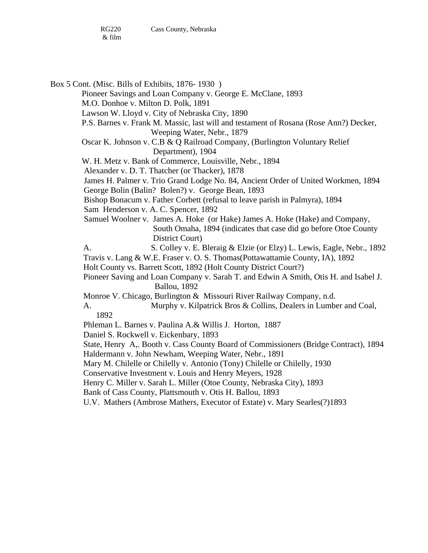Box 5 Cont. (Misc. Bills of Exhibits, 1876- 1930 ) Pioneer Savings and Loan Company v. George E. McClane, 1893 M.O. Donhoe v. Milton D. Polk, 1891 Lawson W. Lloyd v. City of Nebraska City, 1890 P.S. Barnes v. Frank M. Massic, last will and testament of Rosana (Rose Ann?) Decker, Weeping Water, Nebr., 1879 Oscar K. Johnson v. C.B & Q Railroad Company, (Burlington Voluntary Relief Department), 1904 W. H. Metz v. Bank of Commerce, Louisville, Nebr., 1894 Alexander v. D. T. Thatcher (or Thacker), 1878 James H. Palmer v. Trio Grand Lodge No. 84, Ancient Order of United Workmen, 1894 George Bolin (Balin? Bolen?) v. George Bean, 1893 Bishop Bonacum v. Father Corbett (refusal to leave parish in Palmyra), 1894 Sam Henderson v. A. C. Spencer, 1892 Samuel Woolner v. James A. Hoke (or Hake) James A. Hoke (Hake) and Company, South Omaha, 1894 (indicates that case did go before Otoe County District Court) A. S. Colley v. E. Bleraig & Elzie (or Elzy) L. Lewis, Eagle, Nebr., 1892 Travis v. Lang & W.E. Fraser v. O. S. Thomas(Pottawattamie County, IA), 1892 Holt County vs. Barrett Scott, 1892 (Holt County District Court?)

Pioneer Saving and Loan Company v. Sarah T. and Edwin A Smith, Otis H. and Isabel J. Ballou, 1892

- Monroe V. Chicago, Burlington & Missouri River Railway Company, n.d.
- A. Murphy v. Kilpatrick Bros & Collins, Dealers in Lumber and Coal, 1892
- Phleman L. Barnes v. Paulina A.& Willis J. Horton, 1887
- Daniel S. Rockwell v. Eickenbary, 1893

State, Henry A,. Booth v. Cass County Board of Commissioners (Bridge Contract), 1894

Haldermann v. John Newham, Weeping Water, Nebr., 1891

Mary M. Chilelle or Chilelly v. Antonio (Tony) Chilelle or Chilelly, 1930

Conservative Investment v. Louis and Henry Meyers, 1928

- Henry C. Miller v. Sarah L. Miller (Otoe County, Nebraska City), 1893
- Bank of Cass County, Plattsmouth v. Otis H. Ballou, 1893
- U.V. Mathers (Ambrose Mathers, Executor of Estate) v. Mary Searles(?)1893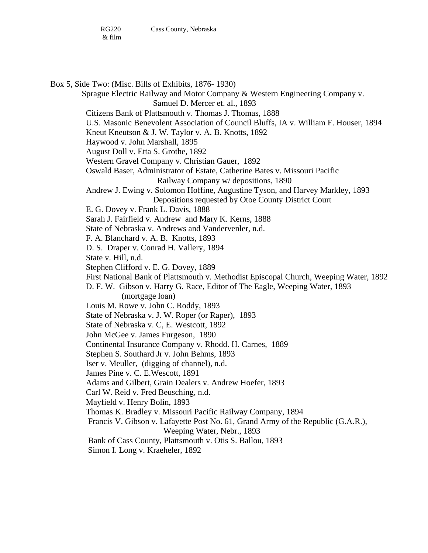Box 5, Side Two: (Misc. Bills of Exhibits, 1876- 1930) Sprague Electric Railway and Motor Company & Western Engineering Company v. Samuel D. Mercer et. al., 1893 Citizens Bank of Plattsmouth v. Thomas J. Thomas, 1888 U.S. Masonic Benevolent Association of Council Bluffs, IA v. William F. Houser, 1894 Kneut Kneutson & J. W. Taylor v. A. B. Knotts, 1892 Haywood v. John Marshall, 1895 August Doll v. Etta S. Grothe, 1892 Western Gravel Company v. Christian Gauer, 1892 Oswald Baser, Administrator of Estate, Catherine Bates v. Missouri Pacific Railway Company w/ depositions, 1890 Andrew J. Ewing v. Solomon Hoffine, Augustine Tyson, and Harvey Markley, 1893 Depositions requested by Otoe County District Court E. G. Dovey v. Frank L. Davis, 1888 Sarah J. Fairfield v. Andrew and Mary K. Kerns, 1888 State of Nebraska v. Andrews and Vandervenler, n.d. F. A. Blanchard v. A. B. Knotts, 1893 D. S. Draper v. Conrad H. Vallery, 1894 State v. Hill, n.d. Stephen Clifford v. E. G. Dovey, 1889 First National Bank of Plattsmouth v. Methodist Episcopal Church, Weeping Water, 1892 D. F. W. Gibson v. Harry G. Race, Editor of The Eagle, Weeping Water, 1893 (mortgage loan) Louis M. Rowe v. John C. Roddy, 1893 State of Nebraska v. J. W. Roper (or Raper), 1893 State of Nebraska v. C, E. Westcott, 1892 John McGee v. James Furgeson, 1890 Continental Insurance Company v. Rhodd. H. Carnes, 1889 Stephen S. Southard Jr v. John Behms, 1893 Iser v. Meuller, (digging of channel), n.d. James Pine v. C. E.Wescott, 1891 Adams and Gilbert, Grain Dealers v. Andrew Hoefer, 1893 Carl W. Reid v. Fred Beusching, n.d. Mayfield v. Henry Bolin, 1893 Thomas K. Bradley v. Missouri Pacific Railway Company, 1894 Francis V. Gibson v. Lafayette Post No. 61, Grand Army of the Republic (G.A.R.), Weeping Water, Nebr., 1893 Bank of Cass County, Plattsmouth v. Otis S. Ballou, 1893 Simon I. Long v. Kraeheler, 1892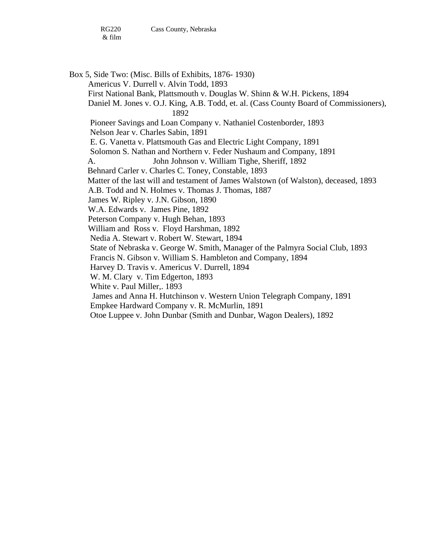Box 5, Side Two: (Misc. Bills of Exhibits, 1876- 1930) Americus V. Durrell v. Alvin Todd, 1893 First National Bank, Plattsmouth v. Douglas W. Shinn & W.H. Pickens, 1894 Daniel M. Jones v. O.J. King, A.B. Todd, et. al. (Cass County Board of Commissioners), 1892 Pioneer Savings and Loan Company v. Nathaniel Costenborder, 1893 Nelson Jear v. Charles Sabin, 1891 E. G. Vanetta v. Plattsmouth Gas and Electric Light Company, 1891 Solomon S. Nathan and Northern v. Feder Nushaum and Company, 1891 A. John Johnson v. William Tighe, Sheriff, 1892 Behnard Carler v. Charles C. Toney, Constable, 1893 Matter of the last will and testament of James Walstown (of Walston), deceased, 1893 A.B. Todd and N. Holmes v. Thomas J. Thomas, 1887 James W. Ripley v. J.N. Gibson, 1890 W.A. Edwards v. James Pine, 1892 Peterson Company v. Hugh Behan, 1893 William and Ross v. Floyd Harshman, 1892 Nedia A. Stewart v. Robert W. Stewart, 1894 State of Nebraska v. George W. Smith, Manager of the Palmyra Social Club, 1893 Francis N. Gibson v. William S. Hambleton and Company, 1894 Harvey D. Travis v. Americus V. Durrell, 1894 W. M. Clary v. Tim Edgerton, 1893 White v. Paul Miller,. 1893 James and Anna H. Hutchinson v. Western Union Telegraph Company, 1891 Empkee Hardward Company v. R. McMurlin, 1891 Otoe Luppee v. John Dunbar (Smith and Dunbar, Wagon Dealers), 1892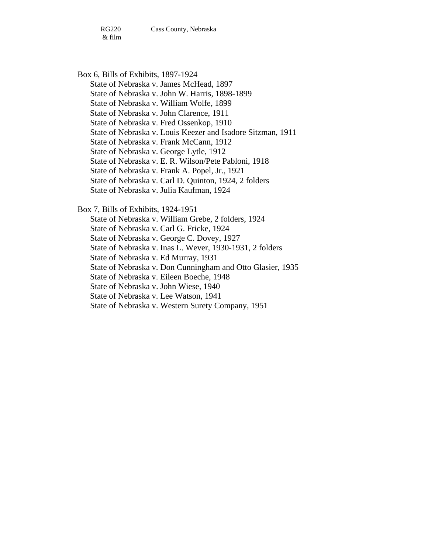RG220 Cass County, Nebraska

& film

Box 6, Bills of Exhibits, 1897-1924

State of Nebraska v. James McHead, 1897

State of Nebraska v. John W. Harris, 1898-1899

State of Nebraska v. William Wolfe, 1899

State of Nebraska v. John Clarence, 1911

State of Nebraska v. Fred Ossenkop, 1910

State of Nebraska v. Louis Keezer and Isadore Sitzman, 1911

State of Nebraska v. Frank McCann, 1912

State of Nebraska v. George Lytle, 1912

State of Nebraska v. E. R. Wilson/Pete Pabloni, 1918

State of Nebraska v. Frank A. Popel, Jr., 1921

State of Nebraska v. Carl D. Quinton, 1924, 2 folders

State of Nebraska v. Julia Kaufman, 1924

Box 7, Bills of Exhibits, 1924-1951

State of Nebraska v. William Grebe, 2 folders, 1924

State of Nebraska v. Carl G. Fricke, 1924

State of Nebraska v. George C. Dovey, 1927

State of Nebraska v. Inas L. Wever, 1930-1931, 2 folders

State of Nebraska v. Ed Murray, 1931

State of Nebraska v. Don Cunningham and Otto Glasier, 1935

State of Nebraska v. Eileen Boeche, 1948

State of Nebraska v. John Wiese, 1940

State of Nebraska v. Lee Watson, 1941

State of Nebraska v. Western Surety Company, 1951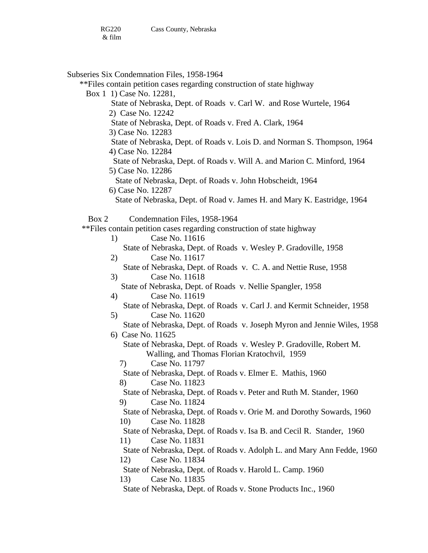Subseries Six Condemnation Files, 1958-1964 \*\*Files contain petition cases regarding construction of state highway Box 1 1) Case No. 12281, State of Nebraska, Dept. of Roads v. Carl W. and Rose Wurtele, 1964 2) Case No. 12242 State of Nebraska, Dept. of Roads v. Fred A. Clark, 1964 3) Case No. 12283 State of Nebraska, Dept. of Roads v. Lois D. and Norman S. Thompson, 1964 4) Case No. 12284 State of Nebraska, Dept. of Roads v. Will A. and Marion C. Minford, 1964 5) Case No. 12286 State of Nebraska, Dept. of Roads v. John Hobscheidt, 1964 6) Case No. 12287 State of Nebraska, Dept. of Road v. James H. and Mary K. Eastridge, 1964 Box 2 Condemnation Files, 1958-1964 \*\*Files contain petition cases regarding construction of state highway 1) Case No. 11616 State of Nebraska, Dept. of Roads v. Wesley P. Gradoville, 1958 2) Case No. 11617 State of Nebraska, Dept. of Roads v. C. A. and Nettie Ruse, 1958 3) Case No. 11618 State of Nebraska, Dept. of Roads v. Nellie Spangler, 1958 4) Case No. 11619 State of Nebraska, Dept. of Roads v. Carl J. and Kermit Schneider, 1958 5) Case No. 11620 State of Nebraska, Dept. of Roads v. Joseph Myron and Jennie Wiles, 1958 6) Case No. 11625 State of Nebraska, Dept. of Roads v. Wesley P. Gradoville, Robert M. Walling, and Thomas Florian Kratochvil, 1959 7) Case No. 11797 State of Nebraska, Dept. of Roads v. Elmer E. Mathis, 1960 8) Case No. 11823 State of Nebraska, Dept. of Roads v. Peter and Ruth M. Stander, 1960 9) Case No. 11824 State of Nebraska, Dept. of Roads v. Orie M. and Dorothy Sowards, 1960 10) Case No. 11828 State of Nebraska, Dept. of Roads v. Isa B. and Cecil R. Stander, 1960 11) Case No. 11831 State of Nebraska, Dept. of Roads v. Adolph L. and Mary Ann Fedde, 1960 12) Case No. 11834 State of Nebraska, Dept. of Roads v. Harold L. Camp. 1960 13) Case No. 11835 State of Nebraska, Dept. of Roads v. Stone Products Inc., 1960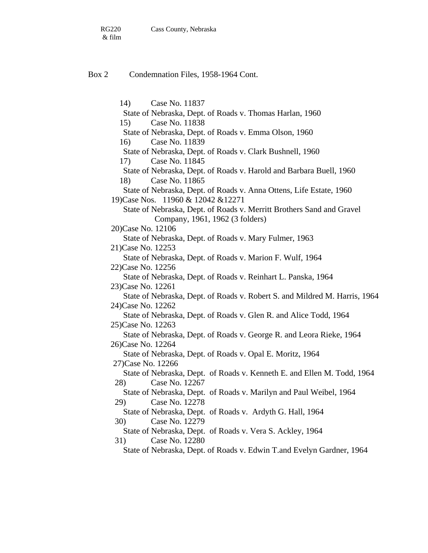& film

#### Box 2 Condemnation Files, 1958-1964 Cont.

14) Case No. 11837 State of Nebraska, Dept. of Roads v. Thomas Harlan, 1960 15) Case No. 11838 State of Nebraska, Dept. of Roads v. Emma Olson, 1960 16) Case No. 11839 State of Nebraska, Dept. of Roads v. Clark Bushnell, 1960 17) Case No. 11845 State of Nebraska, Dept. of Roads v. Harold and Barbara Buell, 1960 18) Case No. 11865 State of Nebraska, Dept. of Roads v. Anna Ottens, Life Estate, 1960 19)Case Nos. 11960 & 12042 &12271 State of Nebraska, Dept. of Roads v. Merritt Brothers Sand and Gravel Company, 1961, 1962 (3 folders) 20)Case No. 12106 State of Nebraska, Dept. of Roads v. Mary Fulmer, 1963 21)Case No. 12253 State of Nebraska, Dept. of Roads v. Marion F. Wulf, 1964 22)Case No. 12256 State of Nebraska, Dept. of Roads v. Reinhart L. Panska, 1964 23)Case No. 12261 State of Nebraska, Dept. of Roads v. Robert S. and Mildred M. Harris, 1964 24)Case No. 12262 State of Nebraska, Dept. of Roads v. Glen R. and Alice Todd, 1964 25)Case No. 12263 State of Nebraska, Dept. of Roads v. George R. and Leora Rieke, 1964 26)Case No. 12264 State of Nebraska, Dept. of Roads v. Opal E. Moritz, 1964 27)Case No. 12266 State of Nebraska, Dept. of Roads v. Kenneth E. and Ellen M. Todd, 1964 28) Case No. 12267 State of Nebraska, Dept. of Roads v. Marilyn and Paul Weibel, 1964 29) Case No. 12278 State of Nebraska, Dept. of Roads v. Ardyth G. Hall, 1964 30) Case No. 12279 State of Nebraska, Dept. of Roads v. Vera S. Ackley, 1964 31) Case No. 12280 State of Nebraska, Dept. of Roads v. Edwin T.and Evelyn Gardner, 1964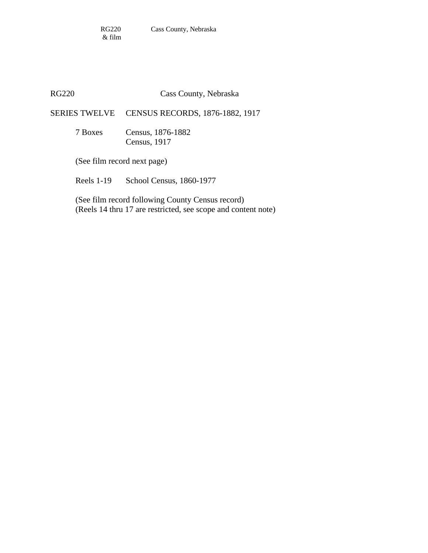### RG220 Cass County, Nebraska

SERIES TWELVE CENSUS RECORDS, 1876-1882, 1917

 7 Boxes Census, 1876-1882 Census, 1917

(See film record next page)

Reels 1-19 School Census, 1860-1977

 (See film record following County Census record) (Reels 14 thru 17 are restricted, see scope and content note)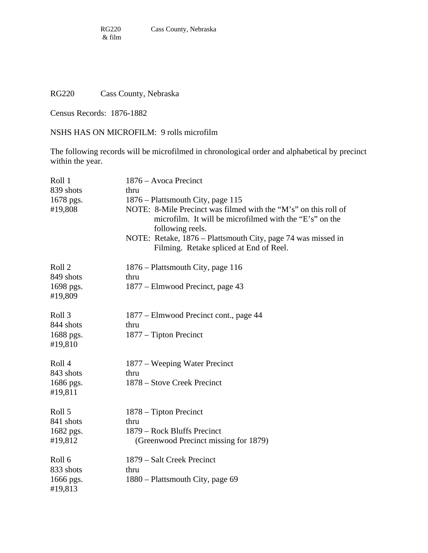## RG220 Cass County, Nebraska

Census Records: 1876-1882

NSHS HAS ON MICROFILM: 9 rolls microfilm

The following records will be microfilmed in chronological order and alphabetical by precinct within the year.

| Roll 1<br>839 shots<br>1678 pgs.<br>#19,808            | 1876 – Avoca Precinct<br>thru<br>1876 – Plattsmouth City, page 115<br>NOTE: 8-Mile Precinct was filmed with the "M's" on this roll of<br>microfilm. It will be microfilmed with the "E's" on the<br>following reels.<br>NOTE: Retake, 1876 - Plattsmouth City, page 74 was missed in<br>Filming. Retake spliced at End of Reel. |
|--------------------------------------------------------|---------------------------------------------------------------------------------------------------------------------------------------------------------------------------------------------------------------------------------------------------------------------------------------------------------------------------------|
| Roll <sub>2</sub><br>849 shots<br>1698 pgs.<br>#19,809 | 1876 – Plattsmouth City, page 116<br>thru<br>1877 – Elmwood Precinct, page 43                                                                                                                                                                                                                                                   |
| Roll 3<br>844 shots<br>1688 pgs.<br>#19,810            | 1877 – Elmwood Precinct cont., page 44<br>thru<br>1877 – Tipton Precinct                                                                                                                                                                                                                                                        |
| Roll 4<br>843 shots<br>1686 pgs.<br>#19,811            | 1877 – Weeping Water Precinct<br>thru<br>1878 – Stove Creek Precinct                                                                                                                                                                                                                                                            |
| Roll 5<br>841 shots<br>1682 pgs.<br>#19,812            | 1878 – Tipton Precinct<br>thru<br>1879 – Rock Bluffs Precinct<br>(Greenwood Precinct missing for 1879)                                                                                                                                                                                                                          |
| Roll 6<br>833 shots<br>1666 pgs.<br>#19,813            | 1879 – Salt Creek Precinct<br>thru<br>1880 – Plattsmouth City, page 69                                                                                                                                                                                                                                                          |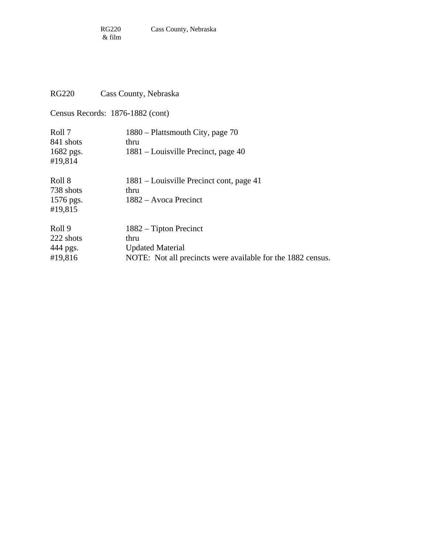## RG220 Cass County, Nebraska

Census Records: 1876-1882 (cont)

| Roll 7<br>841 shots<br>1682 pgs.<br>#19,814 | 1880 – Plattsmouth City, page 70<br>thru<br>1881 – Louisville Precinct, page 40                                            |
|---------------------------------------------|----------------------------------------------------------------------------------------------------------------------------|
| Roll 8<br>738 shots<br>1576 pgs.<br>#19,815 | 1881 – Louisville Precinct cont, page 41<br>thru<br>1882 – Avoca Precinct                                                  |
| Roll 9<br>222 shots<br>444 pgs.<br>#19,816  | $1882 -$ Tipton Precinct<br>thru<br><b>Updated Material</b><br>NOTE: Not all precincts were available for the 1882 census. |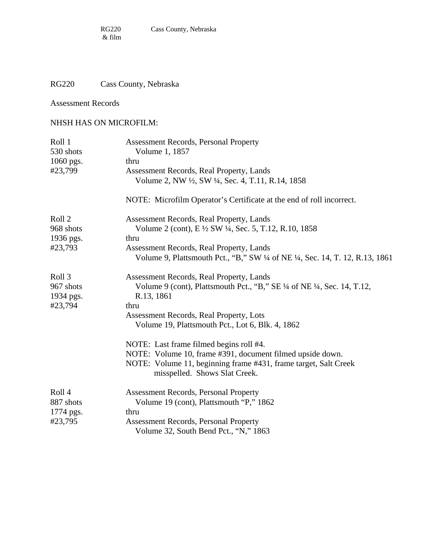## RG220 Cass County, Nebraska

### Assessment Records

### NHSH HAS ON MICROFILM:

| Roll 1<br>530 shots | <b>Assessment Records, Personal Property</b><br>Volume 1, 1857                                                         |
|---------------------|------------------------------------------------------------------------------------------------------------------------|
| 1060 pgs.           | thru                                                                                                                   |
| #23,799             | Assessment Records, Real Property, Lands                                                                               |
|                     | Volume 2, NW ½, SW ¼, Sec. 4, T.11, R.14, 1858<br>NOTE: Microfilm Operator's Certificate at the end of roll incorrect. |
|                     |                                                                                                                        |
| Roll 2              | Assessment Records, Real Property, Lands                                                                               |
| 968 shots           | Volume 2 (cont), E ½ SW ¼, Sec. 5, T.12, R.10, 1858                                                                    |
| 1936 pgs.           | thru                                                                                                                   |
| #23,793             | Assessment Records, Real Property, Lands                                                                               |
|                     | Volume 9, Plattsmouth Pct., "B," SW ¼ of NE ¼, Sec. 14, T. 12, R.13, 1861                                              |
| Roll 3              | Assessment Records, Real Property, Lands                                                                               |
| 967 shots           | Volume 9 (cont), Plattsmouth Pct., "B," SE 1/4 of NE 1/4, Sec. 14, T.12,                                               |
| 1934 pgs.           | R.13, 1861                                                                                                             |
| #23,794             | thru                                                                                                                   |
|                     | Assessment Records, Real Property, Lots                                                                                |
|                     | Volume 19, Plattsmouth Pct., Lot 6, Blk. 4, 1862                                                                       |
|                     | NOTE: Last frame filmed begins roll #4.                                                                                |
|                     | NOTE: Volume 10, frame #391, document filmed upside down.                                                              |
|                     | NOTE: Volume 11, beginning frame #431, frame target, Salt Creek<br>misspelled. Shows Slat Creek.                       |
| Roll 4              | <b>Assessment Records, Personal Property</b>                                                                           |
| 887 shots           | Volume 19 (cont), Plattsmouth "P," 1862                                                                                |
| 1774 pgs.           | thru                                                                                                                   |
| #23,795             | <b>Assessment Records, Personal Property</b>                                                                           |
|                     | Volume 32, South Bend Pct., "N," 1863                                                                                  |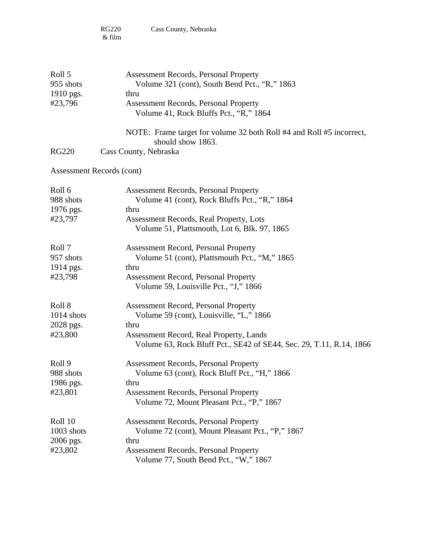| Roll 5<br>955 shots<br>1910 pgs.<br>#23,796 | <b>Assessment Records, Personal Property</b><br>Volume 321 (cont), South Bend Pct., "R," 1863<br>thru<br><b>Assessment Records, Personal Property</b> |
|---------------------------------------------|-------------------------------------------------------------------------------------------------------------------------------------------------------|
|                                             | Volume 41, Rock Bluffs Pct., "R," 1864                                                                                                                |
|                                             | NOTE: Frame target for volume 32 both Roll #4 and Roll #5 incorrect,<br>should show 1863.                                                             |
| <b>RG220</b>                                | Cass County, Nebraska                                                                                                                                 |
| Assessment Records (cont)                   |                                                                                                                                                       |
| Roll 6                                      | <b>Assessment Records, Personal Property</b>                                                                                                          |
| 988 shots                                   | Volume 41 (cont), Rock Bluffs Pct., "R," 1864                                                                                                         |
| 1976 pgs.<br>#23,797                        | thru<br>Assessment Records, Real Property, Lots                                                                                                       |
|                                             | Volume 51, Plattsmouth, Lot 6, Blk. 97, 1865                                                                                                          |
| Roll 7                                      | <b>Assessment Record, Personal Property</b>                                                                                                           |
| 957 shots                                   | Volume 51 (cont), Plattsmouth Pct., "M," 1865                                                                                                         |
| 1914 pgs.                                   | thru                                                                                                                                                  |
| #23,798                                     | <b>Assessment Record, Personal Property</b><br>Volume 59, Louisville Pct., "J," 1866                                                                  |
| Roll 8                                      | <b>Assessment Record, Personal Property</b>                                                                                                           |
| $1014$ shots                                | Volume 59 (cont), Louisville, "L," 1866                                                                                                               |
| 2028 pgs.                                   | thru                                                                                                                                                  |
| #23,800                                     | Assessment Record, Real Property, Lands<br>Volume 63, Rock Bluff Pct., SE42 of SE44, Sec. 29, T.11, R.14, 1866                                        |
| Roll 9                                      | <b>Assessment Records, Personal Property</b>                                                                                                          |
| 988 shots                                   | Volume 63 (cont), Rock Bluff Pct., "H," 1866                                                                                                          |
| 1986 pgs.                                   | thru                                                                                                                                                  |
| #23,801                                     | <b>Assessment Records, Personal Property</b><br>Volume 72, Mount Pleasant Pct., "P," 1867                                                             |
| Roll 10                                     | <b>Assessment Records, Personal Property</b>                                                                                                          |
| 1003 shots                                  | Volume 72 (cont), Mount Pleasant Pct., "P," 1867                                                                                                      |
| 2006 pgs.                                   | thru                                                                                                                                                  |
| #23,802                                     | <b>Assessment Records, Personal Property</b>                                                                                                          |
|                                             | Volume 77, South Bend Pct., "W," 1867                                                                                                                 |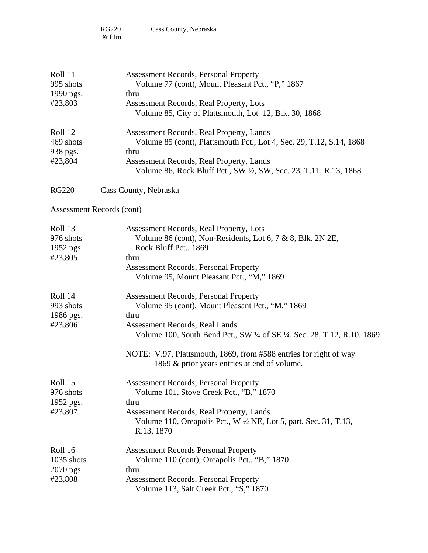| Roll 11<br>995 shots<br>1990 pgs. | Assessment Records, Personal Property<br>Volume 77 (cont), Mount Pleasant Pct., "P," 1867<br>thru                           |
|-----------------------------------|-----------------------------------------------------------------------------------------------------------------------------|
| #23,803                           | Assessment Records, Real Property, Lots<br>Volume 85, City of Plattsmouth, Lot 12, Blk. 30, 1868                            |
| Roll 12                           | Assessment Records, Real Property, Lands                                                                                    |
| 469 shots                         | Volume 85 (cont), Plattsmouth Pct., Lot 4, Sec. 29, T.12, \$.14, 1868                                                       |
| 938 pgs.                          | thru                                                                                                                        |
| #23,804                           | Assessment Records, Real Property, Lands<br>Volume 86, Rock Bluff Pct., SW ½, SW, Sec. 23, T.11, R.13, 1868                 |
| <b>RG220</b>                      | Cass County, Nebraska                                                                                                       |
|                                   | Assessment Records (cont)                                                                                                   |
| Roll 13                           | Assessment Records, Real Property, Lots                                                                                     |
| 976 shots                         | Volume 86 (cont), Non-Residents, Lot 6, 7 & 8, Blk. 2N 2E,                                                                  |
| 1952 pgs.                         | Rock Bluff Pct., 1869                                                                                                       |
| #23,805                           | thru                                                                                                                        |
|                                   | <b>Assessment Records, Personal Property</b><br>Volume 95, Mount Pleasant Pct., "M," 1869                                   |
| Roll 14                           | <b>Assessment Records, Personal Property</b>                                                                                |
| 993 shots                         | Volume 95 (cont), Mount Pleasant Pct., "M," 1869                                                                            |
| 1986 pgs.                         | thru                                                                                                                        |
| #23,806                           | Assessment Records, Real Lands<br>Volume 100, South Bend Pct., SW ¼ of SE ¼, Sec. 28, T.12, R.10, 1869                      |
|                                   | NOTE: V.97, Plattsmouth, 1869, from #588 entries for right of way<br>1869 & prior years entries at end of volume.           |
| Roll 15                           | <b>Assessment Records, Personal Property</b>                                                                                |
| 976 shots                         | Volume 101, Stove Creek Pct., "B," 1870                                                                                     |
| 1952 pgs.                         | thru                                                                                                                        |
| #23,807                           | Assessment Records, Real Property, Lands<br>Volume 110, Oreapolis Pct., W 1/2 NE, Lot 5, part, Sec. 31, T.13,<br>R.13, 1870 |
| Roll 16                           | <b>Assessment Records Personal Property</b>                                                                                 |
| 1035 shots                        | Volume 110 (cont), Oreapolis Pct., "B," 1870                                                                                |
| 2070 pgs.                         | thru                                                                                                                        |
| #23,808                           | <b>Assessment Records, Personal Property</b>                                                                                |
|                                   | Volume 113, Salt Creek Pct., "S," 1870                                                                                      |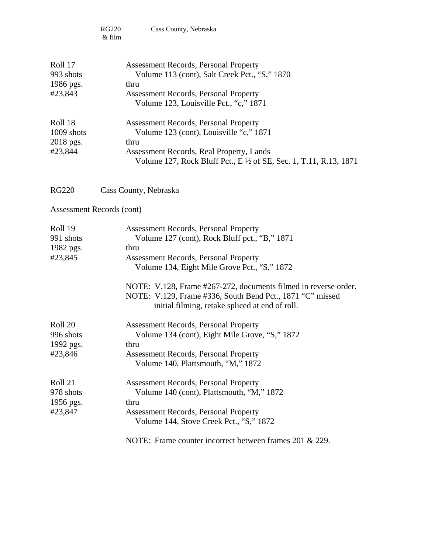|                                               | <b>RG220</b><br>Cass County, Nebraska<br>& film                                                                                                                                                                                                                                                                                                                                          |
|-----------------------------------------------|------------------------------------------------------------------------------------------------------------------------------------------------------------------------------------------------------------------------------------------------------------------------------------------------------------------------------------------------------------------------------------------|
| Roll 17<br>993 shots<br>1986 pgs.<br>#23,843  | <b>Assessment Records, Personal Property</b><br>Volume 113 (cont), Salt Creek Pct., "S," 1870<br>thru<br><b>Assessment Records, Personal Property</b><br>Volume 123, Louisville Pct., "c," 1871                                                                                                                                                                                          |
| Roll 18<br>1009 shots<br>2018 pgs.<br>#23,844 | <b>Assessment Records, Personal Property</b><br>Volume 123 (cont), Louisville "c," 1871<br>thru<br>Assessment Records, Real Property, Lands<br>Volume 127, Rock Bluff Pct., E 1/2 of SE, Sec. 1, T.11, R.13, 1871                                                                                                                                                                        |
| <b>RG220</b>                                  | Cass County, Nebraska                                                                                                                                                                                                                                                                                                                                                                    |
| Assessment Records (cont)                     |                                                                                                                                                                                                                                                                                                                                                                                          |
| Roll 19<br>991 shots<br>1982 pgs.<br>#23,845  | <b>Assessment Records, Personal Property</b><br>Volume 127 (cont), Rock Bluff pct., "B," 1871<br>thru<br><b>Assessment Records, Personal Property</b><br>Volume 134, Eight Mile Grove Pct., "S," 1872<br>NOTE: V.128, Frame #267-272, documents filmed in reverse order.<br>NOTE: V.129, Frame #336, South Bend Pct., 1871 "C" missed<br>initial filming, retake spliced at end of roll. |
| Roll 20<br>996 shots<br>1992 pgs.<br>#23,846  | <b>Assessment Records, Personal Property</b><br>Volume 134 (cont), Eight Mile Grove, "S," 1872<br>thru<br><b>Assessment Records, Personal Property</b><br>Volume 140, Plattsmouth, "M," 1872                                                                                                                                                                                             |
| Roll 21<br>978 shots<br>1956 pgs.<br>#23,847  | <b>Assessment Records, Personal Property</b><br>Volume 140 (cont), Plattsmouth, "M," 1872<br>thru<br><b>Assessment Records, Personal Property</b><br>Volume 144, Stove Creek Pct., "S," 1872<br>NOTE: Frame counter incorrect between frames 201 & 229.                                                                                                                                  |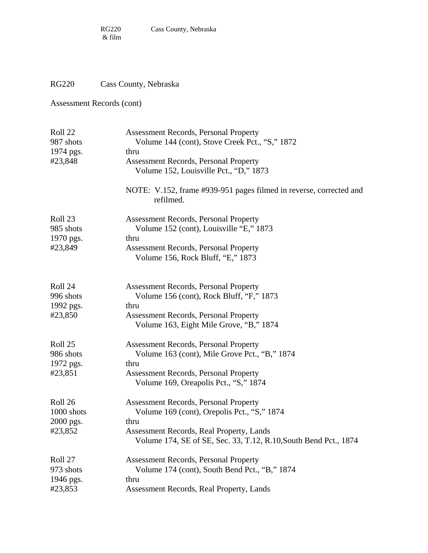## RG220 Cass County, Nebraska

| Roll 22<br>987 shots<br>1974 pgs. | <b>Assessment Records, Personal Property</b><br>Volume 144 (cont), Stove Creek Pct., "S," 1872<br>thru               |
|-----------------------------------|----------------------------------------------------------------------------------------------------------------------|
| #23,848                           | <b>Assessment Records, Personal Property</b><br>Volume 152, Louisville Pct., "D," 1873                               |
|                                   | NOTE: V.152, frame #939-951 pages filmed in reverse, corrected and<br>refilmed.                                      |
| Roll 23<br>985 shots              | <b>Assessment Records, Personal Property</b><br>Volume 152 (cont), Louisville "E," 1873                              |
| 1970 pgs.<br>#23,849              | thru<br><b>Assessment Records, Personal Property</b><br>Volume 156, Rock Bluff, "E," 1873                            |
| Roll 24<br>996 shots              | <b>Assessment Records, Personal Property</b><br>Volume 156 (cont), Rock Bluff, "F," 1873                             |
| 1992 pgs.                         | thru                                                                                                                 |
| #23,850                           | <b>Assessment Records, Personal Property</b><br>Volume 163, Eight Mile Grove, "B," 1874                              |
| Roll 25                           | <b>Assessment Records, Personal Property</b>                                                                         |
| 986 shots                         | Volume 163 (cont), Mile Grove Pct., "B," 1874<br>thru                                                                |
| 1972 pgs.<br>#23,851              | <b>Assessment Records, Personal Property</b><br>Volume 169, Oreapolis Pct., "S," 1874                                |
| Roll 26                           | <b>Assessment Records, Personal Property</b>                                                                         |
| 1000 shots                        | Volume 169 (cont), Orepolis Pct., "S," 1874                                                                          |
| 2000 pgs.<br>#23,852              | thru<br>Assessment Records, Real Property, Lands<br>Volume 174, SE of SE, Sec. 33, T.12, R.10, South Bend Pct., 1874 |
| Roll 27                           | <b>Assessment Records, Personal Property</b>                                                                         |
| 973 shots                         | Volume 174 (cont), South Bend Pct., "B," 1874                                                                        |
| 1946 pgs.                         | thru                                                                                                                 |
| #23,853                           | Assessment Records, Real Property, Lands                                                                             |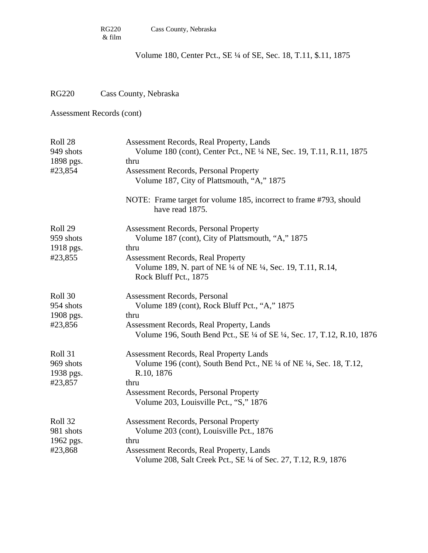Volume 180, Center Pct., SE ¼ of SE, Sec. 18, T.11, \$.11, 1875

## RG220 Cass County, Nebraska

| Roll 28<br>949 shots   | Assessment Records, Real Property, Lands<br>Volume 180 (cont), Center Pct., NE 1/4 NE, Sec. 19, T.11, R.11, 1875     |
|------------------------|----------------------------------------------------------------------------------------------------------------------|
| 1898 pgs.              | thru                                                                                                                 |
| #23,854                | <b>Assessment Records, Personal Property</b>                                                                         |
|                        | Volume 187, City of Plattsmouth, "A," 1875                                                                           |
|                        | NOTE: Frame target for volume 185, incorrect to frame #793, should<br>have read 1875.                                |
| Roll 29                | <b>Assessment Records, Personal Property</b>                                                                         |
| 959 shots<br>1918 pgs. | Volume 187 (cont), City of Plattsmouth, "A," 1875<br>thru                                                            |
| #23,855                | <b>Assessment Records, Real Property</b>                                                                             |
|                        | Volume 189, N. part of NE ¼ of NE ¼, Sec. 19, T.11, R.14,<br>Rock Bluff Pct., 1875                                   |
| Roll 30                | Assessment Records, Personal                                                                                         |
| 954 shots              | Volume 189 (cont), Rock Bluff Pct., "A," 1875                                                                        |
| 1908 pgs.              | thru                                                                                                                 |
| #23,856                | Assessment Records, Real Property, Lands<br>Volume 196, South Bend Pct., SE 1/4 of SE 1/4, Sec. 17, T.12, R.10, 1876 |
| Roll 31                | Assessment Records, Real Property Lands                                                                              |
| 969 shots<br>1938 pgs. | Volume 196 (cont), South Bend Pct., NE 1/4 of NE 1/4, Sec. 18, T.12,<br>R.10, 1876                                   |
| #23,857                | thru                                                                                                                 |
|                        | Assessment Records, Personal Property<br>Volume 203, Louisville Pct., "S," 1876                                      |
| Roll 32                | <b>Assessment Records, Personal Property</b>                                                                         |
| 981 shots              | Volume 203 (cont), Louisville Pct., 1876                                                                             |
| 1962 pgs.              | thru                                                                                                                 |
| #23,868                | Assessment Records, Real Property, Lands<br>Volume 208, Salt Creek Pct., SE 1/4 of Sec. 27, T.12, R.9, 1876          |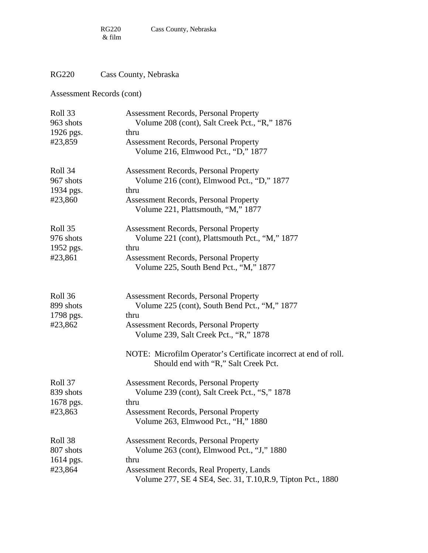# RG220 Cass County, Nebraska

| Roll 33<br>963 shots | <b>Assessment Records, Personal Property</b><br>Volume 208 (cont), Salt Creek Pct., "R," 1876            |
|----------------------|----------------------------------------------------------------------------------------------------------|
| 1926 pgs.            | thru                                                                                                     |
| #23,859              | <b>Assessment Records, Personal Property</b><br>Volume 216, Elmwood Pct., "D," 1877                      |
| Roll 34              | <b>Assessment Records, Personal Property</b>                                                             |
| 967 shots            | Volume 216 (cont), Elmwood Pct., "D," 1877                                                               |
| 1934 pgs.            | thru                                                                                                     |
| #23,860              | <b>Assessment Records, Personal Property</b><br>Volume 221, Plattsmouth, "M," 1877                       |
| Roll 35              | <b>Assessment Records, Personal Property</b>                                                             |
| 976 shots            | Volume 221 (cont), Plattsmouth Pct., "M," 1877                                                           |
| 1952 pgs.            | thru                                                                                                     |
| #23,861              | <b>Assessment Records, Personal Property</b>                                                             |
|                      | Volume 225, South Bend Pct., "M," 1877                                                                   |
| Roll 36              | <b>Assessment Records, Personal Property</b>                                                             |
| 899 shots            | Volume 225 (cont), South Bend Pct., "M," 1877                                                            |
| 1798 pgs.            | thru                                                                                                     |
| #23,862              | <b>Assessment Records, Personal Property</b>                                                             |
|                      | Volume 239, Salt Creek Pct., "R," 1878                                                                   |
|                      | NOTE: Microfilm Operator's Certificate incorrect at end of roll.<br>Should end with "R," Salt Creek Pct. |
| Roll 37              | <b>Assessment Records, Personal Property</b>                                                             |
| 839 shots            | Volume 239 (cont), Salt Creek Pct., "S," 1878                                                            |
| 1678 pgs.            | thru                                                                                                     |
| #23,863              | <b>Assessment Records, Personal Property</b>                                                             |
|                      | Volume 263, Elmwood Pct., "H," 1880                                                                      |
| Roll 38              | <b>Assessment Records, Personal Property</b>                                                             |
| 807 shots            | Volume 263 (cont), Elmwood Pct., "J," 1880                                                               |
| 1614 pgs.            | thru                                                                                                     |
| #23,864              | <b>Assessment Records, Real Property, Lands</b>                                                          |
|                      | Volume 277, SE 4 SE4, Sec. 31, T.10, R.9, Tipton Pct., 1880                                              |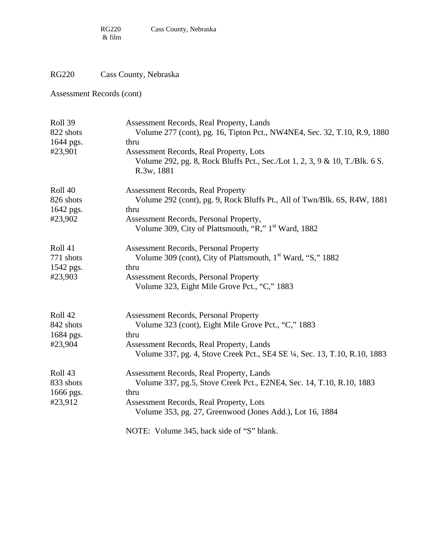## RG220 Cass County, Nebraska

| Roll 39<br>822 shots<br>1644 pgs. | Assessment Records, Real Property, Lands<br>Volume 277 (cont), pg. 16, Tipton Pct., NW4NE4, Sec. 32, T.10, R.9, 1880<br>thru         |
|-----------------------------------|--------------------------------------------------------------------------------------------------------------------------------------|
| #23,901                           | Assessment Records, Real Property, Lots<br>Volume 292, pg. 8, Rock Bluffs Pct., Sec./Lot 1, 2, 3, 9 & 10, T./Blk. 6 S.<br>R.3w, 1881 |
| Roll 40                           | <b>Assessment Records, Real Property</b>                                                                                             |
| 826 shots                         | Volume 292 (cont), pg. 9, Rock Bluffs Pt., All of Twn/Blk. 6S, R4W, 1881                                                             |
| 1642 pgs.                         | thru                                                                                                                                 |
| #23,902                           | Assessment Records, Personal Property,<br>Volume 309, City of Plattsmouth, "R," 1 <sup>st</sup> Ward, 1882                           |
| Roll 41                           | <b>Assessment Records, Personal Property</b>                                                                                         |
| 771 shots                         | Volume 309 (cont), City of Plattsmouth, 1 <sup>st</sup> Ward, "S," 1882                                                              |
| 1542 pgs.                         | thru                                                                                                                                 |
| #23,903                           | <b>Assessment Records, Personal Property</b><br>Volume 323, Eight Mile Grove Pct., "C," 1883                                         |
| Roll 42                           | <b>Assessment Records, Personal Property</b>                                                                                         |
| 842 shots                         | Volume 323 (cont), Eight Mile Grove Pct., "C," 1883                                                                                  |
| 1684 pgs.                         | thru                                                                                                                                 |
| #23,904                           | Assessment Records, Real Property, Lands<br>Volume 337, pg. 4, Stove Creek Pct., SE4 SE 1/4, Sec. 13, T.10, R.10, 1883               |
| Roll 43                           | Assessment Records, Real Property, Lands                                                                                             |
| 833 shots                         | Volume 337, pg.5, Stove Creek Pct., E2NE4, Sec. 14, T.10, R.10, 1883                                                                 |
| 1666 pgs.                         | thru                                                                                                                                 |
| #23,912                           | Assessment Records, Real Property, Lots<br>Volume 353, pg. 27, Greenwood (Jones Add.), Lot 16, 1884                                  |
|                                   | NOTE: Volume 345, back side of "S" blank.                                                                                            |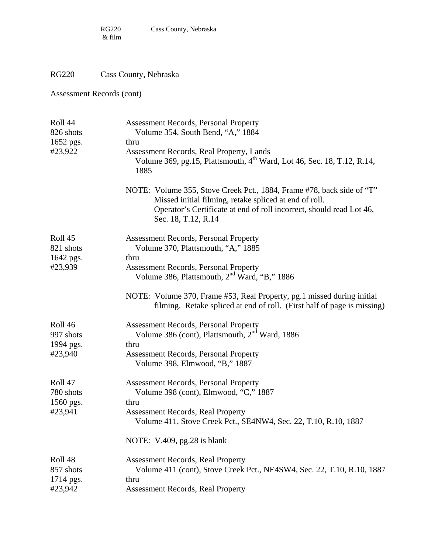# RG220 Cass County, Nebraska

| Roll 44<br>826 shots<br>1652 pgs.<br>#23,922 | <b>Assessment Records, Personal Property</b><br>Volume 354, South Bend, "A," 1884<br>thru<br>Assessment Records, Real Property, Lands                                                                                          |
|----------------------------------------------|--------------------------------------------------------------------------------------------------------------------------------------------------------------------------------------------------------------------------------|
|                                              | Volume 369, pg.15, Plattsmouth, 4 <sup>th</sup> Ward, Lot 46, Sec. 18, T.12, R.14,<br>1885                                                                                                                                     |
|                                              | NOTE: Volume 355, Stove Creek Pct., 1884, Frame #78, back side of "T"<br>Missed initial filming, retake spliced at end of roll.<br>Operator's Certificate at end of roll incorrect, should read Lot 46,<br>Sec. 18, T.12, R.14 |
| Roll 45<br>821 shots<br>1642 pgs.            | <b>Assessment Records, Personal Property</b><br>Volume 370, Plattsmouth, "A," 1885<br>thru                                                                                                                                     |
| #23,939                                      | <b>Assessment Records, Personal Property</b><br>Volume 386, Plattsmouth, 2 <sup>nd</sup> Ward, "B," 1886                                                                                                                       |
|                                              | NOTE: Volume 370, Frame #53, Real Property, pg.1 missed during initial<br>filming. Retake spliced at end of roll. (First half of page is missing)                                                                              |
| Roll 46<br>997 shots<br>1994 pgs.            | <b>Assessment Records, Personal Property</b><br>Volume 386 (cont), Plattsmouth, 2 <sup>nd</sup> Ward, 1886<br>thru                                                                                                             |
| #23,940                                      | <b>Assessment Records, Personal Property</b><br>Volume 398, Elmwood, "B," 1887                                                                                                                                                 |
| Roll 47<br>780 shots<br>1560 pgs.            | <b>Assessment Records, Personal Property</b><br>Volume 398 (cont), Elmwood, "C," 1887<br>thru                                                                                                                                  |
| #23,941                                      | <b>Assessment Records, Real Property</b><br>Volume 411, Stove Creek Pct., SE4NW4, Sec. 22, T.10, R.10, 1887                                                                                                                    |
|                                              | NOTE: $V.409$ , pg. 28 is blank                                                                                                                                                                                                |
| Roll <sub>48</sub><br>857 shots<br>1714 pgs. | <b>Assessment Records, Real Property</b><br>Volume 411 (cont), Stove Creek Pct., NE4SW4, Sec. 22, T.10, R.10, 1887<br>thru                                                                                                     |
| #23,942                                      | <b>Assessment Records, Real Property</b>                                                                                                                                                                                       |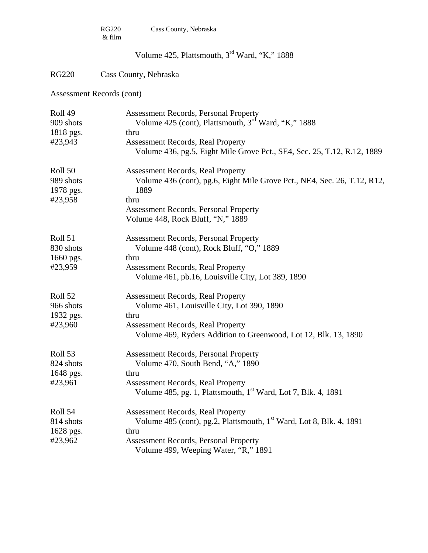|                      | <b>RG220</b><br>Cass County, Nebraska<br>& film                                                                     |  |
|----------------------|---------------------------------------------------------------------------------------------------------------------|--|
|                      | Volume 425, Plattsmouth, 3 <sup>rd</sup> Ward, "K," 1888                                                            |  |
| <b>RG220</b>         | Cass County, Nebraska                                                                                               |  |
|                      | Assessment Records (cont)                                                                                           |  |
| Roll 49              | Assessment Records, Personal Property                                                                               |  |
| 909 shots            | Volume 425 (cont), Plattsmouth, 3 <sup>rd</sup> Ward, "K," 1888                                                     |  |
| 1818 pgs.            | thru                                                                                                                |  |
| #23,943              | <b>Assessment Records, Real Property</b><br>Volume 436, pg.5, Eight Mile Grove Pct., SE4, Sec. 25, T.12, R.12, 1889 |  |
|                      |                                                                                                                     |  |
| Roll 50              | <b>Assessment Records, Real Property</b>                                                                            |  |
| 989 shots            | Volume 436 (cont), pg.6, Eight Mile Grove Pct., NE4, Sec. 26, T.12, R12,<br>1889                                    |  |
| 1978 pgs.<br>#23,958 | thru                                                                                                                |  |
|                      | <b>Assessment Records, Personal Property</b>                                                                        |  |
|                      | Volume 448, Rock Bluff, "N," 1889                                                                                   |  |
| Roll 51              | <b>Assessment Records, Personal Property</b>                                                                        |  |
| 830 shots            | Volume 448 (cont), Rock Bluff, "O," 1889                                                                            |  |
| 1660 pgs.            | thru                                                                                                                |  |
| #23,959              | <b>Assessment Records, Real Property</b>                                                                            |  |
|                      | Volume 461, pb.16, Louisville City, Lot 389, 1890                                                                   |  |
| Roll 52              | <b>Assessment Records, Real Property</b>                                                                            |  |
| 966 shots            | Volume 461, Louisville City, Lot 390, 1890                                                                          |  |
| 1932 pgs.            | thru                                                                                                                |  |
| #23,960              | <b>Assessment Records, Real Property</b>                                                                            |  |
|                      | Volume 469, Ryders Addition to Greenwood, Lot 12, Blk. 13, 1890                                                     |  |
| Roll 53              | <b>Assessment Records, Personal Property</b>                                                                        |  |
| 824 shots            | Volume 470, South Bend, "A," 1890                                                                                   |  |
| 1648 pgs.            | thru                                                                                                                |  |
| #23,961              | <b>Assessment Records, Real Property</b>                                                                            |  |
|                      | Volume 485, pg. 1, Plattsmouth, $1st$ Ward, Lot 7, Blk. 4, 1891                                                     |  |
| Roll 54              | <b>Assessment Records, Real Property</b>                                                                            |  |
| 814 shots            | Volume 485 (cont), pg.2, Plattsmouth, 1 <sup>st</sup> Ward, Lot 8, Blk. 4, 1891                                     |  |
| 1628 pgs.            | thru                                                                                                                |  |
| #23,962              | <b>Assessment Records, Personal Property</b>                                                                        |  |
|                      | Volume 499, Weeping Water, "R," 1891                                                                                |  |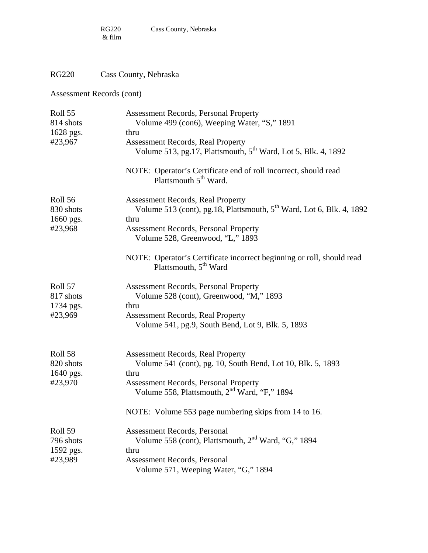# RG220 Cass County, Nebraska

| Roll 55<br>814 shots   | <b>Assessment Records, Personal Property</b><br>Volume 499 (con6), Weeping Water, "S," 1891                           |
|------------------------|-----------------------------------------------------------------------------------------------------------------------|
| 1628 pgs.              | thru                                                                                                                  |
| #23,967                | <b>Assessment Records, Real Property</b><br>Volume 513, pg.17, Plattsmouth, 5 <sup>th</sup> Ward, Lot 5, Blk. 4, 1892 |
|                        | NOTE: Operator's Certificate end of roll incorrect, should read<br>Plattsmouth $5th$ Ward.                            |
| Roll 56                | <b>Assessment Records, Real Property</b>                                                                              |
| 830 shots<br>1660 pgs. | Volume 513 (cont), pg.18, Plattsmouth, 5 <sup>th</sup> Ward, Lot 6, Blk. 4, 1892<br>thru                              |
| #23,968                | Assessment Records, Personal Property<br>Volume 528, Greenwood, "L," 1893                                             |
|                        | NOTE: Operator's Certificate incorrect beginning or roll, should read<br>Plattsmouth, 5 <sup>th</sup> Ward            |
| Roll 57                | <b>Assessment Records, Personal Property</b>                                                                          |
| 817 shots              | Volume 528 (cont), Greenwood, "M," 1893                                                                               |
| 1734 pgs.              | thru                                                                                                                  |
| #23,969                | <b>Assessment Records, Real Property</b><br>Volume 541, pg.9, South Bend, Lot 9, Blk. 5, 1893                         |
| Roll 58                | <b>Assessment Records, Real Property</b>                                                                              |
| 820 shots              | Volume 541 (cont), pg. 10, South Bend, Lot 10, Blk. 5, 1893                                                           |
| 1640 pgs.              | thru                                                                                                                  |
| #23,970                | <b>Assessment Records, Personal Property</b><br>Volume 558, Plattsmouth, 2 <sup>nd</sup> Ward, "F," 1894              |
|                        | NOTE: Volume 553 page numbering skips from 14 to 16.                                                                  |
| Roll 59                | <b>Assessment Records, Personal</b>                                                                                   |
| 796 shots              | Volume 558 (cont), Plattsmouth, $2nd Ward, "G," 1894$                                                                 |
| 1592 pgs.              | thru                                                                                                                  |
| #23,989                | Assessment Records, Personal                                                                                          |
|                        | Volume 571, Weeping Water, "G," 1894                                                                                  |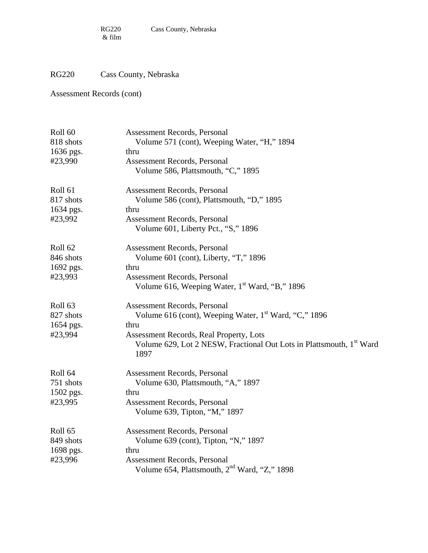# RG220 Cass County, Nebraska

| Roll <sub>60</sub> | <b>Assessment Records, Personal</b>                                                      |
|--------------------|------------------------------------------------------------------------------------------|
| 818 shots          | Volume 571 (cont), Weeping Water, "H," 1894                                              |
| 1636 pgs.          | thru                                                                                     |
| #23,990            | Assessment Records, Personal                                                             |
|                    | Volume 586, Plattsmouth, "C," 1895                                                       |
| Roll <sub>61</sub> | <b>Assessment Records, Personal</b>                                                      |
| 817 shots          | Volume 586 (cont), Plattsmouth, "D," 1895                                                |
| 1634 pgs.          | thru                                                                                     |
| #23,992            | Assessment Records, Personal                                                             |
|                    | Volume 601, Liberty Pct., "S," 1896                                                      |
| Roll <sub>62</sub> | <b>Assessment Records, Personal</b>                                                      |
| 846 shots          | Volume 601 (cont), Liberty, "T," 1896                                                    |
| 1692 pgs.          | thru                                                                                     |
| #23,993            | <b>Assessment Records, Personal</b>                                                      |
|                    | Volume 616, Weeping Water, 1 <sup>st</sup> Ward, "B," 1896                               |
| Roll <sub>63</sub> | <b>Assessment Records, Personal</b>                                                      |
| 827 shots          | Volume 616 (cont), Weeping Water, 1 <sup>st</sup> Ward, "C," 1896                        |
| 1654 pgs.          | thru                                                                                     |
| #23,994            | Assessment Records, Real Property, Lots                                                  |
|                    | Volume 629, Lot 2 NESW, Fractional Out Lots in Plattsmouth, 1 <sup>st</sup> Ward<br>1897 |
| Roll 64            | <b>Assessment Records, Personal</b>                                                      |
| 751 shots          | Volume 630, Plattsmouth, "A," 1897                                                       |
| 1502 pgs.          | thru                                                                                     |
| #23,995            | <b>Assessment Records, Personal</b>                                                      |
|                    | Volume 639, Tipton, "M," 1897                                                            |
| Roll <sub>65</sub> | <b>Assessment Records, Personal</b>                                                      |
| 849 shots          | Volume 639 (cont), Tipton, "N," 1897                                                     |
| 1698 pgs.          | thru                                                                                     |
| #23,996            | Assessment Records, Personal                                                             |
|                    | Volume 654, Plattsmouth, 2 <sup>nd</sup> Ward, "Z," 1898                                 |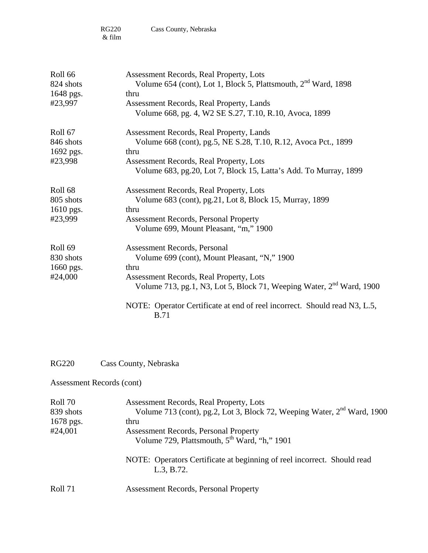| Roll 66<br>824 shots<br>1648 pgs.<br>#23,997            | Assessment Records, Real Property, Lots<br>Volume 654 (cont), Lot 1, Block 5, Plattsmouth, 2 <sup>nd</sup> Ward, 1898<br>thru<br>Assessment Records, Real Property, Lands<br>Volume 668, pg. 4, W2 SE S.27, T.10, R.10, Avoca, 1899                                                                             |
|---------------------------------------------------------|-----------------------------------------------------------------------------------------------------------------------------------------------------------------------------------------------------------------------------------------------------------------------------------------------------------------|
| Roll 67<br>846 shots<br>1692 pgs.<br>#23,998            | Assessment Records, Real Property, Lands<br>Volume 668 (cont), pg.5, NE S.28, T.10, R.12, Avoca Pct., 1899<br>thru<br>Assessment Records, Real Property, Lots<br>Volume 683, pg.20, Lot 7, Block 15, Latta's Add. To Murray, 1899                                                                               |
| Roll <sub>68</sub><br>805 shots<br>1610 pgs.<br>#23,999 | Assessment Records, Real Property, Lots<br>Volume 683 (cont), pg.21, Lot 8, Block 15, Murray, 1899<br>thru<br><b>Assessment Records, Personal Property</b><br>Volume 699, Mount Pleasant, "m," 1900                                                                                                             |
| Roll <sub>69</sub><br>830 shots<br>1660 pgs.<br>#24,000 | Assessment Records, Personal<br>Volume 699 (cont), Mount Pleasant, "N," 1900<br>thru<br>Assessment Records, Real Property, Lots<br>Volume 713, pg.1, N3, Lot 5, Block 71, Weeping Water, 2 <sup>nd</sup> Ward, 1900<br>NOTE: Operator Certificate at end of reel incorrect. Should read N3, L.5,<br><b>B.71</b> |

RG220 Cass County, Nebraska

| Roll 70   | Assessment Records, Real Property, Lots                                               |
|-----------|---------------------------------------------------------------------------------------|
| 839 shots | Volume 713 (cont), pg.2, Lot 3, Block 72, Weeping Water, 2 <sup>nd</sup> Ward, 1900   |
| 1678 pgs. | thru                                                                                  |
| #24,001   | <b>Assessment Records, Personal Property</b>                                          |
|           | Volume 729, Plattsmouth, 5 <sup>th</sup> Ward, "h," 1901                              |
|           | NOTE: Operators Certificate at beginning of reel incorrect. Should read<br>L.3, B.72. |
| Roll 71   | <b>Assessment Records, Personal Property</b>                                          |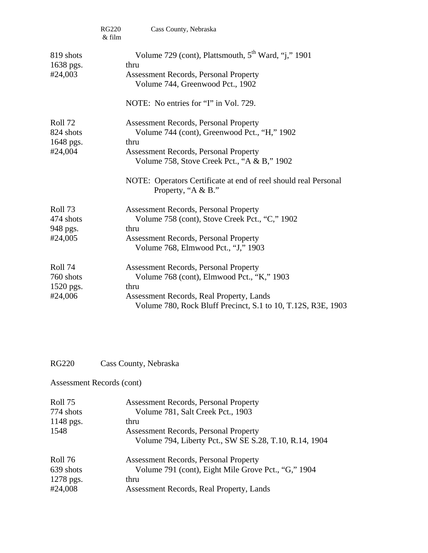|                                              | <b>RG220</b><br>& film | Cass County, Nebraska                                                                                                                                                                                          |
|----------------------------------------------|------------------------|----------------------------------------------------------------------------------------------------------------------------------------------------------------------------------------------------------------|
| 819 shots<br>1638 pgs.<br>#24,003            |                        | Volume 729 (cont), Plattsmouth, 5 <sup>th</sup> Ward, "j," 1901<br>thru<br><b>Assessment Records, Personal Property</b><br>Volume 744, Greenwood Pct., 1902<br>NOTE: No entries for "I" in Vol. 729.           |
| Roll 72<br>824 shots<br>1648 pgs.<br>#24,004 |                        | <b>Assessment Records, Personal Property</b><br>Volume 744 (cont), Greenwood Pct., "H," 1902<br>thru<br><b>Assessment Records, Personal Property</b><br>Volume 758, Stove Creek Pct., "A & B," 1902            |
|                                              |                        | NOTE: Operators Certificate at end of reel should real Personal<br>Property, "A & B."                                                                                                                          |
| Roll 73<br>474 shots<br>948 pgs.<br>#24,005  |                        | <b>Assessment Records, Personal Property</b><br>Volume 758 (cont), Stove Creek Pct., "C," 1902<br>thru<br><b>Assessment Records, Personal Property</b><br>Volume 768, Elmwood Pct., "J," 1903                  |
| Roll 74<br>760 shots<br>1520 pgs.<br>#24,006 |                        | <b>Assessment Records, Personal Property</b><br>Volume 768 (cont), Elmwood Pct., "K," 1903<br>thru<br>Assessment Records, Real Property, Lands<br>Volume 780, Rock Bluff Precinct, S.1 to 10, T.12S, R3E, 1903 |

# RG220 Cass County, Nebraska

| Roll 75   | <b>Assessment Records, Personal Property</b>           |
|-----------|--------------------------------------------------------|
| 774 shots | Volume 781, Salt Creek Pct., 1903                      |
| 1148 pgs. | thru                                                   |
| 1548      | <b>Assessment Records, Personal Property</b>           |
|           | Volume 794, Liberty Pct., SW SE S.28, T.10, R.14, 1904 |
| Roll 76   | <b>Assessment Records, Personal Property</b>           |
| 639 shots | Volume 791 (cont), Eight Mile Grove Pct., "G," 1904    |
| 1278 pgs. | thru                                                   |
| #24,008   | Assessment Records, Real Property, Lands               |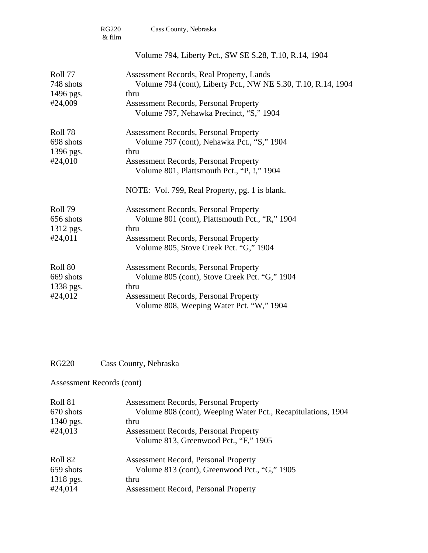|           | <b>RG220</b><br>& film | Cass County, Nebraska                                                                      |
|-----------|------------------------|--------------------------------------------------------------------------------------------|
|           |                        | Volume 794, Liberty Pct., SW SE S.28, T.10, R.14, 1904                                     |
| Roll 77   |                        | Assessment Records, Real Property, Lands                                                   |
| 748 shots |                        | Volume 794 (cont), Liberty Pct., NW NE S.30, T.10, R.14, 1904                              |
| 1496 pgs. |                        | thru                                                                                       |
| #24,009   |                        | <b>Assessment Records, Personal Property</b><br>Volume 797, Nehawka Precinct, "S," 1904    |
| Roll 78   |                        | <b>Assessment Records, Personal Property</b>                                               |
| 698 shots |                        | Volume 797 (cont), Nehawka Pct., "S," 1904                                                 |
| 1396 pgs. |                        | thru                                                                                       |
| #24,010   |                        | <b>Assessment Records, Personal Property</b><br>Volume 801, Plattsmouth Pct., "P, !," 1904 |
|           |                        | NOTE: Vol. 799, Real Property, pg. 1 is blank.                                             |
| Roll 79   |                        | <b>Assessment Records, Personal Property</b>                                               |
| 656 shots |                        | Volume 801 (cont), Plattsmouth Pct., "R," 1904                                             |
| 1312 pgs. |                        | thru                                                                                       |
| #24,011   |                        | <b>Assessment Records, Personal Property</b><br>Volume 805, Stove Creek Pct. "G," 1904     |
| Roll 80   |                        | <b>Assessment Records, Personal Property</b>                                               |
| 669 shots |                        | Volume 805 (cont), Stove Creek Pct. "G," 1904                                              |
| 1338 pgs. |                        | thru                                                                                       |
| #24,012   |                        | <b>Assessment Records, Personal Property</b><br>Volume 808, Weeping Water Pct. "W," 1904   |
|           |                        |                                                                                            |

# RG220 Cass County, Nebraska

| Roll 81<br>670 shots | <b>Assessment Records, Personal Property</b><br>Volume 808 (cont), Weeping Water Pct., Recapitulations, 1904 |
|----------------------|--------------------------------------------------------------------------------------------------------------|
| 1340 pgs.            | thru                                                                                                         |
| #24,013              | <b>Assessment Records, Personal Property</b>                                                                 |
|                      | Volume 813, Greenwood Pct., "F," 1905                                                                        |
| Roll 82              | <b>Assessment Record, Personal Property</b>                                                                  |
| 659 shots            | Volume 813 (cont), Greenwood Pct., "G," 1905                                                                 |
| 1318 pgs.            | thru                                                                                                         |
| #24,014              | <b>Assessment Record, Personal Property</b>                                                                  |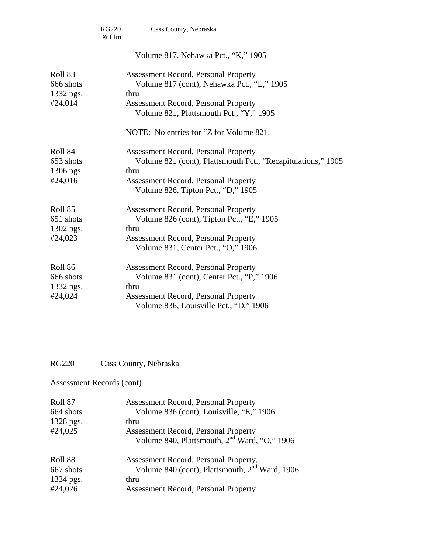|                                                         | <b>RG220</b><br>& film | Cass County, Nebraska                                                                                                                                                                                    |
|---------------------------------------------------------|------------------------|----------------------------------------------------------------------------------------------------------------------------------------------------------------------------------------------------------|
|                                                         |                        | Volume 817, Nehawka Pct., "K," 1905                                                                                                                                                                      |
| Roll <sub>83</sub><br>666 shots<br>1332 pgs.<br>#24,014 |                        | <b>Assessment Record, Personal Property</b><br>Volume 817 (cont), Nehawka Pct., "L," 1905<br>thru<br><b>Assessment Record, Personal Property</b><br>Volume 821, Plattsmouth Pct., "Y," 1905              |
|                                                         |                        | NOTE: No entries for "Z for Volume 821.                                                                                                                                                                  |
| Roll 84<br>653 shots<br>1306 pgs.<br>#24,016            |                        | <b>Assessment Record, Personal Property</b><br>Volume 821 (cont), Plattsmouth Pct., "Recapitulations," 1905<br>thru<br><b>Assessment Record, Personal Property</b><br>Volume 826, Tipton Pct., "D," 1905 |
| Roll 85<br>651 shots<br>1302 pgs.<br>#24,023            |                        | <b>Assessment Record, Personal Property</b><br>Volume 826 (cont), Tipton Pct., "E," 1905<br>thru<br><b>Assessment Record, Personal Property</b><br>Volume 831, Center Pct., "O," 1906                    |
| Roll 86<br>666 shots<br>1332 pgs.<br>#24,024            |                        | <b>Assessment Record, Personal Property</b><br>Volume 831 (cont), Center Pct., "P," 1906<br>thru<br><b>Assessment Record, Personal Property</b><br>Volume 836, Louisville Pct., "D," 1906                |

# RG220 Cass County, Nebraska

| Roll 87   | <b>Assessment Record, Personal Property</b>                |
|-----------|------------------------------------------------------------|
| 664 shots | Volume 836 (cont), Louisville, "E," 1906                   |
| 1328 pgs. | thru                                                       |
| #24,025   | <b>Assessment Record, Personal Property</b>                |
|           | Volume 840, Plattsmouth, 2 <sup>nd</sup> Ward, "O," 1906   |
| Roll 88   | Assessment Record, Personal Property,                      |
| 667 shots | Volume 840 (cont), Plattsmouth, 2 <sup>nd</sup> Ward, 1906 |
| 1334 pgs. | thru                                                       |
| #24,026   | <b>Assessment Record, Personal Property</b>                |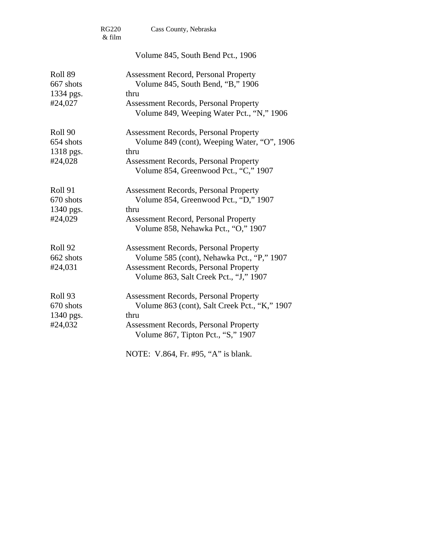|                                                         | <b>RG220</b><br>& film | Cass County, Nebraska                                                                                                                                                                        |
|---------------------------------------------------------|------------------------|----------------------------------------------------------------------------------------------------------------------------------------------------------------------------------------------|
|                                                         |                        | Volume 845, South Bend Pct., 1906                                                                                                                                                            |
| Roll 89<br>667 shots<br>1334 pgs.<br>#24,027            |                        | <b>Assessment Record, Personal Property</b><br>Volume 845, South Bend, "B," 1906<br>thru<br><b>Assessment Records, Personal Property</b><br>Volume 849, Weeping Water Pct., "N," 1906        |
| Roll <sub>90</sub><br>654 shots<br>1318 pgs.<br>#24,028 |                        | <b>Assessment Records, Personal Property</b><br>Volume 849 (cont), Weeping Water, "O", 1906<br>thru<br><b>Assessment Records, Personal Property</b><br>Volume 854, Greenwood Pct., "C," 1907 |
| Roll <sub>91</sub><br>670 shots<br>1340 pgs.<br>#24,029 |                        | <b>Assessment Records, Personal Property</b><br>Volume 854, Greenwood Pct., "D," 1907<br>thru<br><b>Assessment Record, Personal Property</b><br>Volume 858, Nehawka Pct., "O," 1907          |
| Roll <sub>92</sub><br>662 shots<br>#24,031              |                        | <b>Assessment Records, Personal Property</b><br>Volume 585 (cont), Nehawka Pct., "P," 1907<br><b>Assessment Records, Personal Property</b><br>Volume 863, Salt Creek Pct., "J," 1907         |
| Roll <sub>93</sub><br>670 shots<br>1340 pgs.<br>#24,032 |                        | <b>Assessment Records, Personal Property</b><br>Volume 863 (cont), Salt Creek Pct., "K," 1907<br>thru<br><b>Assessment Records, Personal Property</b><br>Volume 867, Tipton Pct., "S," 1907  |
|                                                         |                        | NOTE: V.864, Fr. #95, "A" is blank.                                                                                                                                                          |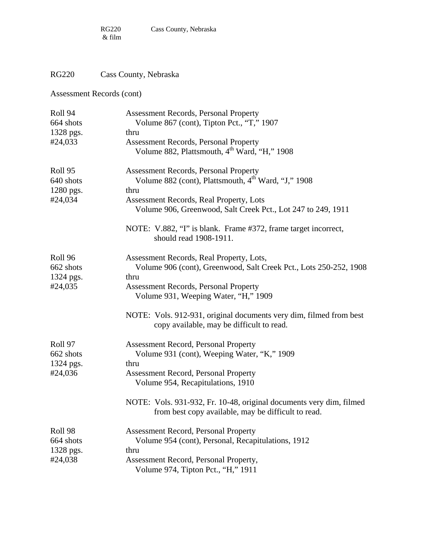# RG220 Cass County, Nebraska

| Roll 94   | <b>Assessment Records, Personal Property</b>                                                                               |
|-----------|----------------------------------------------------------------------------------------------------------------------------|
| 664 shots | Volume 867 (cont), Tipton Pct., "T," 1907                                                                                  |
| 1328 pgs. | thru                                                                                                                       |
| #24,033   | <b>Assessment Records, Personal Property</b><br>Volume 882, Plattsmouth, 4 <sup>th</sup> Ward, "H," 1908                   |
| Roll 95   | Assessment Records, Personal Property                                                                                      |
| 640 shots | Volume 882 (cont), Plattsmouth, 4 <sup>th</sup> Ward, "J," 1908                                                            |
| 1280 pgs. | thru                                                                                                                       |
| #24,034   | Assessment Records, Real Property, Lots<br>Volume 906, Greenwood, Salt Creek Pct., Lot 247 to 249, 1911                    |
|           | NOTE: V.882, "I" is blank. Frame #372, frame target incorrect,<br>should read 1908-1911.                                   |
| Roll 96   | Assessment Records, Real Property, Lots,                                                                                   |
| 662 shots | Volume 906 (cont), Greenwood, Salt Creek Pct., Lots 250-252, 1908                                                          |
| 1324 pgs. | thru                                                                                                                       |
| #24,035   | <b>Assessment Records, Personal Property</b><br>Volume 931, Weeping Water, "H," 1909                                       |
|           | NOTE: Vols. 912-931, original documents very dim, filmed from best<br>copy available, may be difficult to read.            |
| Roll 97   | <b>Assessment Record, Personal Property</b>                                                                                |
| 662 shots | Volume 931 (cont), Weeping Water, "K," 1909                                                                                |
| 1324 pgs. | thru                                                                                                                       |
| #24,036   | <b>Assessment Record, Personal Property</b>                                                                                |
|           | Volume 954, Recapitulations, 1910                                                                                          |
|           | NOTE: Vols. 931-932, Fr. 10-48, original documents very dim, filmed<br>from best copy available, may be difficult to read. |
| Roll 98   | <b>Assessment Record, Personal Property</b>                                                                                |
| 664 shots | Volume 954 (cont), Personal, Recapitulations, 1912                                                                         |
| 1328 pgs. | thru                                                                                                                       |
| #24,038   | Assessment Record, Personal Property,                                                                                      |
|           | Volume 974, Tipton Pct., "H," 1911                                                                                         |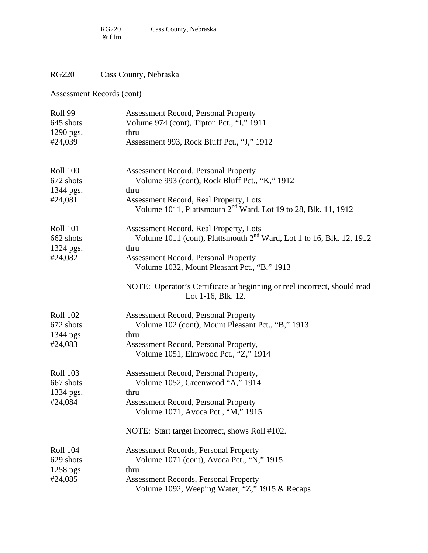# RG220 Cass County, Nebraska

| Roll 99              | <b>Assessment Record, Personal Property</b>                                                                          |
|----------------------|----------------------------------------------------------------------------------------------------------------------|
| 645 shots            | Volume 974 (cont), Tipton Pct., "I," 1911                                                                            |
| 1290 pgs.            | thru                                                                                                                 |
| #24,039              | Assessment 993, Rock Bluff Pct., "J," 1912                                                                           |
| <b>Roll 100</b>      | <b>Assessment Record, Personal Property</b>                                                                          |
| 672 shots            | Volume 993 (cont), Rock Bluff Pct., "K," 1912                                                                        |
| 1344 pgs.            | thru                                                                                                                 |
| #24,081              | Assessment Record, Real Property, Lots<br>Volume 1011, Plattsmouth 2 <sup>nd</sup> Ward, Lot 19 to 28, Blk. 11, 1912 |
| <b>Roll 101</b>      | Assessment Record, Real Property, Lots                                                                               |
| 662 shots            | Volume 1011 (cont), Plattsmouth $2nd$ Ward, Lot 1 to 16, Blk. 12, 1912<br>thru                                       |
| 1324 pgs.<br>#24,082 | <b>Assessment Record, Personal Property</b>                                                                          |
|                      | Volume 1032, Mount Pleasant Pct., "B," 1913                                                                          |
|                      | NOTE: Operator's Certificate at beginning or reel incorrect, should read<br>Lot 1-16, Blk. 12.                       |
| <b>Roll 102</b>      | <b>Assessment Record, Personal Property</b>                                                                          |
| 672 shots            | Volume 102 (cont), Mount Pleasant Pct., "B," 1913                                                                    |
| 1344 pgs.            | thru                                                                                                                 |
| #24,083              | Assessment Record, Personal Property,                                                                                |
|                      | Volume 1051, Elmwood Pct., "Z," 1914                                                                                 |
| <b>Roll 103</b>      | Assessment Record, Personal Property,                                                                                |
| 667 shots            | Volume 1052, Greenwood "A," 1914                                                                                     |
| 1334 pgs.            | thru                                                                                                                 |
| #24,084              | <b>Assessment Record, Personal Property</b>                                                                          |
|                      | Volume 1071, Avoca Pct., "M," 1915                                                                                   |
|                      | NOTE: Start target incorrect, shows Roll #102.                                                                       |
| <b>Roll 104</b>      | <b>Assessment Records, Personal Property</b>                                                                         |
| 629 shots            | Volume 1071 (cont), Avoca Pct., "N," 1915                                                                            |
| 1258 pgs.            | thru                                                                                                                 |
| #24,085              | <b>Assessment Records, Personal Property</b>                                                                         |
|                      | Volume 1092, Weeping Water, "Z," 1915 & Recaps                                                                       |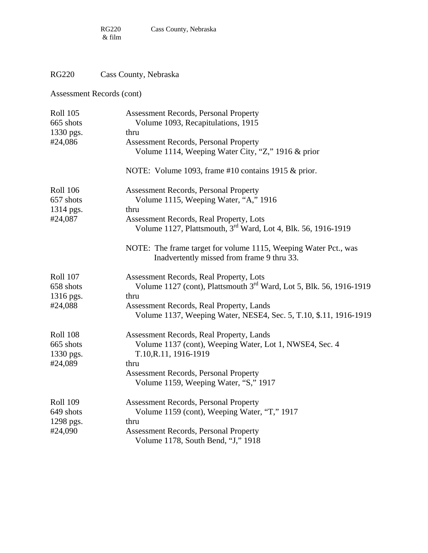# RG220 Cass County, Nebraska

| <b>Roll 105</b> | <b>Assessment Records, Personal Property</b>                                                                  |
|-----------------|---------------------------------------------------------------------------------------------------------------|
| 665 shots       | Volume 1093, Recapitulations, 1915                                                                            |
| 1330 pgs.       | thru                                                                                                          |
| #24,086         | <b>Assessment Records, Personal Property</b>                                                                  |
|                 | Volume 1114, Weeping Water City, "Z," 1916 & prior                                                            |
|                 | NOTE: Volume 1093, frame #10 contains 1915 & prior.                                                           |
| <b>Roll 106</b> | <b>Assessment Records, Personal Property</b>                                                                  |
| 657 shots       | Volume 1115, Weeping Water, "A," 1916                                                                         |
| 1314 pgs.       | thru                                                                                                          |
| #24,087         | Assessment Records, Real Property, Lots                                                                       |
|                 | Volume 1127, Plattsmouth, 3 <sup>rd</sup> Ward, Lot 4, Blk. 56, 1916-1919                                     |
|                 | NOTE: The frame target for volume 1115, Weeping Water Pct., was<br>Inadvertently missed from frame 9 thru 33. |
| <b>Roll 107</b> | Assessment Records, Real Property, Lots                                                                       |
| 658 shots       | Volume 1127 (cont), Plattsmouth 3 <sup>rd</sup> Ward, Lot 5, Blk. 56, 1916-1919                               |
| 1316 pgs.       | thru                                                                                                          |
| #24,088         | Assessment Records, Real Property, Lands                                                                      |
|                 | Volume 1137, Weeping Water, NESE4, Sec. 5, T.10, \$.11, 1916-1919                                             |
| <b>Roll 108</b> | Assessment Records, Real Property, Lands                                                                      |
| 665 shots       | Volume 1137 (cont), Weeping Water, Lot 1, NWSE4, Sec. 4                                                       |
| 1330 pgs.       | T.10, R.11, 1916-1919                                                                                         |
| #24,089         | thru                                                                                                          |
|                 | <b>Assessment Records, Personal Property</b><br>Volume 1159, Weeping Water, "S," 1917                         |
| <b>Roll 109</b> | <b>Assessment Records, Personal Property</b>                                                                  |
| 649 shots       | Volume 1159 (cont), Weeping Water, "T," 1917                                                                  |
| 1298 pgs.       | thru                                                                                                          |
| #24,090         | <b>Assessment Records, Personal Property</b>                                                                  |
|                 | Volume 1178, South Bend, "J," 1918                                                                            |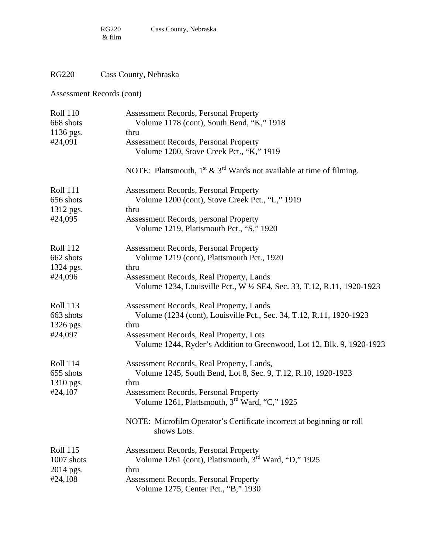# RG220 Cass County, Nebraska

| <b>Roll 110</b><br>668 shots              | <b>Assessment Records, Personal Property</b><br>Volume 1178 (cont), South Bend, "K," 1918                                |  |  |
|-------------------------------------------|--------------------------------------------------------------------------------------------------------------------------|--|--|
| 1136 pgs.                                 | thru                                                                                                                     |  |  |
| #24,091                                   | <b>Assessment Records, Personal Property</b><br>Volume 1200, Stove Creek Pct., "K," 1919                                 |  |  |
|                                           | NOTE: Plattsmouth, $1^{st}$ & $3^{rd}$ Wards not available at time of filming.                                           |  |  |
| <b>Roll 111</b><br>656 shots              | <b>Assessment Records, Personal Property</b><br>Volume 1200 (cont), Stove Creek Pct., "L," 1919                          |  |  |
| 1312 pgs.                                 | thru                                                                                                                     |  |  |
| #24,095                                   | Assessment Records, personal Property<br>Volume 1219, Plattsmouth Pct., "S," 1920                                        |  |  |
| <b>Roll 112</b><br>662 shots<br>1324 pgs. | <b>Assessment Records, Personal Property</b><br>Volume 1219 (cont), Plattsmouth Pct., 1920<br>thru                       |  |  |
| #24,096                                   | <b>Assessment Records, Real Property, Lands</b><br>Volume 1234, Louisville Pct., W ½ SE4, Sec. 33, T.12, R.11, 1920-1923 |  |  |
| <b>Roll 113</b><br>663 shots              | Assessment Records, Real Property, Lands<br>Volume (1234 (cont), Louisville Pct., Sec. 34, T.12, R.11, 1920-1923         |  |  |
| 1326 pgs.<br>#24,097                      | thru<br>Assessment Records, Real Property, Lots<br>Volume 1244, Ryder's Addition to Greenwood, Lot 12, Blk. 9, 1920-1923 |  |  |
| <b>Roll 114</b><br>655 shots<br>1310 pgs. | Assessment Records, Real Property, Lands,<br>Volume 1245, South Bend, Lot 8, Sec. 9, T.12, R.10, 1920-1923<br>thru       |  |  |
| #24,107                                   | <b>Assessment Records, Personal Property</b><br>Volume 1261, Plattsmouth, $3rd$ Ward, "C," 1925                          |  |  |
|                                           | NOTE: Microfilm Operator's Certificate incorrect at beginning or roll<br>shows Lots.                                     |  |  |
| <b>Roll 115</b><br>1007 shots             | <b>Assessment Records, Personal Property</b><br>Volume 1261 (cont), Plattsmouth, 3 <sup>rd</sup> Ward, "D," 1925         |  |  |
| 2014 pgs.                                 | thru                                                                                                                     |  |  |
| #24,108                                   | <b>Assessment Records, Personal Property</b><br>Volume 1275, Center Pct., "B," 1930                                      |  |  |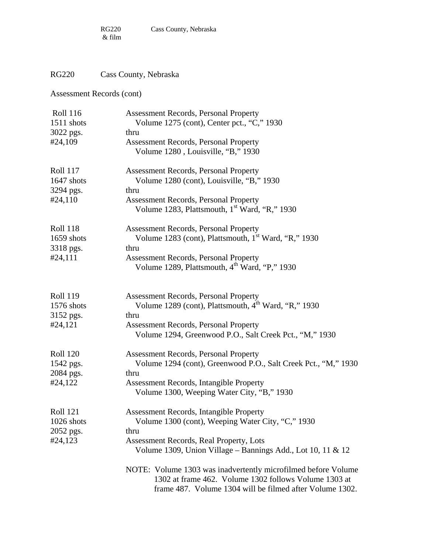# RG220 Cass County, Nebraska

| <b>Roll 116</b><br>1511 shots | <b>Assessment Records, Personal Property</b><br>Volume 1275 (cont), Center pct., "C," 1930                                                                                         |
|-------------------------------|------------------------------------------------------------------------------------------------------------------------------------------------------------------------------------|
|                               |                                                                                                                                                                                    |
| 3022 pgs.                     | thru                                                                                                                                                                               |
| #24,109                       | <b>Assessment Records, Personal Property</b><br>Volume 1280, Louisville, "B," 1930                                                                                                 |
| <b>Roll 117</b>               | <b>Assessment Records, Personal Property</b>                                                                                                                                       |
| 1647 shots                    | Volume 1280 (cont), Louisville, "B," 1930                                                                                                                                          |
| 3294 pgs.                     | thru                                                                                                                                                                               |
| #24,110                       | <b>Assessment Records, Personal Property</b><br>Volume 1283, Plattsmouth, 1 <sup>st</sup> Ward, "R," 1930                                                                          |
| <b>Roll 118</b>               | <b>Assessment Records, Personal Property</b>                                                                                                                                       |
| 1659 shots                    | Volume 1283 (cont), Plattsmouth, 1 <sup>st</sup> Ward, "R," 1930                                                                                                                   |
| 3318 pgs.                     | thru                                                                                                                                                                               |
| #24,111                       | <b>Assessment Records, Personal Property</b>                                                                                                                                       |
|                               | Volume 1289, Plattsmouth, 4 <sup>th</sup> Ward, "P," 1930                                                                                                                          |
| <b>Roll 119</b>               | <b>Assessment Records, Personal Property</b>                                                                                                                                       |
| 1576 shots                    | Volume 1289 (cont), Plattsmouth, 4 <sup>th</sup> Ward, "R," 1930                                                                                                                   |
| 3152 pgs.                     | thru                                                                                                                                                                               |
| #24,121                       | <b>Assessment Records, Personal Property</b><br>Volume 1294, Greenwood P.O., Salt Creek Pct., "M," 1930                                                                            |
| <b>Roll 120</b>               | <b>Assessment Records, Personal Property</b>                                                                                                                                       |
| 1542 pgs.                     | Volume 1294 (cont), Greenwood P.O., Salt Creek Pct., "M," 1930                                                                                                                     |
| 2084 pgs.                     | thru                                                                                                                                                                               |
| #24,122                       | Assessment Records, Intangible Property<br>Volume 1300, Weeping Water City, "B," 1930                                                                                              |
| <b>Roll 121</b>               | Assessment Records, Intangible Property                                                                                                                                            |
| 1026 shots                    | Volume 1300 (cont), Weeping Water City, "C," 1930                                                                                                                                  |
| 2052 pgs.                     | thru                                                                                                                                                                               |
| #24,123                       | Assessment Records, Real Property, Lots                                                                                                                                            |
|                               | Volume 1309, Union Village – Bannings Add., Lot 10, 11 & 12                                                                                                                        |
|                               | NOTE: Volume 1303 was inadvertently microfilmed before Volume<br>1302 at frame 462. Volume 1302 follows Volume 1303 at<br>frame 487. Volume 1304 will be filmed after Volume 1302. |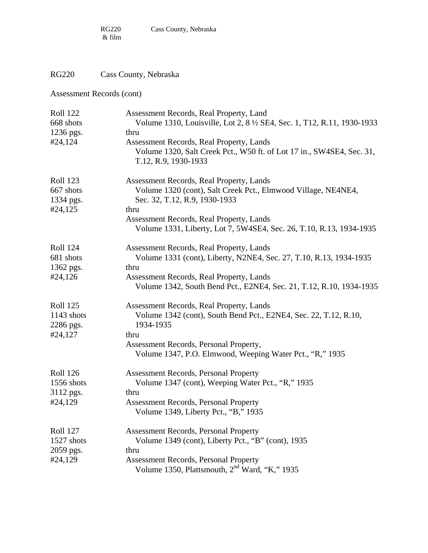RG220 Cass County, Nebraska

| <b>Roll 122</b><br>668 shots | Assessment Records, Real Property, Land<br>Volume 1310, Louisville, Lot 2, 8 1/2 SE4, Sec. 1, T12, R.11, 1930-1933 |
|------------------------------|--------------------------------------------------------------------------------------------------------------------|
| 1236 pgs.                    | thru                                                                                                               |
| #24,124                      | Assessment Records, Real Property, Lands                                                                           |
|                              | Volume 1320, Salt Creek Pct., W50 ft. of Lot 17 in., SW4SE4, Sec. 31,                                              |
|                              | T.12, R.9, 1930-1933                                                                                               |
| <b>Roll 123</b>              | Assessment Records, Real Property, Lands                                                                           |
| 667 shots                    | Volume 1320 (cont), Salt Creek Pct., Elmwood Village, NE4NE4,                                                      |
| 1334 pgs.                    | Sec. 32, T.12, R.9, 1930-1933                                                                                      |
| #24,125                      | thru                                                                                                               |
|                              | Assessment Records, Real Property, Lands                                                                           |
|                              | Volume 1331, Liberty, Lot 7, 5W4SE4, Sec. 26, T.10, R.13, 1934-1935                                                |
| <b>Roll 124</b>              | Assessment Records, Real Property, Lands                                                                           |
| 681 shots                    | Volume 1331 (cont), Liberty, N2NE4, Sec. 27, T.10, R.13, 1934-1935                                                 |
| 1362 pgs.                    | thru                                                                                                               |
| #24,126                      | Assessment Records, Real Property, Lands                                                                           |
|                              | Volume 1342, South Bend Pct., E2NE4, Sec. 21, T.12, R.10, 1934-1935                                                |
| <b>Roll 125</b>              | Assessment Records, Real Property, Lands                                                                           |
| 1143 shots                   | Volume 1342 (cont), South Bend Pct., E2NE4, Sec. 22, T.12, R.10,                                                   |
| 2286 pgs.                    | 1934-1935                                                                                                          |
| #24,127                      | thru                                                                                                               |
|                              | Assessment Records, Personal Property,                                                                             |
|                              | Volume 1347, P.O. Elmwood, Weeping Water Pct., "R," 1935                                                           |
| <b>Roll 126</b>              | <b>Assessment Records, Personal Property</b>                                                                       |
| 1556 shots                   | Volume 1347 (cont), Weeping Water Pct., "R," 1935                                                                  |
| 3112 pgs.                    | thru                                                                                                               |
| #24,129                      | <b>Assessment Records, Personal Property</b>                                                                       |
|                              | Volume 1349, Liberty Pct., "B," 1935                                                                               |
| <b>Roll 127</b>              | <b>Assessment Records, Personal Property</b>                                                                       |
| 1527 shots                   | Volume 1349 (cont), Liberty Pct., "B" (cont), 1935                                                                 |
| 2059 pgs.                    | thru                                                                                                               |
| #24,129                      | <b>Assessment Records, Personal Property</b>                                                                       |
|                              | Volume 1350, Plattsmouth, 2 <sup>nd</sup> Ward, "K," 1935                                                          |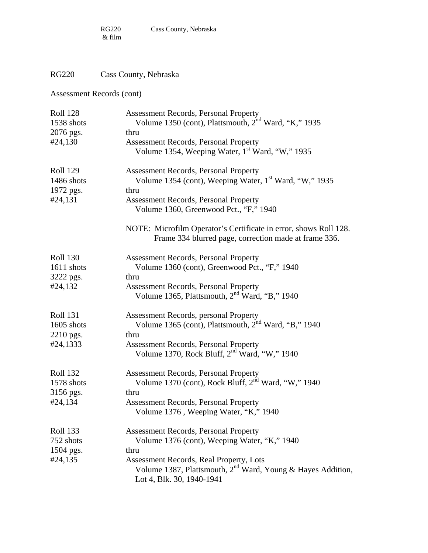# RG220 Cass County, Nebraska

| <b>Roll 128</b><br>1538 shots | <b>Assessment Records, Personal Property</b><br>Volume 1350 (cont), Plattsmouth, 2 <sup>nd</sup> Ward, "K," 1935                         |
|-------------------------------|------------------------------------------------------------------------------------------------------------------------------------------|
| 2076 pgs.                     | thru                                                                                                                                     |
| #24,130                       | <b>Assessment Records, Personal Property</b><br>Volume 1354, Weeping Water, 1 <sup>st</sup> Ward, "W," 1935                              |
| <b>Roll 129</b><br>1486 shots | <b>Assessment Records, Personal Property</b><br>Volume 1354 (cont), Weeping Water, 1 <sup>st</sup> Ward, "W," 1935                       |
| 1972 pgs.                     | thru                                                                                                                                     |
| #24,131                       | <b>Assessment Records, Personal Property</b><br>Volume 1360, Greenwood Pct., "F," 1940                                                   |
|                               | NOTE: Microfilm Operator's Certificate in error, shows Roll 128.<br>Frame 334 blurred page, correction made at frame 336.                |
| <b>Roll 130</b>               | <b>Assessment Records, Personal Property</b>                                                                                             |
| 1611 shots                    | Volume 1360 (cont), Greenwood Pct., "F," 1940                                                                                            |
| 3222 pgs.                     | thru                                                                                                                                     |
| #24,132                       | <b>Assessment Records, Personal Property</b><br>Volume 1365, Plattsmouth, 2 <sup>nd</sup> Ward, "B," 1940                                |
| <b>Roll 131</b><br>1605 shots | <b>Assessment Records, personal Property</b><br>Volume 1365 (cont), Plattsmouth, 2 <sup>nd</sup> Ward, "B," 1940                         |
| 2210 pgs.                     | thru                                                                                                                                     |
| #24,1333                      | <b>Assessment Records, Personal Property</b><br>Volume 1370, Rock Bluff, $2nd Ward, "W," 1940$                                           |
| <b>Roll 132</b>               | <b>Assessment Records, Personal Property</b>                                                                                             |
| 1578 shots                    | Volume 1370 (cont), Rock Bluff, $2nd Ward, "W," 1940$                                                                                    |
| 3156 pgs.                     | thru                                                                                                                                     |
| #24,134                       | <b>Assessment Records, Personal Property</b><br>Volume 1376, Weeping Water, "K," 1940                                                    |
| <b>Roll 133</b>               | <b>Assessment Records, Personal Property</b>                                                                                             |
| 752 shots                     | Volume 1376 (cont), Weeping Water, "K," 1940                                                                                             |
| 1504 pgs.                     | thru                                                                                                                                     |
| #24,135                       | Assessment Records, Real Property, Lots<br>Volume 1387, Plattsmouth, $2^{nd}$ Ward, Young & Hayes Addition,<br>Lot 4, Blk. 30, 1940-1941 |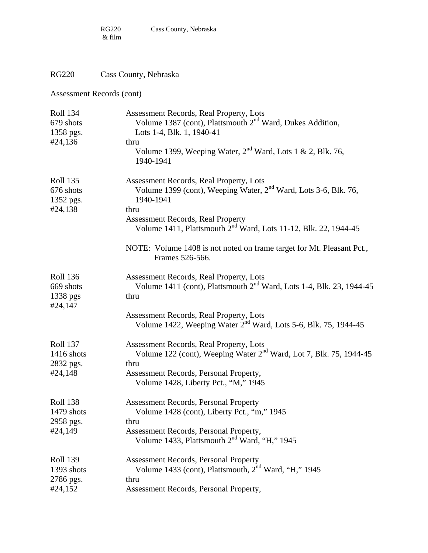# RG220 Cass County, Nebraska

| <b>Roll 134</b><br>679 shots<br>1358 pgs.             | <b>Assessment Records, Real Property, Lots</b><br>Volume 1387 (cont), Plattsmouth 2 <sup>nd</sup> Ward, Dukes Addition,<br>Lots 1-4, Blk. 1, 1940-41                                                                |
|-------------------------------------------------------|---------------------------------------------------------------------------------------------------------------------------------------------------------------------------------------------------------------------|
| #24,136                                               | thru<br>Volume 1399, Weeping Water, $2nd$ Ward, Lots 1 & 2, Blk. 76,<br>1940-1941                                                                                                                                   |
| <b>Roll 135</b><br>676 shots<br>1352 pgs.<br>#24,138  | Assessment Records, Real Property, Lots<br>Volume 1399 (cont), Weeping Water, 2 <sup>nd</sup> Ward, Lots 3-6, Blk. 76,<br>1940-1941<br>thru                                                                         |
|                                                       | <b>Assessment Records, Real Property</b><br>Volume 1411, Plattsmouth 2 <sup>nd</sup> Ward, Lots 11-12, Blk. 22, 1944-45                                                                                             |
|                                                       | NOTE: Volume 1408 is not noted on frame target for Mt. Pleasant Pct.,<br>Frames 526-566.                                                                                                                            |
| <b>Roll 136</b><br>669 shots<br>1338 pgs<br>#24,147   | Assessment Records, Real Property, Lots<br>Volume 1411 (cont), Plattsmouth 2 <sup>nd</sup> Ward, Lots 1-4, Blk. 23, 1944-45<br>thru                                                                                 |
|                                                       | <b>Assessment Records, Real Property, Lots</b><br>Volume 1422, Weeping Water 2 <sup>nd</sup> Ward, Lots 5-6, Blk. 75, 1944-45                                                                                       |
| <b>Roll 137</b><br>1416 shots<br>2832 pgs.<br>#24,148 | Assessment Records, Real Property, Lots<br>Volume 122 (cont), Weeping Water 2 <sup>nd</sup> Ward, Lot 7, Blk. 75, 1944-45<br>thru<br>Assessment Records, Personal Property,<br>Volume 1428, Liberty Pct., "M," 1945 |
| <b>Roll 138</b><br>1479 shots<br>2958 pgs.<br>#24,149 | <b>Assessment Records, Personal Property</b><br>Volume 1428 (cont), Liberty Pct., "m," 1945<br>thru<br>Assessment Records, Personal Property,<br>Volume 1433, Plattsmouth 2 <sup>nd</sup> Ward, "H," 1945           |
| <b>Roll 139</b><br>1393 shots<br>2786 pgs.<br>#24,152 | <b>Assessment Records, Personal Property</b><br>Volume 1433 (cont), Plattsmouth, 2 <sup>nd</sup> Ward, "H," 1945<br>thru<br>Assessment Records, Personal Property,                                                  |
|                                                       |                                                                                                                                                                                                                     |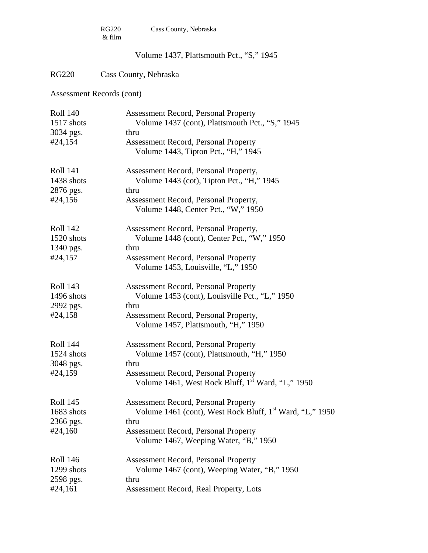|                 | <b>RG220</b><br>Cass County, Nebraska<br>& film                                    |  |
|-----------------|------------------------------------------------------------------------------------|--|
|                 | Volume 1437, Plattsmouth Pct., "S," 1945                                           |  |
| <b>RG220</b>    | Cass County, Nebraska                                                              |  |
|                 | Assessment Records (cont)                                                          |  |
| <b>Roll 140</b> | <b>Assessment Record, Personal Property</b>                                        |  |
| $1517$ shots    | Volume 1437 (cont), Plattsmouth Pct., "S," 1945                                    |  |
| 3034 pgs.       | thru                                                                               |  |
| #24,154         | <b>Assessment Record, Personal Property</b><br>Volume 1443, Tipton Pct., "H," 1945 |  |
| <b>Roll 141</b> | Assessment Record, Personal Property,                                              |  |
| 1438 shots      | Volume 1443 (cot), Tipton Pct., "H," 1945                                          |  |
| 2876 pgs.       | thru                                                                               |  |
| #24,156         | Assessment Record, Personal Property,                                              |  |
|                 | Volume 1448, Center Pct., "W," 1950                                                |  |
| <b>Roll 142</b> | Assessment Record, Personal Property,                                              |  |
| 1520 shots      | Volume 1448 (cont), Center Pct., "W," 1950                                         |  |
| 1340 pgs.       | thru                                                                               |  |
| #24,157         | <b>Assessment Record, Personal Property</b>                                        |  |
|                 | Volume 1453, Louisville, "L," 1950                                                 |  |
| <b>Roll 143</b> | <b>Assessment Record, Personal Property</b>                                        |  |
| 1496 shots      | Volume 1453 (cont), Louisville Pct., "L," 1950                                     |  |
| 2992 pgs.       | thru                                                                               |  |
| #24,158         | Assessment Record, Personal Property,<br>Volume 1457, Plattsmouth, "H," 1950       |  |
| <b>Roll 144</b> | <b>Assessment Record, Personal Property</b>                                        |  |
| 1524 shots      | Volume 1457 (cont), Plattsmouth, "H," 1950                                         |  |
| 3048 pgs.       | thru                                                                               |  |
| #24,159         | <b>Assessment Record, Personal Property</b>                                        |  |
|                 | Volume 1461, West Rock Bluff, 1 <sup>st</sup> Ward, "L," 1950                      |  |
| <b>Roll 145</b> | <b>Assessment Record, Personal Property</b>                                        |  |
| 1683 shots      | Volume 1461 (cont), West Rock Bluff, 1 <sup>st</sup> Ward, "L," 1950               |  |
| 2366 pgs.       | thru                                                                               |  |
| #24,160         | <b>Assessment Record, Personal Property</b>                                        |  |
|                 | Volume 1467, Weeping Water, "B," 1950                                              |  |
| <b>Roll 146</b> | <b>Assessment Record, Personal Property</b>                                        |  |

1299 shots Volume 1467 (cont), Weeping Water, "B," 1950<br>2598 pgs. thru 2598 pgs.<br>#24,161 Assessment Record, Real Property, Lots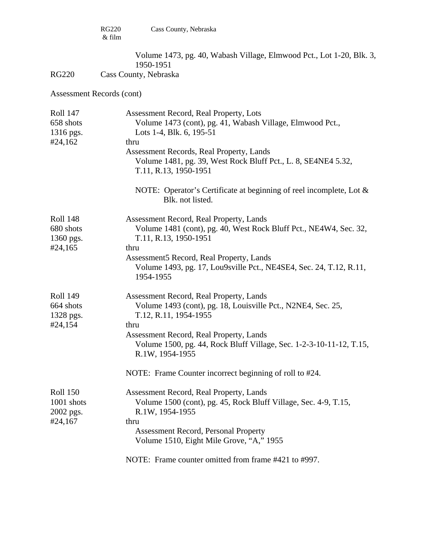Volume 1473, pg. 40, Wabash Village, Elmwood Pct., Lot 1-20, Blk. 3,

1950-1951<br>RG220 Cass County, Nebrask Cass County, Nebraska

| <b>Roll 147</b><br>658 shots<br>1316 pgs.<br>#24,162 | Assessment Record, Real Property, Lots<br>Volume 1473 (cont), pg. 41, Wabash Village, Elmwood Pct.,<br>Lots 1-4, Blk. 6, 195-51<br>thru<br>Assessment Records, Real Property, Lands<br>Volume 1481, pg. 39, West Rock Bluff Pct., L. 8, SE4NE4 5.32,<br>T.11, R.13, 1950-1951<br>NOTE: Operator's Certificate at beginning of reel incomplete, Lot & |
|------------------------------------------------------|------------------------------------------------------------------------------------------------------------------------------------------------------------------------------------------------------------------------------------------------------------------------------------------------------------------------------------------------------|
|                                                      | Blk. not listed.                                                                                                                                                                                                                                                                                                                                     |
| <b>Roll 148</b><br>680 shots<br>1360 pgs.<br>#24,165 | Assessment Record, Real Property, Lands<br>Volume 1481 (cont), pg. 40, West Rock Bluff Pct., NE4W4, Sec. 32,<br>T.11, R.13, 1950-1951<br>thru                                                                                                                                                                                                        |
|                                                      | Assessment5 Record, Real Property, Lands<br>Volume 1493, pg. 17, Lou9sville Pct., NE4SE4, Sec. 24, T.12, R.11,<br>1954-1955                                                                                                                                                                                                                          |
| <b>Roll 149</b><br>664 shots<br>1328 pgs.            | Assessment Record, Real Property, Lands<br>Volume 1493 (cont), pg. 18, Louisville Pct., N2NE4, Sec. 25,<br>T.12, R.11, 1954-1955                                                                                                                                                                                                                     |
| #24,154                                              | thru<br>Assessment Record, Real Property, Lands<br>Volume 1500, pg. 44, Rock Bluff Village, Sec. 1-2-3-10-11-12, T.15,<br>R.1W, 1954-1955                                                                                                                                                                                                            |
|                                                      | NOTE: Frame Counter incorrect beginning of roll to #24.                                                                                                                                                                                                                                                                                              |
| <b>Roll 150</b><br>1001 shots<br>2002 pgs.           | Assessment Record, Real Property, Lands<br>Volume 1500 (cont), pg. 45, Rock Bluff Village, Sec. 4-9, T.15,<br>R.1W, 1954-1955                                                                                                                                                                                                                        |
| #24,167                                              | thru<br><b>Assessment Record, Personal Property</b><br>Volume 1510, Eight Mile Grove, "A," 1955                                                                                                                                                                                                                                                      |
|                                                      | NOTE: Frame counter omitted from frame #421 to #997.                                                                                                                                                                                                                                                                                                 |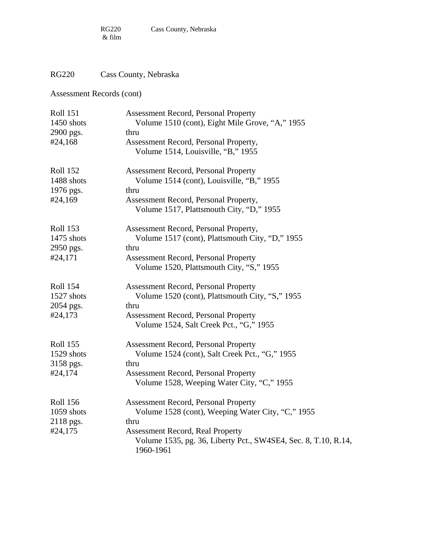# RG220 Cass County, Nebraska

| <b>Roll 151</b> | <b>Assessment Record, Personal Property</b>                                 |
|-----------------|-----------------------------------------------------------------------------|
| 1450 shots      | Volume 1510 (cont), Eight Mile Grove, "A," 1955                             |
| 2900 pgs.       | thru                                                                        |
| #24,168         | Assessment Record, Personal Property,                                       |
|                 | Volume 1514, Louisville, "B," 1955                                          |
| <b>Roll 152</b> | <b>Assessment Record, Personal Property</b>                                 |
| 1488 shots      | Volume 1514 (cont), Louisville, "B," 1955                                   |
| 1976 pgs.       | thru                                                                        |
| #24,169         | Assessment Record, Personal Property,                                       |
|                 | Volume 1517, Plattsmouth City, "D," 1955                                    |
| <b>Roll 153</b> | Assessment Record, Personal Property,                                       |
| 1475 shots      | Volume 1517 (cont), Plattsmouth City, "D," 1955                             |
| 2950 pgs.       | thru                                                                        |
| #24,171         | <b>Assessment Record, Personal Property</b>                                 |
|                 | Volume 1520, Plattsmouth City, "S," 1955                                    |
| <b>Roll 154</b> | <b>Assessment Record, Personal Property</b>                                 |
| 1527 shots      | Volume 1520 (cont), Plattsmouth City, "S," 1955                             |
| 2054 pgs.       | thru                                                                        |
| #24,173         | <b>Assessment Record, Personal Property</b>                                 |
|                 | Volume 1524, Salt Creek Pct., "G," 1955                                     |
| <b>Roll 155</b> | <b>Assessment Record, Personal Property</b>                                 |
| 1529 shots      | Volume 1524 (cont), Salt Creek Pct., "G," 1955                              |
| 3158 pgs.       | thru                                                                        |
| #24,174         | <b>Assessment Record, Personal Property</b>                                 |
|                 | Volume 1528, Weeping Water City, "C," 1955                                  |
| <b>Roll 156</b> | <b>Assessment Record, Personal Property</b>                                 |
| 1059 shots      | Volume 1528 (cont), Weeping Water City, "C," 1955                           |
| 2118 pgs.       | thru                                                                        |
| #24,175         | <b>Assessment Record, Real Property</b>                                     |
|                 | Volume 1535, pg. 36, Liberty Pct., SW4SE4, Sec. 8, T.10, R.14,<br>1960-1961 |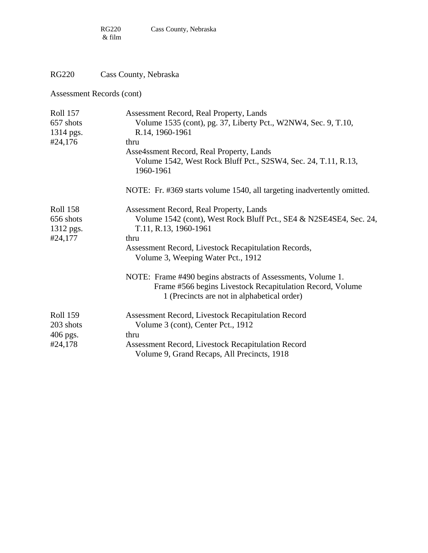#### RG220 Cass County, Nebraska

| <b>Roll 157</b>              | Assessment Record, Real Property, Lands                                                                                 |  |  |
|------------------------------|-------------------------------------------------------------------------------------------------------------------------|--|--|
| 657 shots                    | Volume 1535 (cont), pg. 37, Liberty Pct., W2NW4, Sec. 9, T.10,                                                          |  |  |
| 1314 pgs.                    | R.14, 1960-1961                                                                                                         |  |  |
| #24,176                      | thru                                                                                                                    |  |  |
|                              | Asse4ssment Record, Real Property, Lands<br>Volume 1542, West Rock Bluff Pct., S2SW4, Sec. 24, T.11, R.13,<br>1960-1961 |  |  |
|                              | NOTE: Fr. #369 starts volume 1540, all targeting inadvertently omitted.                                                 |  |  |
| <b>Roll 158</b><br>656 shots | Assessment Record, Real Property, Lands<br>Volume 1542 (cont), West Rock Bluff Pct., SE4 & N2SE4SE4, Sec. 24,           |  |  |
| 1312 pgs.                    | T.11, R.13, 1960-1961                                                                                                   |  |  |
| #24,177                      | thru                                                                                                                    |  |  |
|                              | Assessment Record, Livestock Recapitulation Records,<br>Volume 3, Weeping Water Pct., 1912                              |  |  |
|                              | NOTE: Frame #490 begins abstracts of Assessments, Volume 1.                                                             |  |  |
|                              | Frame #566 begins Livestock Recapitulation Record, Volume<br>1 (Precincts are not in alphabetical order)                |  |  |
| <b>Roll 159</b>              | Assessment Record, Livestock Recapitulation Record                                                                      |  |  |
| 203 shots                    | Volume 3 (cont), Center Pct., 1912                                                                                      |  |  |
| 406 pgs.                     | thru                                                                                                                    |  |  |
| #24,178                      | Assessment Record, Livestock Recapitulation Record<br>Volume 9, Grand Recaps, All Precincts, 1918                       |  |  |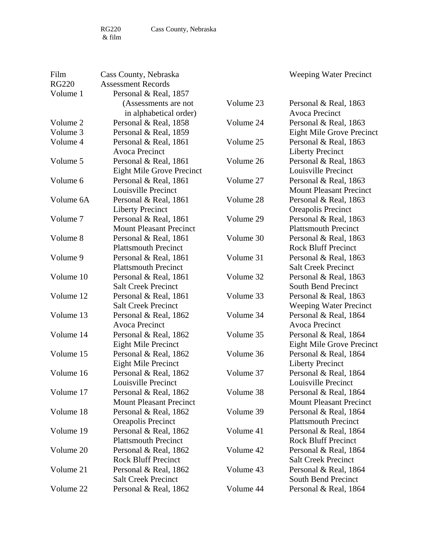Film Cass County, Nebraska

RG220 Assessment Records Volume 1 Personal & Real, 1857 (Assessments are not in alphabetical order) Volume 2 Personal & Real, 1858 Volume 3 Personal & Real, 1859 Volume 4 Personal & Real, 1861 Avoca Precinct Volume 5 Personal & Real, 1861 Eight Mile Grove Precinct Volume 6 Personal & Real, 1861 Louisville Precinct Volume 6A Personal & Real, 1861 Liberty Precinct Volume 7 Personal & Real, 1861 Mount Pleasant Precinct Volume 8 Personal & Real, 1861 Plattsmouth Precinct Volume 9 Personal & Real, 1861 Plattsmouth Precinct Volume 10 Personal & Real, 1861 Salt Creek Precinct Volume 12 Personal & Real, 1861 Salt Creek Precinct Volume 13 Personal & Real, 1862 Avoca Precinct Volume 14 Personal & Real, 1862 Eight Mile Precinct Volume 15 Personal & Real, 1862 Eight Mile Precinct Volume 16 Personal & Real, 1862 Louisville Precinct Volume 17 Personal & Real, 1862 Mount Pleasant Precinct Volume 18 Personal & Real, 1862 Oreapolis Precinct Volume 19 Personal & Real, 1862 Plattsmouth Precinct Volume 20 Personal & Real, 1862 Rock Bluff Precinct Volume 21 Personal & Real, 1862 Salt Creek Precinct Volume 22 Personal & Real, 1862 Volume 23 Personal & Real, 1863 Avoca Precinct Volume 24 Personal & Real, 1863 Eight Mile Grove Precinct Volume 25 Personal & Real, 1863 Liberty Precinct Volume 26 Personal & Real, 1863 Louisville Precinct Volume 27 Personal & Real, 1863 Mount Pleasant Precinct Volume 28 Personal & Real, 1863 Oreapolis Precinct Volume 29 Personal & Real, 1863 Plattsmouth Precinct Volume 30 Personal & Real, 1863 Rock Bluff Precinct Volume 31 Personal & Real, 1863 Salt Creek Precinct Volume 32 Personal & Real, 1863 South Bend Precinct Volume 33 Personal & Real, 1863 Weeping Water Precinct Volume 34 Personal & Real, 1864 Avoca Precinct Volume 35 Personal & Real, 1864 Eight Mile Grove Precinct Volume 36 Personal & Real, 1864 Liberty Precinct Volume 37 Personal & Real, 1864 Louisville Precinct Volume 38 Personal & Real, 1864 Mount Pleasant Precinct Volume 39 Personal & Real, 1864 Plattsmouth Precinct Volume 41 Personal & Real, 1864 Rock Bluff Precinct Volume 42 Personal & Real, 1864 Salt Creek Precinct Volume 43 Personal & Real, 1864 South Bend Precinct Volume 44 Personal & Real, 1864

Weeping Water Precinct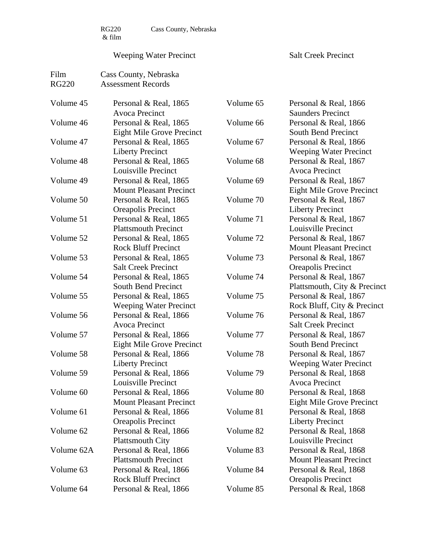$\begin{array}{c} \tt RG220 \\ \& \ \tt film \end{array}$ 

Film Cass County, Nebraska

#### Weeping Water Precinct

Salt Creek Precinct

| <b>RG220</b> | <b>Assessment Records</b>               |           |                                                   |
|--------------|-----------------------------------------|-----------|---------------------------------------------------|
| Volume 45    | Personal & Real, 1865<br>Avoca Precinct | Volume 65 | Personal & Real, 1866<br><b>Saunders Precinct</b> |
| Volume 46    | Personal & Real, 1865                   | Volume 66 | Personal & Real, 1866                             |
|              | <b>Eight Mile Grove Precinct</b>        |           | <b>South Bend Precinct</b>                        |
| Volume 47    | Personal & Real, 1865                   | Volume 67 | Personal & Real, 1866                             |
|              | <b>Liberty Precinct</b>                 |           | <b>Weeping Water Precinct</b>                     |
| Volume 48    | Personal & Real, 1865                   | Volume 68 | Personal & Real, 1867                             |
|              | Louisville Precinct                     |           | Avoca Precinct                                    |
| Volume 49    | Personal & Real, 1865                   | Volume 69 | Personal & Real, 1867                             |
|              | <b>Mount Pleasant Precinct</b>          |           | <b>Eight Mile Grove Precinct</b>                  |
| Volume 50    | Personal & Real, 1865                   | Volume 70 | Personal & Real, 1867                             |
|              | Oreapolis Precinct                      |           | <b>Liberty Precinct</b>                           |
| Volume 51    | Personal & Real, 1865                   | Volume 71 | Personal & Real, 1867                             |
|              | <b>Plattsmouth Precinct</b>             |           | Louisville Precinct                               |
| Volume 52    | Personal & Real, 1865                   | Volume 72 | Personal & Real, 1867                             |
|              | <b>Rock Bluff Precinct</b>              |           | <b>Mount Pleasant Precinct</b>                    |
| Volume 53    | Personal & Real, 1865                   | Volume 73 | Personal & Real, 1867                             |
|              | <b>Salt Creek Precinct</b>              |           | Oreapolis Precinct                                |
| Volume 54    | Personal & Real, 1865                   | Volume 74 | Personal & Real, 1867                             |
|              | <b>South Bend Precinct</b>              |           | Plattsmouth, City & Precinct                      |
| Volume 55    | Personal & Real, 1865                   | Volume 75 | Personal & Real, 1867                             |
|              | <b>Weeping Water Precinct</b>           |           | Rock Bluff, City & Precinct                       |
| Volume 56    | Personal & Real, 1866                   | Volume 76 | Personal & Real, 1867                             |
|              | <b>Avoca Precinct</b>                   |           | <b>Salt Creek Precinct</b>                        |
| Volume 57    | Personal & Real, 1866                   | Volume 77 | Personal & Real, 1867                             |
|              | <b>Eight Mile Grove Precinct</b>        |           | <b>South Bend Precinct</b>                        |
| Volume 58    | Personal & Real, 1866                   | Volume 78 | Personal & Real, 1867                             |
|              | <b>Liberty Precinct</b>                 |           | <b>Weeping Water Precinct</b>                     |
| Volume 59    | Personal & Real, 1866                   | Volume 79 | Personal & Real, 1868                             |
|              | Louisville Precinct                     |           | Avoca Precinct                                    |
| Volume 60    | Personal & Real, 1866                   | Volume 80 | Personal & Real, 1868                             |
|              | <b>Mount Pleasant Precinct</b>          |           | <b>Eight Mile Grove Precinct</b>                  |
| Volume 61    | Personal & Real, 1866                   | Volume 81 | Personal & Real, 1868                             |
|              | <b>Oreapolis Precinct</b>               |           | <b>Liberty Precinct</b>                           |
| Volume 62    | Personal & Real, 1866                   | Volume 82 | Personal & Real, 1868                             |
|              | <b>Plattsmouth City</b>                 |           | Louisville Precinct                               |
| Volume 62A   | Personal & Real, 1866                   | Volume 83 | Personal & Real, 1868                             |
|              | <b>Plattsmouth Precinct</b>             |           | <b>Mount Pleasant Precinct</b>                    |
| Volume 63    | Personal & Real, 1866                   | Volume 84 | Personal & Real, 1868                             |
|              | <b>Rock Bluff Precinct</b>              |           | <b>Oreapolis Precinct</b>                         |
| Volume 64    | Personal & Real, 1866                   | Volume 85 | Personal & Real, 1868                             |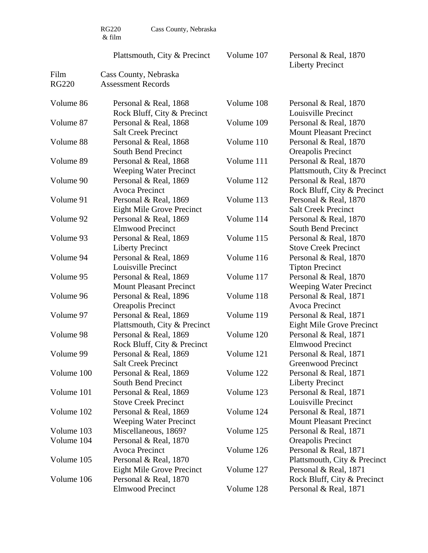RG220 Cass County, Nebraska

Film Cass County, Nebraska

Plattsmouth, City & Precinct

Volume 107 Personal & Real, 1870 Liberty Precinct

| <b>RG220</b>             | <b>Assessment Records</b>                               |            |                                                         |
|--------------------------|---------------------------------------------------------|------------|---------------------------------------------------------|
| Volume 86                | Personal & Real, 1868<br>Rock Bluff, City & Precinct    | Volume 108 | Personal & Real, 1870<br>Louisville Precinct            |
| Volume 87                | Personal & Real, 1868<br><b>Salt Creek Precinct</b>     | Volume 109 | Personal & Real, 1870<br><b>Mount Pleasant Precinct</b> |
| Volume 88                | Personal & Real, 1868<br><b>South Bend Precinct</b>     | Volume 110 | Personal & Real, 1870<br><b>Oreapolis Precinct</b>      |
| Volume 89                | Personal & Real, 1868<br><b>Weeping Water Precinct</b>  | Volume 111 | Personal & Real, 1870<br>Plattsmouth, City & Precinct   |
| Volume 90                | Personal & Real, 1869<br><b>Avoca Precinct</b>          | Volume 112 | Personal & Real, 1870<br>Rock Bluff, City & Precinct    |
| Volume 91                | Personal & Real, 1869<br>Eight Mile Grove Precinct      | Volume 113 | Personal & Real, 1870<br><b>Salt Creek Precinct</b>     |
| Volume 92                | Personal & Real, 1869<br><b>Elmwood Precinct</b>        | Volume 114 | Personal & Real, 1870<br><b>South Bend Precinct</b>     |
| Volume 93                | Personal & Real, 1869<br><b>Liberty Precinct</b>        | Volume 115 | Personal & Real, 1870<br><b>Stove Creek Precinct</b>    |
| Volume 94                | Personal & Real, 1869<br>Louisville Precinct            | Volume 116 | Personal & Real, 1870<br><b>Tipton Precinct</b>         |
| Volume 95                | Personal & Real, 1869<br><b>Mount Pleasant Precinct</b> | Volume 117 | Personal & Real, 1870<br><b>Weeping Water Precinct</b>  |
| Volume 96                | Personal & Real, 1896<br>Oreapolis Precinct             | Volume 118 | Personal & Real, 1871<br>Avoca Precinct                 |
| Volume 97                | Personal & Real, 1869<br>Plattsmouth, City & Precinct   | Volume 119 | Personal & Real, 1871<br>Eight Mile Grove Precinct      |
| Volume 98                | Personal & Real, 1869<br>Rock Bluff, City & Precinct    | Volume 120 | Personal & Real, 1871<br><b>Elmwood Precinct</b>        |
| Volume 99                | Personal & Real, 1869<br><b>Salt Creek Precinct</b>     | Volume 121 | Personal & Real, 1871<br>Greenwood Precinct             |
| Volume 100               | Personal & Real, 1869<br>South Bend Precinct            | Volume 122 | Personal & Real, 1871<br><b>Liberty Precinct</b>        |
| Volume 101               | Personal & Real, 1869<br><b>Stove Creek Precinct</b>    | Volume 123 | Personal & Real, 1871<br>Louisville Precinct            |
| Volume 102               | Personal & Real, 1869<br><b>Weeping Water Precinct</b>  | Volume 124 | Personal & Real, 1871<br><b>Mount Pleasant Precinct</b> |
| Volume 103<br>Volume 104 | Miscellaneous, 1869?<br>Personal & Real, 1870           | Volume 125 | Personal & Real, 1871<br>Oreapolis Precinct             |
| Volume 105               | Avoca Precinct<br>Personal & Real, 1870                 | Volume 126 | Personal & Real, 1871<br>Plattsmouth, City & Precinct   |
| Volume 106               | <b>Eight Mile Grove Precinct</b>                        | Volume 127 | Personal & Real, 1871                                   |
|                          | Personal & Real, 1870<br><b>Elmwood Precinct</b>        | Volume 128 | Rock Bluff, City & Precinct<br>Personal & Real, 1871    |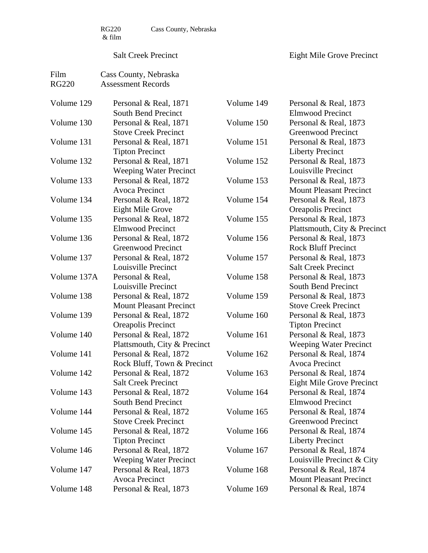RG220 Cass County, Nebraska

#### Salt Creek Precinct

| Film         | Cass County, Nebraska          |            |                                |
|--------------|--------------------------------|------------|--------------------------------|
| <b>RG220</b> | <b>Assessment Records</b>      |            |                                |
|              |                                |            |                                |
| Volume 129   | Personal & Real, 1871          | Volume 149 | Personal & Real, 1873          |
|              | South Bend Precinct            |            | <b>Elmwood Precinct</b>        |
| Volume 130   | Personal & Real, 1871          | Volume 150 | Personal & Real, 1873          |
|              | <b>Stove Creek Precinct</b>    |            | Greenwood Precinct             |
| Volume 131   | Personal & Real, 1871          | Volume 151 | Personal & Real, 1873          |
|              | <b>Tipton Precinct</b>         |            | <b>Liberty Precinct</b>        |
| Volume 132   | Personal & Real, 1871          | Volume 152 | Personal & Real, 1873          |
|              | <b>Weeping Water Precinct</b>  |            | Louisville Precinct            |
| Volume 133   | Personal & Real, 1872          | Volume 153 | Personal & Real, 1873          |
|              | <b>Avoca Precinct</b>          |            | <b>Mount Pleasant Precinct</b> |
| Volume 134   | Personal & Real, 1872          | Volume 154 | Personal & Real, 1873          |
|              | <b>Eight Mile Grove</b>        |            | Oreapolis Precinct             |
| Volume 135   | Personal & Real, 1872          | Volume 155 | Personal & Real, 1873          |
|              | <b>Elmwood Precinct</b>        |            | Plattsmouth, City & Precinct   |
| Volume 136   | Personal & Real, 1872          | Volume 156 | Personal & Real, 1873          |
|              | <b>Greenwood Precinct</b>      |            | <b>Rock Bluff Precinct</b>     |
| Volume 137   | Personal & Real, 1872          | Volume 157 | Personal & Real, 1873          |
|              | Louisville Precinct            |            | <b>Salt Creek Precinct</b>     |
| Volume 137A  | Personal & Real,               | Volume 158 | Personal & Real, 1873          |
|              | Louisville Precinct            |            | <b>South Bend Precinct</b>     |
| Volume 138   | Personal & Real, 1872          | Volume 159 | Personal & Real, 1873          |
|              | <b>Mount Pleasant Precinct</b> |            | <b>Stove Creek Precinct</b>    |
| Volume 139   | Personal & Real, 1872          | Volume 160 | Personal & Real, 1873          |
|              | Oreapolis Precinct             |            | <b>Tipton Precinct</b>         |
| Volume 140   | Personal & Real, 1872          | Volume 161 | Personal & Real, 1873          |
|              | Plattsmouth, City & Precinct   |            | <b>Weeping Water Precinct</b>  |
| Volume 141   | Personal & Real, 1872          | Volume 162 | Personal & Real, 1874          |
|              | Rock Bluff, Town & Precinct    |            | <b>Avoca Precinct</b>          |
| Volume 142   | Personal & Real, 1872          | Volume 163 | Personal & Real, 1874          |
|              | <b>Salt Creek Precinct</b>     |            | Eight Mile Grove Precinct      |
| Volume 143   | Personal & Real, 1872          | Volume 164 | Personal & Real, 1874          |
|              | <b>South Bend Precinct</b>     |            | Elmwood Precinct               |
| Volume 144   | Personal & Real, 1872          | Volume 165 | Personal & Real, 1874          |
|              | <b>Stove Creek Precinct</b>    |            | <b>Greenwood Precinct</b>      |
| Volume 145   | Personal & Real, 1872          | Volume 166 | Personal & Real, 1874          |
|              | <b>Tipton Precinct</b>         |            | <b>Liberty Precinct</b>        |
| Volume 146   | Personal & Real, 1872          | Volume 167 | Personal & Real, 1874          |
|              | <b>Weeping Water Precinct</b>  |            | Louisville Precinct & City     |
| Volume 147   | Personal & Real, 1873          | Volume 168 | Personal & Real, 1874          |
|              | Avoca Precinct                 |            | <b>Mount Pleasant Precinct</b> |
| Volume 148   | Personal & Real, 1873          | Volume 169 | Personal & Real, 1874          |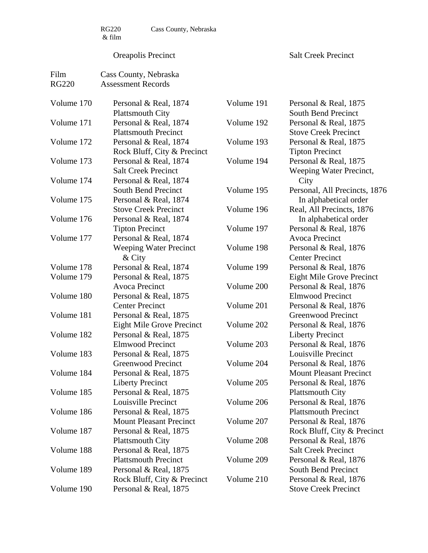RG220 Cass County, Nebraska

#### Oreapolis Precinct

Salt Creek Precinct

| Film         | Cass County, Nebraska          |            |                                |
|--------------|--------------------------------|------------|--------------------------------|
| <b>RG220</b> | <b>Assessment Records</b>      |            |                                |
|              |                                |            |                                |
| Volume 170   | Personal & Real, 1874          | Volume 191 | Personal & Real, 1875          |
|              | <b>Plattsmouth City</b>        |            | <b>South Bend Precinct</b>     |
| Volume 171   | Personal & Real, 1874          | Volume 192 | Personal & Real, 1875          |
|              | <b>Plattsmouth Precinct</b>    |            | <b>Stove Creek Precinct</b>    |
| Volume 172   | Personal & Real, 1874          | Volume 193 | Personal & Real, 1875          |
|              | Rock Bluff, City & Precinct    |            | <b>Tipton Precinct</b>         |
| Volume 173   | Personal & Real, 1874          | Volume 194 | Personal & Real, 1875          |
|              | <b>Salt Creek Precinct</b>     |            | Weeping Water Precinct,        |
| Volume 174   | Personal & Real, 1874          |            | City                           |
|              | <b>South Bend Precinct</b>     | Volume 195 | Personal, All Precincts, 1876  |
| Volume 175   | Personal & Real, 1874          |            | In alphabetical order          |
|              | <b>Stove Creek Precinct</b>    | Volume 196 | Real, All Precincts, 1876      |
| Volume 176   | Personal & Real, 1874          |            | In alphabetical order          |
|              | <b>Tipton Precinct</b>         | Volume 197 | Personal & Real, 1876          |
| Volume 177   | Personal & Real, 1874          |            | <b>Avoca Precinct</b>          |
|              | <b>Weeping Water Precinct</b>  | Volume 198 | Personal & Real, 1876          |
|              | $&$ City                       |            | <b>Center Precinct</b>         |
| Volume 178   | Personal & Real, 1874          | Volume 199 | Personal & Real, 1876          |
| Volume 179   | Personal & Real, 1875          |            | Eight Mile Grove Precinct      |
|              | <b>Avoca Precinct</b>          | Volume 200 | Personal & Real, 1876          |
| Volume 180   | Personal & Real, 1875          |            | <b>Elmwood Precinct</b>        |
|              | <b>Center Precinct</b>         | Volume 201 | Personal & Real, 1876          |
| Volume 181   | Personal & Real, 1875          |            | <b>Greenwood Precinct</b>      |
|              | Eight Mile Grove Precinct      | Volume 202 | Personal & Real, 1876          |
| Volume 182   | Personal & Real, 1875          |            | <b>Liberty Precinct</b>        |
|              | <b>Elmwood Precinct</b>        | Volume 203 | Personal & Real, 1876          |
| Volume 183   | Personal & Real, 1875          |            | Louisville Precinct            |
|              | <b>Greenwood Precinct</b>      | Volume 204 | Personal & Real, 1876          |
| Volume 184   | Personal & Real, 1875          |            | <b>Mount Pleasant Precinct</b> |
|              | Liberty Precinct               | Volume 205 | Personal & Real, 1876          |
| Volume 185   | Personal & Real, 1875          |            | <b>Plattsmouth City</b>        |
|              | Louisville Precinct            | Volume 206 | Personal & Real, 1876          |
| Volume 186   | Personal & Real, 1875          |            | <b>Plattsmouth Precinct</b>    |
|              | <b>Mount Pleasant Precinct</b> | Volume 207 | Personal & Real, 1876          |
| Volume 187   | Personal & Real, 1875          |            | Rock Bluff, City & Precinct    |
|              | <b>Plattsmouth City</b>        | Volume 208 | Personal & Real, 1876          |
| Volume 188   | Personal & Real, 1875          |            | <b>Salt Creek Precinct</b>     |
|              | <b>Plattsmouth Precinct</b>    | Volume 209 | Personal & Real, 1876          |
| Volume 189   | Personal & Real, 1875          |            | South Bend Precinct            |
|              | Rock Bluff, City & Precinct    | Volume 210 | Personal & Real, 1876          |
| Volume 190   | Personal & Real, 1875          |            | <b>Stove Creek Precinct</b>    |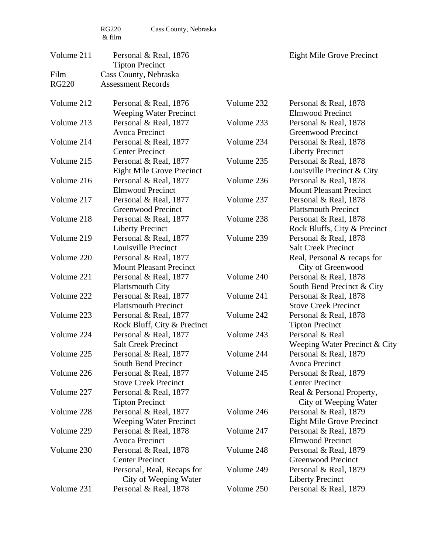| Volume 211   | Personal & Real, 1876<br><b>Tipton Precinct</b>                          |            | <b>Eight Mile Grove Precinct</b>                                                     |
|--------------|--------------------------------------------------------------------------|------------|--------------------------------------------------------------------------------------|
| Film         | Cass County, Nebraska                                                    |            |                                                                                      |
| <b>RG220</b> | <b>Assessment Records</b>                                                |            |                                                                                      |
| Volume 212   | Personal & Real, 1876                                                    | Volume 232 | Personal & Real, 1878                                                                |
| Volume 213   | <b>Weeping Water Precinct</b><br>Personal & Real, 1877                   | Volume 233 | <b>Elmwood Precinct</b><br>Personal & Real, 1878                                     |
| Volume 214   | Avoca Precinct<br>Personal & Real, 1877                                  | Volume 234 | Greenwood Precinct<br>Personal & Real, 1878                                          |
| Volume 215   | <b>Center Precinct</b><br>Personal & Real, 1877                          | Volume 235 | <b>Liberty Precinct</b><br>Personal & Real, 1878                                     |
| Volume 216   | <b>Eight Mile Grove Precinct</b><br>Personal & Real, 1877                | Volume 236 | Louisville Precinct & City<br>Personal & Real, 1878                                  |
| Volume 217   | <b>Elmwood Precinct</b><br>Personal & Real, 1877                         | Volume 237 | <b>Mount Pleasant Precinct</b><br>Personal & Real, 1878                              |
| Volume 218   | <b>Greenwood Precinct</b><br>Personal & Real, 1877                       | Volume 238 | <b>Plattsmouth Precinct</b><br>Personal & Real, 1878                                 |
| Volume 219   | <b>Liberty Precinct</b><br>Personal & Real, 1877                         | Volume 239 | Rock Bluffs, City & Precinct<br>Personal & Real, 1878                                |
| Volume 220   | Louisville Precinct<br>Personal & Real, 1877                             |            | <b>Salt Creek Precinct</b><br>Real, Personal & recaps for                            |
| Volume 221   | <b>Mount Pleasant Precinct</b><br>Personal & Real, 1877                  | Volume 240 | City of Greenwood<br>Personal & Real, 1878                                           |
| Volume 222   | <b>Plattsmouth City</b><br>Personal & Real, 1877                         | Volume 241 | South Bend Precinct & City<br>Personal & Real, 1878                                  |
| Volume 223   | <b>Plattsmouth Precinct</b><br>Personal & Real, 1877                     | Volume 242 | <b>Stove Creek Precinct</b><br>Personal & Real, 1878                                 |
| Volume 224   | Rock Bluff, City & Precinct<br>Personal & Real, 1877                     | Volume 243 | <b>Tipton Precinct</b><br>Personal & Real                                            |
| Volume 225   | <b>Salt Creek Precinct</b><br>Personal & Real, 1877                      | Volume 244 | Weeping Water Precinct & City<br>Personal & Real, 1879                               |
| Volume 226   | South Bend Precinct<br>Personal & Real, 1877                             | Volume 245 | Avoca Precinct<br>Personal & Real, 1879                                              |
| Volume 227   | <b>Stove Creek Precinct</b><br>Personal & Real, 1877                     |            | <b>Center Precinct</b><br>Real & Personal Property,                                  |
| Volume 228   | <b>Tipton Precinct</b><br>Personal & Real, 1877                          | Volume 246 | City of Weeping Water<br>Personal & Real, 1879                                       |
| Volume 229   | <b>Weeping Water Precinct</b><br>Personal & Real, 1878<br>Avoca Precinct | Volume 247 | <b>Eight Mile Grove Precinct</b><br>Personal & Real, 1879<br><b>Elmwood Precinct</b> |
| Volume 230   | Personal & Real, 1878<br><b>Center Precinct</b>                          | Volume 248 | Personal & Real, 1879<br>Greenwood Precinct                                          |
|              | Personal, Real, Recaps for<br>City of Weeping Water                      | Volume 249 | Personal & Real, 1879<br><b>Liberty Precinct</b>                                     |
| Volume 231   | Personal & Real, 1878                                                    | Volume 250 | Personal & Real, 1879                                                                |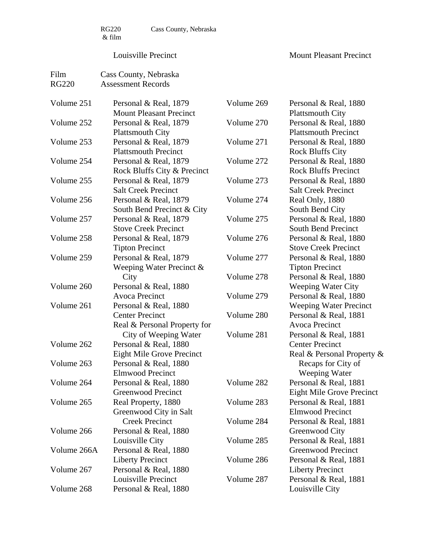#### Louisville Precinct

| Film         | Cass County, Nebraska            |            |                                                      |
|--------------|----------------------------------|------------|------------------------------------------------------|
| <b>RG220</b> | <b>Assessment Records</b>        |            |                                                      |
| Volume 251   | Personal & Real, 1879            | Volume 269 | Personal & Real, 1880                                |
|              | <b>Mount Pleasant Precinct</b>   |            | <b>Plattsmouth City</b>                              |
| Volume 252   | Personal & Real, 1879            | Volume 270 | Personal & Real, 1880                                |
|              | <b>Plattsmouth City</b>          |            | <b>Plattsmouth Precinct</b>                          |
| Volume 253   | Personal & Real, 1879            | Volume 271 | Personal & Real, 1880                                |
|              | <b>Plattsmouth Precinct</b>      |            | <b>Rock Bluffs City</b>                              |
| Volume 254   | Personal & Real, 1879            | Volume 272 | Personal & Real, 1880                                |
|              | Rock Bluffs City & Precinct      |            | <b>Rock Bluffs Precinct</b>                          |
| Volume 255   | Personal & Real, 1879            | Volume 273 | Personal & Real, 1880                                |
|              | <b>Salt Creek Precinct</b>       |            | <b>Salt Creek Precinct</b>                           |
| Volume 256   | Personal & Real, 1879            | Volume 274 | Real Only, 1880                                      |
|              | South Bend Precinct & City       |            | South Bend City                                      |
| Volume 257   | Personal & Real, 1879            | Volume 275 | Personal & Real, 1880                                |
|              | <b>Stove Creek Precinct</b>      |            | <b>South Bend Precinct</b>                           |
| Volume 258   |                                  | Volume 276 |                                                      |
|              | Personal & Real, 1879            |            | Personal & Real, 1880<br><b>Stove Creek Precinct</b> |
|              | <b>Tipton Precinct</b>           |            |                                                      |
| Volume 259   | Personal & Real, 1879            | Volume 277 | Personal & Real, 1880                                |
|              | Weeping Water Precinct $\&$      |            | <b>Tipton Precinct</b>                               |
|              | City                             | Volume 278 | Personal & Real, 1880                                |
| Volume 260   | Personal & Real, 1880            |            | <b>Weeping Water City</b>                            |
|              | <b>Avoca Precinct</b>            | Volume 279 | Personal & Real, 1880                                |
| Volume 261   | Personal & Real, 1880            |            | <b>Weeping Water Precinct</b>                        |
|              | <b>Center Precinct</b>           | Volume 280 | Personal & Real, 1881                                |
|              | Real & Personal Property for     |            | <b>Avoca Precinct</b>                                |
|              | City of Weeping Water            | Volume 281 | Personal & Real, 1881                                |
| Volume 262   | Personal & Real, 1880            |            | <b>Center Precinct</b>                               |
|              | <b>Eight Mile Grove Precinct</b> |            | Real & Personal Property &                           |
| Volume 263   | Personal & Real, 1880            |            | Recaps for City of                                   |
|              | <b>Elmwood Precinct</b>          |            | Weeping Water                                        |
| Volume 264   | Personal & Real, 1880            | Volume 282 | Personal & Real, 1881                                |
|              | <b>Greenwood Precinct</b>        |            | <b>Eight Mile Grove Precinct</b>                     |
| Volume 265   | Real Property, 1880              | Volume 283 | Personal & Real, 1881                                |
|              | Greenwood City in Salt           |            | <b>Elmwood Precinct</b>                              |
|              | <b>Creek Precinct</b>            | Volume 284 | Personal & Real, 1881                                |
| Volume 266   | Personal & Real, 1880            |            | Greenwood City                                       |
|              | Louisville City                  | Volume 285 | Personal & Real, 1881                                |
| Volume 266A  | Personal & Real, 1880            |            | Greenwood Precinct                                   |
|              | <b>Liberty Precinct</b>          | Volume 286 | Personal & Real, 1881                                |
| Volume 267   | Personal & Real, 1880            |            | <b>Liberty Precinct</b>                              |
|              | Louisville Precinct              | Volume 287 | Personal & Real, 1881                                |
| Volume 268   | Personal & Real, 1880            |            | Louisville City                                      |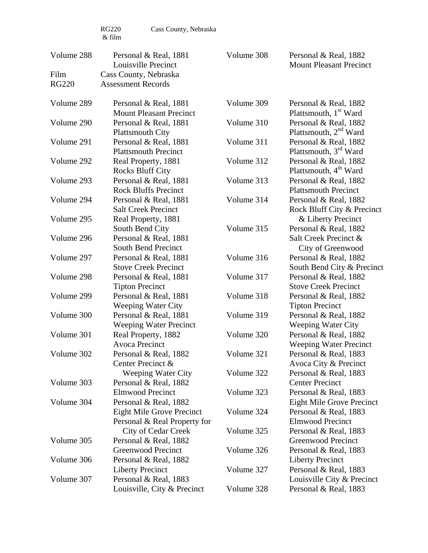RG220 Cass County, Nebraska

| Volume 288   | Personal & Real, 1881<br>Louisville Precinct                                  | Volume 308               | Personal & Real, 1882<br><b>Mount Pleasant Precinct</b>                       |
|--------------|-------------------------------------------------------------------------------|--------------------------|-------------------------------------------------------------------------------|
| Film         | Cass County, Nebraska                                                         |                          |                                                                               |
| <b>RG220</b> | <b>Assessment Records</b>                                                     |                          |                                                                               |
| Volume 289   | Personal & Real, 1881<br><b>Mount Pleasant Precinct</b>                       | Volume 309               | Personal & Real, 1882<br>Plattsmouth, 1 <sup>st</sup> Ward                    |
| Volume 290   | Personal & Real, 1881<br><b>Plattsmouth City</b>                              | Volume 310               | Personal & Real, 1882<br>Plattsmouth, 2 <sup>nd</sup> Ward                    |
| Volume 291   | Personal & Real, 1881<br><b>Plattsmouth Precinct</b>                          | Volume 311               | Personal & Real, 1882<br>Plattsmouth, 3 <sup>rd</sup> Ward                    |
| Volume 292   | Real Property, 1881<br><b>Rocks Bluff City</b>                                | Volume 312               | Personal & Real, 1882<br>Plattsmouth, 4 <sup>th</sup> Ward                    |
| Volume 293   | Personal & Real, 1881<br><b>Rock Bluffs Precinct</b>                          | Volume 313               | Personal & Real, 1882<br><b>Plattsmouth Precinct</b>                          |
| Volume 294   | Personal & Real, 1881<br><b>Salt Creek Precinct</b>                           | Volume 314               | Personal & Real, 1882<br>Rock Bluff City & Precinct                           |
| Volume 295   | Real Property, 1881<br>South Bend City                                        | Volume 315               | & Liberty Precinct<br>Personal & Real, 1882                                   |
| Volume 296   | Personal & Real, 1881<br><b>South Bend Precinct</b>                           |                          | Salt Creek Precinct &<br>City of Greenwood                                    |
| Volume 297   | Personal & Real, 1881<br><b>Stove Creek Precinct</b>                          | Volume 316               | Personal & Real, 1882<br>South Bend City & Precinct                           |
| Volume 298   | Personal & Real, 1881<br><b>Tipton Precinct</b>                               | Volume 317               | Personal & Real, 1882<br><b>Stove Creek Precinct</b>                          |
| Volume 299   | Personal & Real, 1881<br><b>Weeping Water City</b>                            | Volume 318               | Personal & Real, 1882<br><b>Tipton Precinct</b>                               |
| Volume 300   | Personal & Real, 1881<br><b>Weeping Water Precinct</b>                        | Volume 319               | Personal & Real, 1882<br><b>Weeping Water City</b>                            |
| Volume 301   | Real Property, 1882<br>Avoca Precinct                                         | Volume 320               | Personal & Real, 1882<br><b>Weeping Water Precinct</b>                        |
| Volume 302   | Personal & Real, 1882<br>Center Precinct &                                    | Volume 321               | Personal & Real, 1883<br>Avoca City & Precinct                                |
| Volume 303   | <b>Weeping Water City</b><br>Personal & Real, 1882<br><b>Elmwood Precinct</b> | Volume 322<br>Volume 323 | Personal & Real, 1883<br><b>Center Precinct</b><br>Personal & Real, 1883      |
| Volume 304   | Personal & Real, 1882<br>Eight Mile Grove Precinct                            | Volume 324               | <b>Eight Mile Grove Precinct</b><br>Personal & Real, 1883                     |
| Volume 305   | Personal & Real Property for<br>City of Cedar Creek<br>Personal & Real, 1882  | Volume 325               | <b>Elmwood Precinct</b><br>Personal & Real, 1883<br><b>Greenwood Precinct</b> |
|              | <b>Greenwood Precinct</b>                                                     | Volume 326               | Personal & Real, 1883                                                         |
| Volume 306   | Personal & Real, 1882<br><b>Liberty Precinct</b>                              | Volume 327               | <b>Liberty Precinct</b><br>Personal & Real, 1883                              |
| Volume 307   | Personal & Real, 1883<br>Louisville, City & Precinct                          | Volume 328               | Louisville City & Precinct<br>Personal & Real, 1883                           |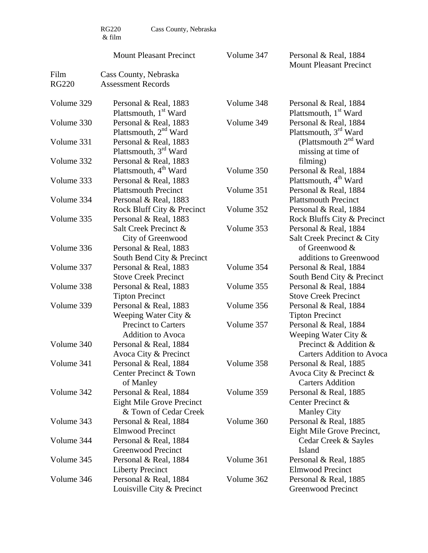$\begin{array}{c} \tt RG220 \\ \& \ \tt film \end{array}$ 

Cass County, Nebraska

|              | <b>Mount Pleasant Precinct</b>                                              | Volume 347 | Personal & Real, 1884<br><b>Mount Pleasant Precinct</b>                     |
|--------------|-----------------------------------------------------------------------------|------------|-----------------------------------------------------------------------------|
| Film         | Cass County, Nebraska                                                       |            |                                                                             |
| <b>RG220</b> | <b>Assessment Records</b>                                                   |            |                                                                             |
| Volume 329   | Personal & Real, 1883<br>Plattsmouth, 1 <sup>st</sup> Ward                  | Volume 348 | Personal & Real, 1884<br>Plattsmouth, 1 <sup>st</sup> Ward                  |
| Volume 330   | Personal & Real, 1883<br>Plattsmouth, 2 <sup>nd</sup> Ward                  | Volume 349 | Personal & Real, 1884<br>Plattsmouth, 3 <sup>rd</sup> Ward                  |
| Volume 331   | Personal & Real, 1883<br>Plattsmouth, 3 <sup>rd</sup> Ward                  |            | (Plattsmouth $2^{nd}$ Ward<br>missing at time of                            |
| Volume 332   | Personal & Real, 1883<br>Plattsmouth, 4 <sup>th</sup> Ward                  | Volume 350 | filming)<br>Personal & Real, 1884                                           |
| Volume 333   | Personal & Real, 1883<br><b>Plattsmouth Precinct</b>                        | Volume 351 | Plattsmouth, 4 <sup>th</sup> Ward<br>Personal & Real, 1884                  |
| Volume 334   | Personal & Real, 1883<br>Rock Bluff City & Precinct                         | Volume 352 | <b>Plattsmouth Precinct</b><br>Personal & Real, 1884                        |
| Volume 335   | Personal & Real, 1883                                                       |            | Rock Bluffs City & Precinct                                                 |
|              | Salt Creek Precinct &<br>City of Greenwood                                  | Volume 353 | Personal & Real, 1884<br>Salt Creek Precinct & City                         |
| Volume 336   | Personal & Real, 1883<br>South Bend City & Precinct                         |            | of Greenwood &<br>additions to Greenwood                                    |
| Volume 337   | Personal & Real, 1883<br><b>Stove Creek Precinct</b>                        | Volume 354 | Personal & Real, 1884<br>South Bend City & Precinct                         |
| Volume 338   | Personal & Real, 1883<br><b>Tipton Precinct</b>                             | Volume 355 | Personal & Real, 1884<br><b>Stove Creek Precinct</b>                        |
| Volume 339   | Personal & Real, 1883<br>Weeping Water City $\&$                            | Volume 356 | Personal & Real, 1884<br><b>Tipton Precinct</b>                             |
|              | <b>Precinct to Carters</b><br><b>Addition to Avoca</b>                      | Volume 357 | Personal & Real, 1884<br>Weeping Water City $\&$                            |
| Volume 340   | Personal & Real, 1884<br>Avoca City & Precinct                              |            | Precinct & Addition &<br><b>Carters Addition to Avoca</b>                   |
| Volume 341   | Personal & Real, 1884<br>Center Precinct & Town<br>of Manley                | Volume 358 | Personal & Real, 1885<br>Avoca City & Precinct &<br><b>Carters Addition</b> |
| Volume 342   | Personal & Real, 1884<br>Eight Mile Grove Precinct<br>& Town of Cedar Creek | Volume 359 | Personal & Real, 1885<br>Center Precinct &<br><b>Manley City</b>            |
| Volume 343   | Personal & Real, 1884<br><b>Elmwood Precinct</b>                            | Volume 360 | Personal & Real, 1885<br>Eight Mile Grove Precinct,                         |
| Volume 344   | Personal & Real, 1884<br>Greenwood Precinct                                 |            | Cedar Creek & Sayles<br>Island                                              |
| Volume 345   | Personal & Real, 1884<br><b>Liberty Precinct</b>                            | Volume 361 | Personal & Real, 1885<br><b>Elmwood Precinct</b>                            |
| Volume 346   | Personal & Real, 1884<br>Louisville City & Precinct                         | Volume 362 | Personal & Real, 1885<br>Greenwood Precinct                                 |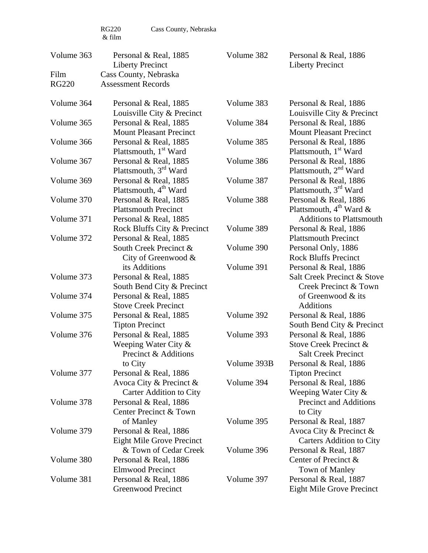RG220 Cass County, Nebraska

| Volume 363   | Personal & Real, 1885<br><b>Liberty Precinct</b>                           | Volume 382                | Personal & Real, 1886<br><b>Liberty Precinct</b>                                       |
|--------------|----------------------------------------------------------------------------|---------------------------|----------------------------------------------------------------------------------------|
| Film         | Cass County, Nebraska                                                      |                           |                                                                                        |
| <b>RG220</b> | <b>Assessment Records</b>                                                  |                           |                                                                                        |
| Volume 364   | Personal & Real, 1885<br>Louisville City & Precinct                        | Volume 383                | Personal & Real, 1886<br>Louisville City & Precinct                                    |
| Volume 365   | Personal & Real, 1885<br><b>Mount Pleasant Precinct</b>                    | Volume 384                | Personal & Real, 1886<br><b>Mount Pleasant Precinct</b>                                |
| Volume 366   | Personal & Real, 1885<br>Plattsmouth, 1 <sup>st</sup> Ward                 | Volume 385                | Personal & Real, 1886<br>Plattsmouth, 1 <sup>st</sup> Ward                             |
| Volume 367   | Personal & Real, 1885<br>Plattsmouth, $3rd$ Ward                           | Volume 386                | Personal & Real, 1886<br>Plattsmouth, $2nd$ Ward                                       |
| Volume 369   | Personal & Real, 1885<br>Plattsmouth, 4 <sup>th</sup> Ward                 | Volume 387                | Personal & Real, 1886<br>Plattsmouth, 3 <sup>rd</sup> Ward                             |
| Volume 370   | Personal & Real, 1885<br><b>Plattsmouth Precinct</b>                       | Volume 388                | Personal & Real, 1886<br>Plattsmouth, $4^{\text{th}}$ Ward &                           |
| Volume 371   | Personal & Real, 1885<br>Rock Bluffs City & Precinct                       | Volume 389                | <b>Additions to Plattsmouth</b><br>Personal & Real, 1886                               |
| Volume 372   | Personal & Real, 1885<br>South Creek Precinct &<br>City of Greenwood $\&$  | Volume 390                | <b>Plattsmouth Precinct</b><br>Personal Only, 1886<br><b>Rock Bluffs Precinct</b>      |
| Volume 373   | its Additions<br>Personal & Real, 1885<br>South Bend City & Precinct       | Volume 391                | Personal & Real, 1886<br>Salt Creek Precinct & Stove<br>Creek Precinct & Town          |
| Volume 374   | Personal & Real, 1885<br><b>Stove Creek Precinct</b>                       |                           | of Greenwood & its<br><b>Additions</b>                                                 |
| Volume 375   | Personal & Real, 1885<br><b>Tipton Precinct</b>                            | Volume 392                | Personal & Real, 1886<br>South Bend City & Precinct                                    |
| Volume 376   | Personal & Real, 1885<br>Weeping Water City $\&$<br>Precinct & Additions   | Volume 393                | Personal & Real, 1886<br>Stove Creek Precinct &<br><b>Salt Creek Precinct</b>          |
| Volume 377   | to City<br>Personal & Real, 1886<br>Avoca City & Precinct &                | Volume 393B<br>Volume 394 | Personal & Real, 1886<br><b>Tipton Precinct</b><br>Personal & Real, 1886               |
| Volume 378   | Carter Addition to City<br>Personal & Real, 1886<br>Center Precinct & Town |                           | Weeping Water City $\&$<br>Precinct and Additions<br>to City                           |
| Volume 379   | of Manley<br>Personal & Real, 1886<br><b>Eight Mile Grove Precinct</b>     | Volume 395                | Personal & Real, 1887<br>Avoca City & Precinct $\&$<br><b>Carters Addition to City</b> |
| Volume 380   | & Town of Cedar Creek<br>Personal & Real, 1886<br><b>Elmwood Precinct</b>  | Volume 396                | Personal & Real, 1887<br>Center of Precinct &<br><b>Town of Manley</b>                 |
| Volume 381   | Personal & Real, 1886<br><b>Greenwood Precinct</b>                         | Volume 397                | Personal & Real, 1887<br><b>Eight Mile Grove Precinct</b>                              |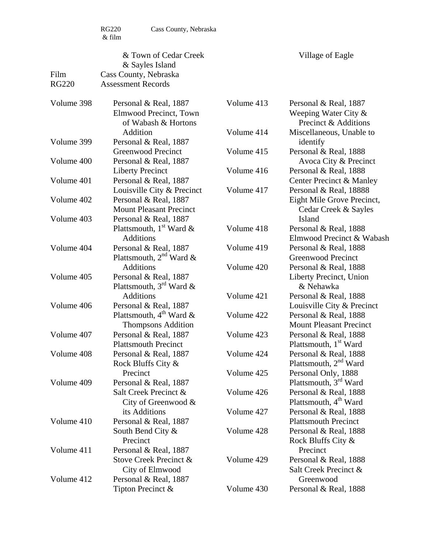RG220 Cass County, Nebraska

| Film<br><b>RG220</b> | & Town of Cedar Creek<br>& Sayles Island<br>Cass County, Nebraska<br><b>Assessment Records</b> |                          | Village of Eagle                                                              |
|----------------------|------------------------------------------------------------------------------------------------|--------------------------|-------------------------------------------------------------------------------|
| Volume 398           | Personal & Real, 1887<br>Elmwood Precinct, Town<br>of Wabash & Hortons                         | Volume 413               | Personal & Real, 1887<br>Weeping Water City $\&$<br>Precinct & Additions      |
| Volume 399           | Addition<br>Personal & Real, 1887                                                              | Volume 414               | Miscellaneous, Unable to<br>identify                                          |
| Volume 400           | <b>Greenwood Precinct</b><br>Personal & Real, 1887                                             | Volume 415               | Personal & Real, 1888<br>Avoca City & Precinct                                |
| Volume 401           | <b>Liberty Precinct</b><br>Personal & Real, 1887                                               | Volume 416               | Personal & Real, 1888<br>Center Precinct & Manley                             |
| Volume 402           | Louisville City & Precinct<br>Personal & Real, 1887                                            | Volume 417               | Personal & Real, 18888<br>Eight Mile Grove Precinct,                          |
| Volume 403           | <b>Mount Pleasant Precinct</b><br>Personal & Real, 1887                                        |                          | Cedar Creek & Sayles<br>Island                                                |
|                      | Plattsmouth, $1st$ Ward &<br><b>Additions</b>                                                  | Volume 418               | Personal & Real, 1888<br>Elmwood Precinct & Wabash                            |
| Volume 404           | Personal & Real, 1887<br>Plattsmouth, $2nd$ Ward &                                             | Volume 419               | Personal & Real, 1888<br>Greenwood Precinct                                   |
| Volume 405           | <b>Additions</b><br>Personal & Real, 1887<br>Plattsmouth, $3^{rd}$ Ward &                      | Volume 420               | Personal & Real, 1888<br>Liberty Precinct, Union<br>& Nehawka                 |
| Volume 406           | Additions<br>Personal & Real, 1887                                                             | Volume 421               | Personal & Real, 1888<br>Louisville City & Precinct                           |
|                      | Plattsmouth, $4^{\text{th}}$ Ward &<br><b>Thompsons Addition</b>                               | Volume 422               | Personal & Real, 1888<br><b>Mount Pleasant Precinct</b>                       |
| Volume 407           | Personal & Real, 1887<br><b>Plattsmouth Precinct</b>                                           | Volume 423               | Personal & Real, 1888<br>Plattsmouth, 1 <sup>st</sup> Ward                    |
| Volume 408           | Personal & Real, 1887<br>Rock Bluffs City &                                                    | Volume 424               | Personal & Real, 1888<br>Plattsmouth, 2 <sup>nd</sup> Ward                    |
| Volume 409           | Precinct<br>Personal & Real, 1887                                                              | Volume 425               | Personal Only, 1888<br>Plattsmouth, 3 <sup>rd</sup> Ward                      |
|                      | Salt Creek Precinct &<br>City of Greenwood $\&$<br>its Additions                               | Volume 426               | Personal & Real, 1888<br>Plattsmouth, 4 <sup>th</sup> Ward                    |
| Volume 410           | Personal & Real, 1887<br>South Bend City &                                                     | Volume 427<br>Volume 428 | Personal & Real, 1888<br><b>Plattsmouth Precinct</b><br>Personal & Real, 1888 |
| Volume 411           | Precinct<br>Personal & Real, 1887                                                              |                          | Rock Bluffs City &<br>Precinct                                                |
|                      | Stove Creek Precinct &<br>City of Elmwood                                                      | Volume 429               | Personal & Real, 1888<br>Salt Creek Precinct &                                |
| Volume 412           | Personal & Real, 1887<br>Tipton Precinct &                                                     | Volume 430               | Greenwood<br>Personal & Real, 1888                                            |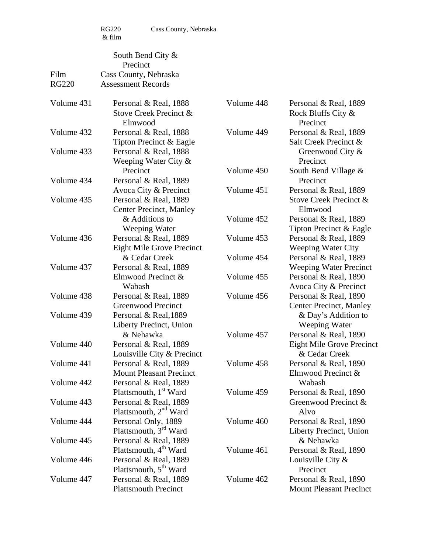|              | South Bend City &<br>Precinct                                                    |            |                                                               |
|--------------|----------------------------------------------------------------------------------|------------|---------------------------------------------------------------|
| Film         | Cass County, Nebraska                                                            |            |                                                               |
| <b>RG220</b> | <b>Assessment Records</b>                                                        |            |                                                               |
| Volume 431   | Personal & Real, 1888<br>Stove Creek Precinct &<br>Elmwood                       | Volume 448 | Personal & Real, 1889<br>Rock Bluffs City &<br>Precinct       |
| Volume 432   | Personal & Real, 1888<br>Tipton Precinct & Eagle                                 | Volume 449 | Personal & Real, 1889<br>Salt Creek Precinct &                |
| Volume 433   | Personal & Real, 1888<br>Weeping Water City $\&$                                 |            | Greenwood City &<br>Precinct                                  |
| Volume 434   | Precinct<br>Personal & Real, 1889                                                | Volume 450 | South Bend Village &<br>Precinct                              |
| Volume 435   | Avoca City & Precinct<br>Personal & Real, 1889<br><b>Center Precinct, Manley</b> | Volume 451 | Personal & Real, 1889<br>Stove Creek Precinct &<br>Elmwood    |
|              | & Additions to<br>Weeping Water                                                  | Volume 452 | Personal & Real, 1889<br>Tipton Precinct & Eagle              |
| Volume 436   | Personal & Real, 1889<br><b>Eight Mile Grove Precinct</b>                        | Volume 453 | Personal & Real, 1889<br><b>Weeping Water City</b>            |
| Volume 437   | & Cedar Creek<br>Personal & Real, 1889                                           | Volume 454 | Personal & Real, 1889<br><b>Weeping Water Precinct</b>        |
|              | Elmwood Precinct &<br>Wabash                                                     | Volume 455 | Personal & Real, 1890<br>Avoca City & Precinct                |
| Volume 438   | Personal & Real, 1889<br>Greenwood Precinct                                      | Volume 456 | Personal & Real, 1890<br><b>Center Precinct, Manley</b>       |
| Volume 439   | Personal & Real, 1889<br>Liberty Precinct, Union<br>& Nehawka                    | Volume 457 | & Day's Addition to<br>Weeping Water<br>Personal & Real, 1890 |
| Volume 440   | Personal & Real, 1889<br>Louisville City & Precinct                              |            | <b>Eight Mile Grove Precinct</b><br>& Cedar Creek             |
| Volume 441   | Personal & Real, 1889<br><b>Mount Pleasant Precinct</b>                          | Volume 458 | Personal & Real, 1890<br>Elmwood Precinct &                   |
| Volume 442   | Personal & Real, 1889<br>Plattsmouth, 1 <sup>st</sup> Ward                       | Volume 459 | Wabash<br>Personal & Real, 1890                               |
| Volume 443   | Personal & Real, 1889<br>Plattsmouth, $2nd$ Ward                                 |            | Greenwood Precinct &<br>Alvo                                  |
| Volume 444   | Personal Only, 1889<br>Plattsmouth, 3 <sup>rd</sup> Ward                         | Volume 460 | Personal & Real, 1890<br>Liberty Precinct, Union              |
| Volume 445   | Personal & Real, 1889<br>Plattsmouth, 4 <sup>th</sup> Ward                       | Volume 461 | & Nehawka<br>Personal & Real, 1890                            |
| Volume 446   | Personal & Real, 1889<br>Plattsmouth, 5 <sup>th</sup> Ward                       |            | Louisville City $\&$<br>Precinct                              |
| Volume 447   | Personal & Real, 1889<br><b>Plattsmouth Precinct</b>                             | Volume 462 | Personal & Real, 1890<br><b>Mount Pleasant Precinct</b>       |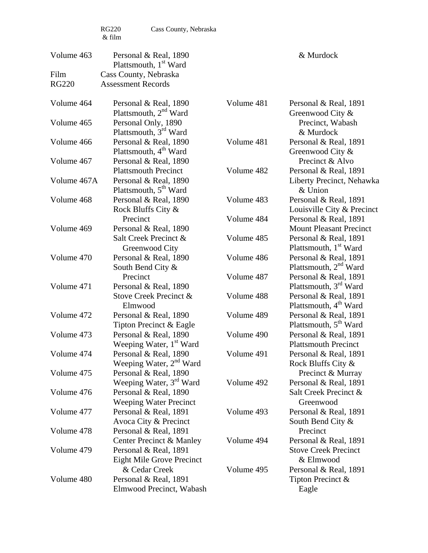RG220 Cass County, Nebraska

| Volume 463   | Personal & Real, 1890<br>Plattsmouth, 1 <sup>st</sup> Ward         |            | & Murdock                                                  |
|--------------|--------------------------------------------------------------------|------------|------------------------------------------------------------|
| Film         | Cass County, Nebraska                                              |            |                                                            |
| <b>RG220</b> | <b>Assessment Records</b>                                          |            |                                                            |
| Volume 464   | Personal & Real, 1890<br>Plattsmouth, 2 <sup>nd</sup> Ward         | Volume 481 | Personal & Real, 1891<br>Greenwood City &                  |
| Volume 465   | Personal Only, 1890<br>Plattsmouth, 3 <sup>rd</sup> Ward           |            | Precinct, Wabash<br>& Murdock                              |
| Volume 466   | Personal & Real, 1890<br>Plattsmouth, 4 <sup>th</sup> Ward         | Volume 481 | Personal & Real, 1891<br>Greenwood City $\&$               |
| Volume 467   | Personal & Real, 1890<br><b>Plattsmouth Precinct</b>               | Volume 482 | Precinct & Alvo<br>Personal & Real, 1891                   |
| Volume 467A  | Personal & Real, 1890<br>Plattsmouth, 5 <sup>th</sup> Ward         |            | Liberty Precinct, Nehawka<br>& Union                       |
| Volume 468   | Personal & Real, 1890<br>Rock Bluffs City &                        | Volume 483 | Personal & Real, 1891<br>Louisville City & Precinct        |
| Volume 469   | Precinct<br>Personal & Real, 1890                                  | Volume 484 | Personal & Real, 1891<br><b>Mount Pleasant Precinct</b>    |
|              | Salt Creek Precinct &<br>Greenwood City                            | Volume 485 | Personal & Real, 1891<br>Plattsmouth, 1 <sup>st</sup> Ward |
| Volume 470   | Personal & Real, 1890<br>South Bend City &                         | Volume 486 | Personal & Real, 1891<br>Plattsmouth, 2 <sup>nd</sup> Ward |
| Volume 471   | Precinct<br>Personal & Real, 1890                                  | Volume 487 | Personal & Real, 1891<br>Plattsmouth, 3rd Ward             |
|              | Stove Creek Precinct &<br>Elmwood                                  | Volume 488 | Personal & Real, 1891<br>Plattsmouth, 4 <sup>th</sup> Ward |
| Volume 472   | Personal & Real, 1890<br>Tipton Precinct & Eagle                   | Volume 489 | Personal & Real, 1891<br>Plattsmouth, 5 <sup>th</sup> Ward |
| Volume 473   | Personal & Real, 1890<br>Weeping Water, 1 <sup>st</sup> Ward       | Volume 490 | Personal & Real, 1891<br><b>Plattsmouth Precinct</b>       |
| Volume 474   | Personal & Real, 1890<br>Weeping Water, 2 <sup>nd</sup> Ward       | Volume 491 | Personal & Real, 1891<br>Rock Bluffs City &                |
| Volume 475   | Personal & Real, 1890<br>Weeping Water, 3 <sup>rd</sup> Ward       | Volume 492 | Precinct & Murray<br>Personal & Real, 1891                 |
| Volume 476   | Personal & Real, 1890<br><b>Weeping Water Precinct</b>             |            | Salt Creek Precinct &<br>Greenwood                         |
| Volume 477   | Personal & Real, 1891<br>Avoca City & Precinct                     | Volume 493 | Personal & Real, 1891<br>South Bend City &                 |
| Volume 478   | Personal & Real, 1891<br>Center Precinct & Manley                  | Volume 494 | Precinct<br>Personal & Real, 1891                          |
| Volume 479   | Personal & Real, 1891<br><b>Eight Mile Grove Precinct</b>          |            | <b>Stove Creek Precinct</b><br>& Elmwood                   |
| Volume 480   | & Cedar Creek<br>Personal & Real, 1891<br>Elmwood Precinct, Wabash | Volume 495 | Personal & Real, 1891<br>Tipton Precinct &<br>Eagle        |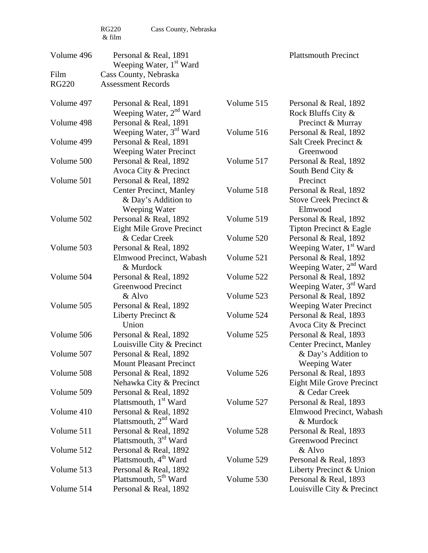RG220 Cass County, Nebraska

| Volume 496   | Personal & Real, 1891<br>Weeping Water, 1 <sup>st</sup> Ward                                  |            | <b>Plattsmouth Precinct</b>                                  |
|--------------|-----------------------------------------------------------------------------------------------|------------|--------------------------------------------------------------|
| Film         | Cass County, Nebraska                                                                         |            |                                                              |
| <b>RG220</b> | <b>Assessment Records</b>                                                                     |            |                                                              |
| Volume 497   | Personal & Real, 1891<br>Weeping Water, 2 <sup>nd</sup> Ward                                  | Volume 515 | Personal & Real, 1892<br>Rock Bluffs City &                  |
| Volume 498   | Personal & Real, 1891                                                                         |            | Precinct & Murray                                            |
| Volume 499   | Weeping Water, 3 <sup>rd</sup> Ward<br>Personal & Real, 1891<br><b>Weeping Water Precinct</b> | Volume 516 | Personal & Real, 1892<br>Salt Creek Precinct &<br>Greenwood  |
| Volume 500   | Personal & Real, 1892<br>Avoca City & Precinct                                                | Volume 517 | Personal & Real, 1892<br>South Bend City &                   |
| Volume 501   | Personal & Real, 1892<br><b>Center Precinct, Manley</b><br>& Day's Addition to                | Volume 518 | Precinct<br>Personal & Real, 1892<br>Stove Creek Precinct &  |
|              | Weeping Water                                                                                 |            | Elmwood                                                      |
| Volume 502   | Personal & Real, 1892<br><b>Eight Mile Grove Precinct</b>                                     | Volume 519 | Personal & Real, 1892<br>Tipton Precinct & Eagle             |
| Volume 503   | & Cedar Creek<br>Personal & Real, 1892                                                        | Volume 520 | Personal & Real, 1892<br>Weeping Water, 1 <sup>st</sup> Ward |
|              | Elmwood Precinct, Wabash<br>& Murdock                                                         | Volume 521 | Personal & Real, 1892<br>Weeping Water, 2 <sup>nd</sup> Ward |
| Volume 504   | Personal & Real, 1892<br><b>Greenwood Precinct</b>                                            | Volume 522 | Personal & Real, 1892<br>Weeping Water, 3 <sup>rd</sup> Ward |
| Volume 505   | & Alvo<br>Personal & Real, 1892                                                               | Volume 523 | Personal & Real, 1892<br><b>Weeping Water Precinct</b>       |
|              | Liberty Precinct &<br>Union                                                                   | Volume 524 | Personal & Real, 1893<br>Avoca City & Precinct               |
| Volume 506   | Personal & Real, 1892<br>Louisville City & Precinct                                           | Volume 525 | Personal & Real, 1893<br><b>Center Precinct, Manley</b>      |
| Volume 507   | Personal & Real, 1892<br><b>Mount Pleasant Precinct</b>                                       |            | & Day's Addition to<br>Weeping Water                         |
| Volume 508   | Personal & Real, 1892<br>Nehawka City & Precinct                                              | Volume 526 | Personal & Real, 1893<br>Eight Mile Grove Precinct           |
| Volume 509   | Personal & Real, 1892<br>Plattsmouth, 1 <sup>st</sup> Ward                                    | Volume 527 | & Cedar Creek<br>Personal & Real, 1893                       |
| Volume 410   | Personal & Real, 1892<br>Plattsmouth, 2 <sup>nd</sup> Ward                                    |            | Elmwood Precinct, Wabash<br>& Murdock                        |
| Volume 511   | Personal & Real, 1892<br>Plattsmouth, 3 <sup>rd</sup> Ward                                    | Volume 528 | Personal & Real, 1893<br><b>Greenwood Precinct</b>           |
| Volume 512   | Personal & Real, 1892<br>Plattsmouth, 4 <sup>th</sup> Ward                                    | Volume 529 | & Alvo<br>Personal & Real, 1893                              |
| Volume 513   | Personal & Real, 1892<br>Plattsmouth, 5 <sup>th</sup> Ward                                    | Volume 530 | Liberty Precinct & Union<br>Personal & Real, 1893            |
| Volume 514   | Personal & Real, 1892                                                                         |            | Louisville City & Precinct                                   |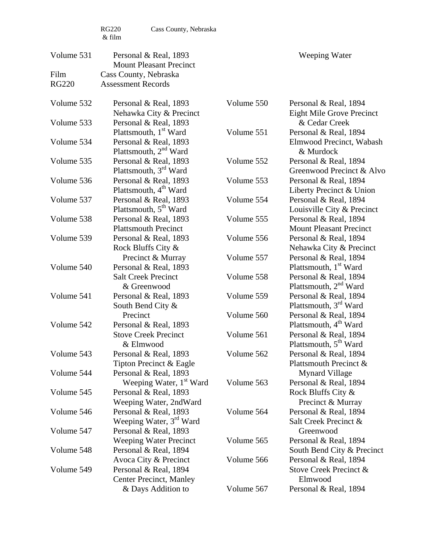| Volume 531   | Personal & Real, 1893<br><b>Mount Pleasant Precinct</b> |            | Weeping Water                     |
|--------------|---------------------------------------------------------|------------|-----------------------------------|
| Film         | Cass County, Nebraska                                   |            |                                   |
| <b>RG220</b> | <b>Assessment Records</b>                               |            |                                   |
| Volume 532   | Personal & Real, 1893                                   | Volume 550 | Personal & Real, 1894             |
|              | Nehawka City & Precinct                                 |            | <b>Eight Mile Grove Precinct</b>  |
| Volume 533   | Personal & Real, 1893                                   |            | & Cedar Creek                     |
|              | Plattsmouth, 1 <sup>st</sup> Ward                       | Volume 551 | Personal & Real, 1894             |
| Volume 534   | Personal & Real, 1893                                   |            | Elmwood Precinct, Wabash          |
|              | Plattsmouth, 2 <sup>nd</sup> Ward                       |            | & Murdock                         |
| Volume 535   | Personal & Real, 1893                                   | Volume 552 | Personal & Real, 1894             |
|              | Plattsmouth, 3 <sup>rd</sup> Ward                       |            | Greenwood Precinct & Alvo         |
| Volume 536   | Personal & Real, 1893                                   | Volume 553 | Personal & Real, 1894             |
|              | Plattsmouth, 4 <sup>th</sup> Ward                       |            | Liberty Precinct & Union          |
| Volume 537   | Personal & Real, 1893                                   | Volume 554 | Personal & Real, 1894             |
|              | Plattsmouth, 5 <sup>th</sup> Ward                       |            | Louisville City & Precinct        |
| Volume 538   | Personal & Real, 1893                                   | Volume 555 | Personal & Real, 1894             |
|              | <b>Plattsmouth Precinct</b>                             |            | <b>Mount Pleasant Precinct</b>    |
| Volume 539   | Personal & Real, 1893                                   | Volume 556 | Personal & Real, 1894             |
|              | Rock Bluffs City &                                      |            | Nehawka City & Precinct           |
|              | Precinct & Murray                                       | Volume 557 | Personal & Real, 1894             |
| Volume 540   | Personal & Real, 1893                                   |            | Plattsmouth, 1 <sup>st</sup> Ward |
|              | <b>Salt Creek Precinct</b>                              | Volume 558 | Personal & Real, 1894             |
|              | & Greenwood                                             |            | Plattsmouth, 2 <sup>nd</sup> Ward |
| Volume 541   | Personal & Real, 1893                                   | Volume 559 | Personal & Real, 1894             |
|              | South Bend City &                                       |            | Plattsmouth, $3rd$ Ward           |
|              | Precinct                                                | Volume 560 | Personal & Real, 1894             |
| Volume 542   | Personal & Real, 1893                                   |            | Plattsmouth, 4 <sup>th</sup> Ward |
|              | <b>Stove Creek Precinct</b>                             | Volume 561 | Personal & Real, 1894             |
|              | & Elmwood                                               |            | Plattsmouth, 5 <sup>th</sup> Ward |
| Volume 543   | Personal & Real, 1893                                   | Volume 562 | Personal & Real, 1894             |
|              | Tipton Precinct & Eagle                                 |            | Plattsmouth Precinct &            |
| Volume 544   | Personal & Real, 1893                                   |            | <b>Mynard Village</b>             |
|              | Weeping Water, 1 <sup>st</sup> Ward                     | Volume 563 | Personal & Real, 1894             |
| Volume 545   | Personal & Real, 1893                                   |            | Rock Bluffs City &                |
|              | Weeping Water, 2ndWard                                  |            | Precinct & Murray                 |
| Volume 546   | Personal & Real, 1893                                   | Volume 564 | Personal & Real, 1894             |
|              | Weeping Water, 3 <sup>rd</sup> Ward                     |            | Salt Creek Precinct &             |
| Volume 547   | Personal & Real, 1893                                   |            | Greenwood                         |
|              | <b>Weeping Water Precinct</b>                           | Volume 565 | Personal & Real, 1894             |
| Volume 548   | Personal & Real, 1894                                   |            | South Bend City & Precinct        |
|              | Avoca City & Precinct                                   | Volume 566 | Personal & Real, 1894             |
| Volume 549   | Personal & Real, 1894                                   |            | Stove Creek Precinct &            |
|              | <b>Center Precinct, Manley</b>                          |            | Elmwood                           |
|              | & Days Addition to                                      | Volume 567 | Personal & Real, 1894             |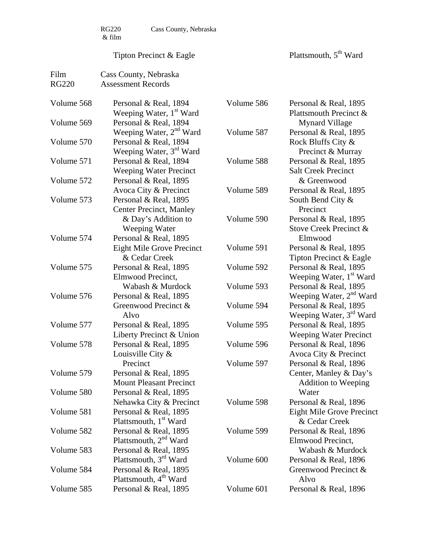# Tipton Precinct & Eagle

Plattsmouth, 5<sup>th</sup> Ward

| Film         | Cass County, Nebraska               |            |                                     |
|--------------|-------------------------------------|------------|-------------------------------------|
| <b>RG220</b> | <b>Assessment Records</b>           |            |                                     |
|              |                                     |            |                                     |
| Volume 568   | Personal & Real, 1894               | Volume 586 | Personal & Real, 1895               |
|              | Weeping Water, 1 <sup>st</sup> Ward |            | Plattsmouth Precinct &              |
| Volume 569   | Personal & Real, 1894               |            | <b>Mynard Village</b>               |
|              | Weeping Water, 2 <sup>nd</sup> Ward | Volume 587 | Personal & Real, 1895               |
| Volume 570   | Personal & Real, 1894               |            | Rock Bluffs City &                  |
|              | Weeping Water, 3 <sup>rd</sup> Ward |            | Precinct & Murray                   |
| Volume 571   | Personal & Real, 1894               | Volume 588 | Personal & Real, 1895               |
|              | <b>Weeping Water Precinct</b>       |            | <b>Salt Creek Precinct</b>          |
| Volume 572   | Personal & Real, 1895               |            | & Greenwood                         |
|              | Avoca City & Precinct               | Volume 589 | Personal & Real, 1895               |
| Volume 573   | Personal & Real, 1895               |            | South Bend City &                   |
|              | <b>Center Precinct, Manley</b>      |            | Precinct                            |
|              | & Day's Addition to                 | Volume 590 | Personal & Real, 1895               |
|              | Weeping Water                       |            | Stove Creek Precinct &              |
| Volume 574   | Personal & Real, 1895               |            | Elmwood                             |
|              | Eight Mile Grove Precinct           | Volume 591 | Personal & Real, 1895               |
|              | & Cedar Creek                       |            | Tipton Precinct & Eagle             |
| Volume 575   | Personal & Real, 1895               | Volume 592 | Personal & Real, 1895               |
|              | Elmwood Precinct,                   |            | Weeping Water, 1 <sup>st</sup> Ward |
|              | Wabash & Murdock                    | Volume 593 | Personal & Real, 1895               |
| Volume 576   | Personal & Real, 1895               |            | Weeping Water, 2 <sup>nd</sup> Ward |
|              | Greenwood Precinct &                | Volume 594 | Personal & Real, 1895               |
|              | Alvo                                |            | Weeping Water, 3 <sup>rd</sup> Ward |
| Volume 577   | Personal & Real, 1895               | Volume 595 | Personal & Real, 1895               |
|              | Liberty Precinct & Union            |            | <b>Weeping Water Precinct</b>       |
| Volume 578   | Personal & Real, 1895               | Volume 596 | Personal & Real, 1896               |
|              | Louisville City $\&$                |            | Avoca City & Precinct               |
|              | Precinct                            | Volume 597 | Personal & Real, 1896               |
| Volume 579   | Personal & Real, 1895               |            | Center, Manley & Day's              |
|              | <b>Mount Pleasant Precinct</b>      |            | <b>Addition to Weeping</b>          |
| Volume 580   | Personal & Real, 1895               |            | Water                               |
|              | Nehawka City & Precinct             | Volume 598 | Personal & Real, 1896               |
| Volume 581   | Personal & Real, 1895               |            | <b>Eight Mile Grove Precinct</b>    |
|              | Plattsmouth, 1 <sup>st</sup> Ward   |            | & Cedar Creek                       |
| Volume 582   | Personal & Real, 1895               | Volume 599 | Personal & Real, 1896               |
|              | Plattsmouth, 2 <sup>nd</sup> Ward   |            | Elmwood Precinct,                   |
| Volume 583   | Personal & Real, 1895               |            | Wabash & Murdock                    |
|              | Plattsmouth, 3 <sup>rd</sup> Ward   | Volume 600 | Personal & Real, 1896               |
| Volume 584   | Personal & Real, 1895               |            | Greenwood Precinct &                |
|              | Plattsmouth, 4 <sup>th</sup> Ward   |            | Alvo                                |
| Volume 585   | Personal & Real, 1895               | Volume 601 | Personal & Real, 1896               |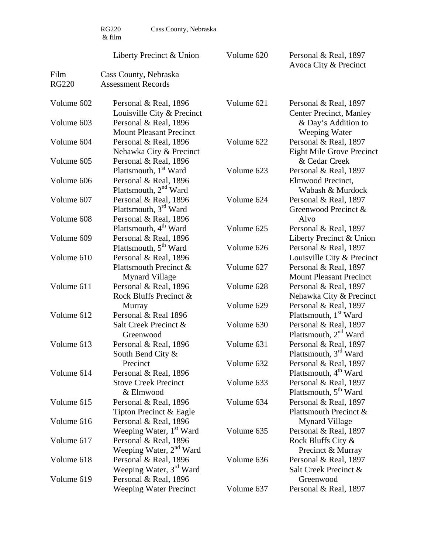|              | <b>RG220</b><br>Cass County, Nebraska<br>& film                          |                          |                                                                                                 |
|--------------|--------------------------------------------------------------------------|--------------------------|-------------------------------------------------------------------------------------------------|
|              | Liberty Precinct & Union                                                 | Volume 620               | Personal & Real, 1897<br>Avoca City & Precinct                                                  |
| Film         | Cass County, Nebraska                                                    |                          |                                                                                                 |
| <b>RG220</b> | <b>Assessment Records</b>                                                |                          |                                                                                                 |
| Volume 602   | Personal & Real, 1896<br>Louisville City & Precinct                      | Volume 621               | Personal & Real, 1897<br><b>Center Precinct, Manley</b>                                         |
| Volume 603   | Personal & Real, 1896<br><b>Mount Pleasant Precinct</b>                  |                          | & Day's Addition to<br>Weeping Water                                                            |
| Volume 604   | Personal & Real, 1896<br>Nehawka City & Precinct                         | Volume 622               | Personal & Real, 1897<br><b>Eight Mile Grove Precinct</b>                                       |
| Volume 605   | Personal & Real, 1896<br>Plattsmouth, 1 <sup>st</sup> Ward               | Volume 623               | & Cedar Creek<br>Personal & Real, 1897                                                          |
| Volume 606   | Personal & Real, 1896<br>Plattsmouth, $2nd$ Ward                         |                          | Elmwood Precinct,<br>Wabash & Murdock                                                           |
| Volume 607   | Personal & Real, 1896<br>Plattsmouth, 3 <sup>rd</sup> Ward               | Volume 624               | Personal & Real, 1897<br>Greenwood Precinct &                                                   |
| Volume 608   | Personal & Real, 1896<br>Plattsmouth, 4 <sup>th</sup> Ward               | Volume 625               | Alvo<br>Personal & Real, 1897                                                                   |
| Volume 609   | Personal & Real, 1896<br>Plattsmouth, 5 <sup>th</sup> Ward               | Volume 626               | Liberty Precinct & Union<br>Personal & Real, 1897                                               |
| Volume 610   | Personal & Real, 1896<br>Plattsmouth Precinct &<br><b>Mynard Village</b> | Volume 627               | Louisville City & Precinct<br>Personal & Real, 1897<br><b>Mount Pleasant Precinct</b>           |
| Volume 611   | Personal & Real, 1896<br>Rock Bluffs Precinct &                          | Volume 628<br>Volume 629 | Personal & Real, 1897<br>Nehawka City & Precinct<br>Personal & Real, 1897                       |
| Volume 612   | Murray<br>Personal & Real 1896<br>Salt Creek Precinct &                  | Volume 630               | Plattsmouth, 1 <sup>st</sup> Ward<br>Personal & Real, 1897                                      |
| Volume 613   | Greenwood<br>Personal & Real, 1896                                       | Volume 631               | Plattsmouth, 2 <sup>nd</sup> Ward<br>Personal & Real, 1897                                      |
|              | South Bend City $\&$<br>Precinct                                         | Volume 632               | Plattsmouth, 3 <sup>rd</sup> Ward<br>Personal & Real, 1897                                      |
| Volume 614   | Personal & Real, 1896<br><b>Stove Creek Precinct</b><br>& Elmwood        | Volume 633               | Plattsmouth, 4 <sup>th</sup> Ward<br>Personal & Real, 1897<br>Plattsmouth, 5 <sup>th</sup> Ward |
| Volume 615   | Personal & Real, 1896<br>Tipton Precinct & Eagle                         | Volume 634               | Personal & Real, 1897<br>Plattsmouth Precinct &                                                 |
| Volume 616   | Personal & Real, 1896<br>Weeping Water, 1 <sup>st</sup> Ward             | Volume 635               | <b>Mynard Village</b><br>Personal & Real, 1897                                                  |
| Volume 617   | Personal & Real, 1896<br>Weeping Water, 2 <sup>nd</sup> Ward             |                          | Rock Bluffs City &<br>Precinct & Murray                                                         |
| Volume 618   | Personal & Real, 1896<br>Weeping Water, 3 <sup>rd</sup> Ward             | Volume 636               | Personal & Real, 1897<br>Salt Creek Precinct &                                                  |
| Volume 619   | Personal & Real, 1896<br><b>Weeping Water Precinct</b>                   | Volume 637               | Greenwood<br>Personal & Real, 1897                                                              |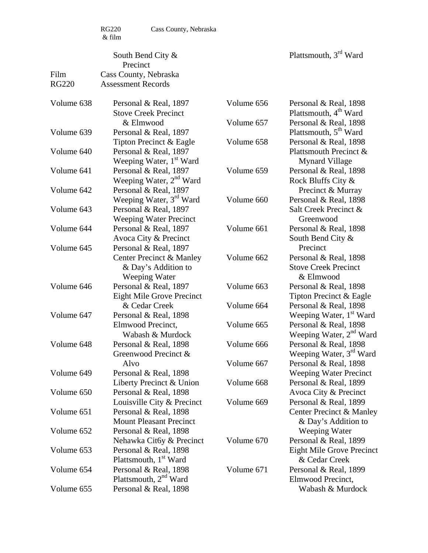|                      | South Bend City &<br>Precinct                      |            | Plattsmouth, 3rd Ward               |
|----------------------|----------------------------------------------------|------------|-------------------------------------|
| Film<br><b>RG220</b> | Cass County, Nebraska<br><b>Assessment Records</b> |            |                                     |
| Volume 638           | Personal & Real, 1897                              | Volume 656 | Personal & Real, 1898               |
|                      | <b>Stove Creek Precinct</b>                        |            | Plattsmouth, 4 <sup>th</sup> Ward   |
|                      | & Elmwood                                          | Volume 657 | Personal & Real, 1898               |
| Volume 639           | Personal & Real, 1897                              |            | Plattsmouth, 5 <sup>th</sup> Ward   |
|                      | Tipton Precinct & Eagle                            | Volume 658 | Personal & Real, 1898               |
| Volume 640           | Personal & Real, 1897                              |            | Plattsmouth Precinct &              |
|                      | Weeping Water, 1 <sup>st</sup> Ward                |            | <b>Mynard Village</b>               |
| Volume 641           | Personal & Real, 1897                              | Volume 659 | Personal & Real, 1898               |
|                      | Weeping Water, 2 <sup>nd</sup> Ward                |            | Rock Bluffs City &                  |
| Volume 642           | Personal & Real, 1897                              |            | Precinct & Murray                   |
|                      | Weeping Water, 3 <sup>rd</sup> Ward                | Volume 660 | Personal & Real, 1898               |
| Volume 643           | Personal & Real, 1897                              |            | Salt Creek Precinct &               |
|                      | <b>Weeping Water Precinct</b>                      |            | Greenwood                           |
| Volume 644           | Personal & Real, 1897                              | Volume 661 | Personal & Real, 1898               |
|                      | Avoca City & Precinct                              |            | South Bend City &                   |
| Volume 645           | Personal & Real, 1897                              |            | Precinct                            |
|                      | Center Precinct & Manley                           | Volume 662 | Personal & Real, 1898               |
|                      | & Day's Addition to                                |            | <b>Stove Creek Precinct</b>         |
|                      | Weeping Water                                      |            | & Elmwood                           |
| Volume 646           | Personal & Real, 1897                              | Volume 663 | Personal & Real, 1898               |
|                      | <b>Eight Mile Grove Precinct</b>                   |            | Tipton Precinct & Eagle             |
|                      | & Cedar Creek                                      | Volume 664 | Personal & Real, 1898               |
| Volume 647           | Personal & Real, 1898                              |            | Weeping Water, 1 <sup>st</sup> Ward |
|                      | Elmwood Precinct,                                  | Volume 665 | Personal & Real, 1898               |
|                      | Wabash & Murdock                                   |            | Weeping Water, 2 <sup>nd</sup> Ward |
| Volume 648           | Personal & Real, 1898                              | Volume 666 | Personal & Real, 1898               |
|                      | Greenwood Precinct &                               |            | Weeping Water, 3 <sup>rd</sup> Ward |
|                      | Alvo                                               | Volume 667 | Personal & Real, 1898               |
| Volume 649           | Personal & Real, 1898                              |            | <b>Weeping Water Precinct</b>       |
|                      | Liberty Precinct & Union                           | Volume 668 | Personal & Real, 1899               |
| Volume 650           | Personal & Real, 1898                              |            | Avoca City & Precinct               |
|                      | Louisville City & Precinct                         | Volume 669 | Personal & Real, 1899               |
| Volume 651           | Personal & Real, 1898                              |            | <b>Center Precinct &amp; Manley</b> |
|                      | <b>Mount Pleasant Precinct</b>                     |            | & Day's Addition to                 |
| Volume 652           | Personal & Real, 1898                              |            | Weeping Water                       |
|                      | Nehawka Cit6y & Precinct                           | Volume 670 | Personal & Real, 1899               |
| Volume 653           | Personal & Real, 1898                              |            | Eight Mile Grove Precinct           |
|                      | Plattsmouth, 1 <sup>st</sup> Ward                  |            | & Cedar Creek                       |
| Volume 654           | Personal & Real, 1898                              | Volume 671 | Personal & Real, 1899               |
|                      | Plattsmouth, 2 <sup>nd</sup> Ward                  |            | Elmwood Precinct,                   |
| Volume 655           | Personal & Real, 1898                              |            | Wabash & Murdock                    |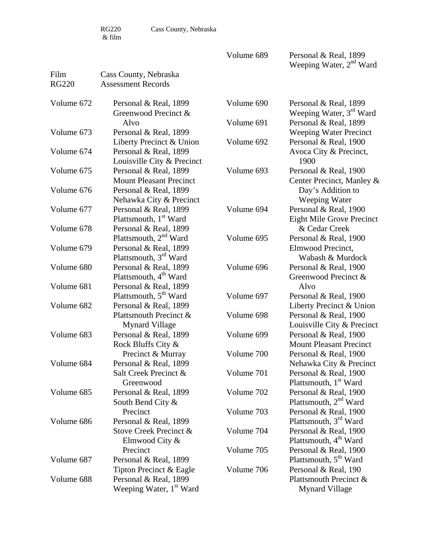RG220 Cass County, Nebraska

Volume 689 Personal & Real, 1899 Weeping Water, 2<sup>nd</sup> Ward

| Film         | Cass County, Nebraska               |            |                                     |
|--------------|-------------------------------------|------------|-------------------------------------|
| <b>RG220</b> | <b>Assessment Records</b>           |            |                                     |
|              |                                     |            |                                     |
| Volume 672   | Personal & Real, 1899               | Volume 690 | Personal & Real, 1899               |
|              | Greenwood Precinct &                |            | Weeping Water, 3 <sup>rd</sup> Ward |
|              | Alvo                                | Volume 691 | Personal & Real, 1899               |
| Volume 673   | Personal & Real, 1899               |            | <b>Weeping Water Precinct</b>       |
|              | Liberty Precinct & Union            | Volume 692 | Personal & Real, 1900               |
| Volume 674   | Personal & Real, 1899               |            | Avoca City & Precinct,              |
|              | Louisville City & Precinct          |            | 1900                                |
| Volume 675   | Personal & Real, 1899               | Volume 693 | Personal & Real, 1900               |
|              | <b>Mount Pleasant Precinct</b>      |            | Center Precinct, Manley &           |
| Volume 676   | Personal & Real, 1899               |            | Day's Addition to                   |
|              | Nehawka City & Precinct             |            | Weeping Water                       |
| Volume 677   | Personal & Real, 1899               | Volume 694 | Personal & Real, 1900               |
|              | Plattsmouth, 1 <sup>st</sup> Ward   |            | Eight Mile Grove Precinct           |
| Volume 678   | Personal & Real, 1899               |            | & Cedar Creek                       |
|              | Plattsmouth, 2 <sup>nd</sup> Ward   | Volume 695 | Personal & Real, 1900               |
| Volume 679   | Personal & Real, 1899               |            | Elmwood Precinct,                   |
|              | Plattsmouth, 3rd Ward               |            | Wabash & Murdock                    |
| Volume 680   | Personal & Real, 1899               | Volume 696 | Personal & Real, 1900               |
|              | Plattsmouth, 4 <sup>th</sup> Ward   |            | Greenwood Precinct &                |
| Volume 681   | Personal & Real, 1899               |            | Alvo                                |
|              | Plattsmouth, 5 <sup>th</sup> Ward   | Volume 697 | Personal & Real, 1900               |
| Volume 682   | Personal & Real, 1899               |            | Liberty Precinct & Union            |
|              | Plattsmouth Precinct &              | Volume 698 | Personal & Real, 1900               |
|              | <b>Mynard Village</b>               |            | Louisville City & Precinct          |
| Volume 683   | Personal & Real, 1899               | Volume 699 | Personal & Real, 1900               |
|              | Rock Bluffs City &                  |            | <b>Mount Pleasant Precinct</b>      |
|              | Precinct & Murray                   | Volume 700 | Personal & Real, 1900               |
| Volume 684   | Personal & Real, 1899               |            | Nehawka City & Precinct             |
|              | Salt Creek Precinct &               | Volume 701 | Personal & Real, 1900               |
|              | Greenwood                           |            | Plattsmouth, 1 <sup>st</sup> Ward   |
| Volume 685   | Personal & Real, 1899               | Volume 702 | Personal & Real, 1900               |
|              | South Bend City &                   |            | Plattsmouth, 2 <sup>nd</sup> Ward   |
|              | Precinct                            | Volume 703 | Personal & Real, 1900               |
| Volume 686   | Personal & Real, 1899               |            | Plattsmouth, 3 <sup>rd</sup> Ward   |
|              | Stove Creek Precinct &              | Volume 704 | Personal & Real, 1900               |
|              | Elmwood City &                      |            | Plattsmouth, 4 <sup>th</sup> Ward   |
|              | Precinct                            | Volume 705 | Personal & Real, 1900               |
| Volume 687   | Personal & Real, 1899               |            | Plattsmouth, 5 <sup>th</sup> Ward   |
|              | Tipton Precinct & Eagle             | Volume 706 | Personal & Real, 190                |
| Volume 688   | Personal & Real, 1899               |            | Plattsmouth Precinct &              |
|              | Weeping Water, 1 <sup>st</sup> Ward |            | <b>Mynard Village</b>               |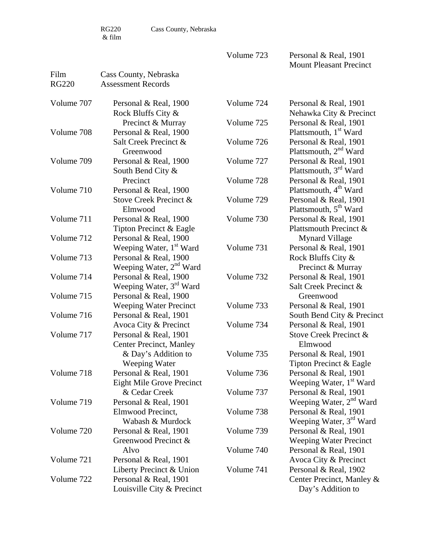Film Cass County, Nebraska

Volume 723 Personal & Real, 1901 Mount Pleasant Precinct

| <b>RG220</b> | <b>Assessment Records</b>                   |            |                                                            |
|--------------|---------------------------------------------|------------|------------------------------------------------------------|
| Volume 707   | Personal & Real, 1900<br>Rock Bluffs City & | Volume 724 | Personal & Real, 1901<br>Nehawka City & Precinct           |
|              | Precinct & Murray                           | Volume 725 | Personal & Real, 1901                                      |
| Volume 708   | Personal & Real, 1900                       |            | Plattsmouth, 1 <sup>st</sup> Ward                          |
|              | Salt Creek Precinct &<br>Greenwood          | Volume 726 | Personal & Real, 1901<br>Plattsmouth, 2 <sup>nd</sup> Ward |
| Volume 709   | Personal & Real, 1900                       | Volume 727 | Personal & Real, 1901                                      |
|              | South Bend City &                           |            | Plattsmouth, 3 <sup>rd</sup> Ward                          |
|              | Precinct                                    | Volume 728 | Personal & Real, 1901                                      |
| Volume 710   | Personal & Real, 1900                       |            | Plattsmouth, 4 <sup>th</sup> Ward                          |
|              | Stove Creek Precinct &                      | Volume 729 | Personal & Real, 1901                                      |
|              | Elmwood                                     |            | Plattsmouth, 5 <sup>th</sup> Ward                          |
| Volume 711   | Personal & Real, 1900                       | Volume 730 | Personal & Real, 1901                                      |
|              | Tipton Precinct & Eagle                     |            | Plattsmouth Precinct &                                     |
| Volume 712   | Personal & Real, 1900                       |            | <b>Mynard Village</b>                                      |
|              | Weeping Water, 1 <sup>st</sup> Ward         | Volume 731 | Personal & Real, 1901                                      |
| Volume 713   | Personal & Real, 1900                       |            | Rock Bluffs City &                                         |
|              | Weeping Water, 2 <sup>nd</sup> Ward         |            | Precinct & Murray                                          |
| Volume 714   | Personal & Real, 1900                       | Volume 732 | Personal & Real, 1901                                      |
|              | Weeping Water, 3 <sup>rd</sup> Ward         |            | Salt Creek Precinct &                                      |
| Volume 715   | Personal & Real, 1900                       |            | Greenwood                                                  |
|              | <b>Weeping Water Precinct</b>               | Volume 733 | Personal & Real, 1901                                      |
| Volume 716   | Personal & Real, 1901                       |            | South Bend City & Precinct                                 |
|              | Avoca City & Precinct                       | Volume 734 | Personal & Real, 1901                                      |
| Volume 717   | Personal & Real, 1901                       |            | Stove Creek Precinct &                                     |
|              | <b>Center Precinct, Manley</b>              |            | Elmwood                                                    |
|              | & Day's Addition to                         | Volume 735 | Personal & Real, 1901                                      |
|              | Weeping Water                               |            | Tipton Precinct & Eagle                                    |
| Volume 718   | Personal & Real, 1901                       | Volume 736 | Personal & Real, 1901                                      |
|              | <b>Eight Mile Grove Precinct</b>            |            | Weeping Water, 1 <sup>st</sup> Ward                        |
|              | & Cedar Creek                               | Volume 737 | Personal & Real, 1901                                      |
| Volume 719   | Personal & Real, 1901                       |            | Weeping Water, 2 <sup>nd</sup> Ward                        |
|              | Elmwood Precinct,                           | Volume 738 | Personal & Real, 1901                                      |
|              | Wabash & Murdock                            |            | Weeping Water, 3 <sup>rd</sup> Ward                        |
| Volume 720   | Personal & Real, 1901                       | Volume 739 | Personal & Real, 1901                                      |
|              | Greenwood Precinct &                        |            | <b>Weeping Water Precinct</b>                              |
|              | Alvo                                        | Volume 740 | Personal & Real, 1901                                      |
| Volume 721   | Personal & Real, 1901                       |            | Avoca City & Precinct                                      |
|              | Liberty Precinct & Union                    | Volume 741 | Personal & Real, 1902                                      |
| Volume 722   | Personal & Real, 1901                       |            | Center Precinct, Manley &                                  |
|              | Louisville City & Precinct                  |            | Day's Addition to                                          |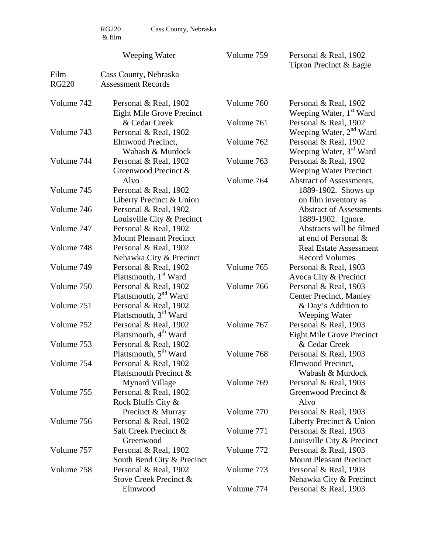| RG220  | Cass County, Nebraska |
|--------|-----------------------|
| & film |                       |

Film Cass County, Nebraska

# Weeping Water

Volume 759 Personal & Real, 1902 Tipton Precinct & Eagle

| <b>RG220</b> | <b>Assessment Records</b>                                 |            |                                                              |
|--------------|-----------------------------------------------------------|------------|--------------------------------------------------------------|
| Volume 742   | Personal & Real, 1902<br><b>Eight Mile Grove Precinct</b> | Volume 760 | Personal & Real, 1902<br>Weeping Water, 1 <sup>st</sup> Ward |
|              | & Cedar Creek                                             | Volume 761 | Personal & Real, 1902                                        |
| Volume 743   | Personal & Real, 1902                                     |            | Weeping Water, 2 <sup>nd</sup> Ward                          |
|              | Elmwood Precinct,<br>Wabash & Murdock                     | Volume 762 | Personal & Real, 1902<br>Weeping Water, 3 <sup>rd</sup> Ward |
| Volume 744   | Personal & Real, 1902                                     | Volume 763 | Personal & Real, 1902                                        |
|              | Greenwood Precinct &                                      |            | <b>Weeping Water Precinct</b>                                |
|              | Alvo                                                      | Volume 764 | Abstract of Assessments,                                     |
| Volume 745   | Personal & Real, 1902                                     |            | 1889-1902. Shows up                                          |
|              | Liberty Precinct & Union                                  |            | on film inventory as                                         |
| Volume 746   | Personal & Real, 1902                                     |            | <b>Abstract of Assessments</b>                               |
|              | Louisville City & Precinct                                |            | 1889-1902. Ignore.                                           |
| Volume 747   | Personal & Real, 1902                                     |            | Abstracts will be filmed                                     |
|              | <b>Mount Pleasant Precinct</b>                            |            | at end of Personal &                                         |
| Volume 748   | Personal & Real, 1902                                     |            | <b>Real Estate Assessment</b>                                |
|              | Nehawka City & Precinct                                   |            | <b>Record Volumes</b>                                        |
| Volume 749   | Personal & Real, 1902                                     | Volume 765 | Personal & Real, 1903                                        |
|              | Plattsmouth, 1 <sup>st</sup> Ward                         |            | Avoca City & Precinct                                        |
| Volume 750   | Personal & Real, 1902                                     | Volume 766 | Personal & Real, 1903                                        |
|              | Plattsmouth, 2 <sup>nd</sup> Ward                         |            | <b>Center Precinct, Manley</b>                               |
| Volume 751   | Personal & Real, 1902                                     |            | & Day's Addition to                                          |
|              | Plattsmouth, 3 <sup>rd</sup> Ward                         |            | Weeping Water                                                |
| Volume 752   | Personal & Real, 1902                                     | Volume 767 | Personal & Real, 1903                                        |
|              | Plattsmouth, 4 <sup>th</sup> Ward                         |            | <b>Eight Mile Grove Precinct</b>                             |
| Volume 753   | Personal & Real, 1902                                     |            | & Cedar Creek                                                |
|              | Plattsmouth, 5 <sup>th</sup> Ward                         | Volume 768 | Personal & Real, 1903                                        |
| Volume 754   | Personal & Real, 1902                                     |            | Elmwood Precinct,                                            |
|              | Plattsmouth Precinct &                                    |            | Wabash & Murdock                                             |
|              | <b>Mynard Village</b>                                     | Volume 769 | Personal & Real, 1903                                        |
| Volume 755   | Personal & Real, 1902                                     |            | Greenwood Precinct &                                         |
|              | Rock Bluffs City &                                        |            | Alvo                                                         |
|              | Precinct & Murray                                         | Volume 770 | Personal & Real, 1903                                        |
| Volume 756   | Personal & Real, 1902                                     |            | Liberty Precinct & Union                                     |
|              | Salt Creek Precinct &                                     | Volume 771 | Personal & Real, 1903                                        |
|              | Greenwood                                                 |            | Louisville City & Precinct                                   |
| Volume 757   | Personal & Real, 1902                                     | Volume 772 | Personal & Real, 1903                                        |
|              | South Bend City & Precinct                                |            | <b>Mount Pleasant Precinct</b>                               |
| Volume 758   | Personal & Real, 1902                                     | Volume 773 | Personal & Real, 1903                                        |
|              | Stove Creek Precinct &                                    |            | Nehawka City & Precinct                                      |
|              | Elmwood                                                   | Volume 774 | Personal & Real, 1903                                        |
|              |                                                           |            |                                                              |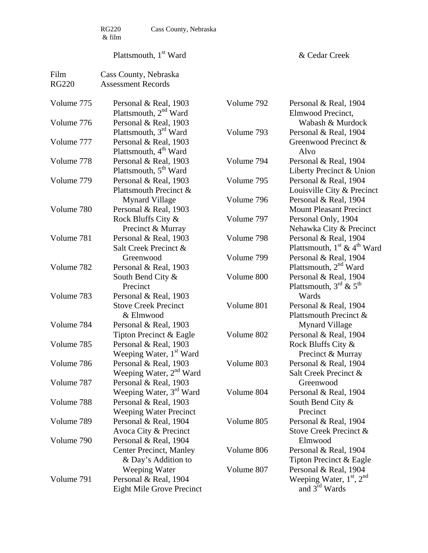$\begin{array}{c} \tt RG220 \\ \& \rm film \end{array}$ 

Cass County, Nebraska

# Plattsmouth, 1<sup>st</sup> Ward

& Cedar Creek

| Film         | Cass County, Nebraska               |            |                                   |
|--------------|-------------------------------------|------------|-----------------------------------|
| <b>RG220</b> | <b>Assessment Records</b>           |            |                                   |
|              |                                     |            |                                   |
| Volume 775   | Personal & Real, 1903               | Volume 792 | Personal & Real, 1904             |
|              | Plattsmouth, 2 <sup>nd</sup> Ward   |            | Elmwood Precinct,                 |
| Volume 776   | Personal & Real, 1903               |            | Wabash & Murdock                  |
|              | Plattsmouth, 3 <sup>rd</sup> Ward   | Volume 793 | Personal & Real, 1904             |
| Volume 777   | Personal & Real, 1903               |            | Greenwood Precinct &              |
|              | Plattsmouth, 4 <sup>th</sup> Ward   |            | Alvo                              |
| Volume 778   | Personal & Real, 1903               | Volume 794 | Personal & Real, 1904             |
|              | Plattsmouth, 5 <sup>th</sup> Ward   |            | Liberty Precinct & Union          |
| Volume 779   | Personal & Real, 1903               | Volume 795 | Personal & Real, 1904             |
|              | Plattsmouth Precinct &              |            | Louisville City & Precinct        |
|              | <b>Mynard Village</b>               | Volume 796 | Personal & Real, 1904             |
| Volume 780   | Personal & Real, 1903               |            | <b>Mount Pleasant Precinct</b>    |
|              | Rock Bluffs City &                  | Volume 797 | Personal Only, 1904               |
|              | Precinct & Murray                   |            | Nehawka City & Precinct           |
| Volume 781   | Personal & Real, 1903               | Volume 798 | Personal & Real, 1904             |
|              | Salt Creek Precinct &               |            | Plattsmouth, $1st \& 4th Ward$    |
|              | Greenwood                           | Volume 799 | Personal & Real, 1904             |
| Volume 782   | Personal & Real, 1903               |            | Plattsmouth, 2 <sup>nd</sup> Ward |
|              | South Bend City &                   | Volume 800 | Personal & Real, 1904             |
|              | Precinct                            |            | Plattsmouth, $3^{rd}$ & $5^{th}$  |
| Volume 783   | Personal & Real, 1903               |            | Wards                             |
|              | <b>Stove Creek Precinct</b>         | Volume 801 | Personal & Real, 1904             |
|              | & Elmwood                           |            | Plattsmouth Precinct &            |
| Volume 784   | Personal & Real, 1903               |            | <b>Mynard Village</b>             |
|              | Tipton Precinct & Eagle             | Volume 802 | Personal & Real, 1904             |
| Volume 785   | Personal & Real, 1903               |            | Rock Bluffs City &                |
|              | Weeping Water, 1 <sup>st</sup> Ward |            | Precinct & Murray                 |
| Volume 786   | Personal & Real, 1903               | Volume 803 | Personal & Real, 1904             |
|              | Weeping Water, 2 <sup>nd</sup> Ward |            | Salt Creek Precinct &             |
| Volume 787   | Personal & Real, 1903               |            | Greenwood                         |
|              | Weeping Water, 3 <sup>rd</sup> Ward | Volume 804 | Personal & Real, 1904             |
| Volume 788   | Personal & Real, 1903               |            | South Bend City $\&$              |
|              | <b>Weeping Water Precinct</b>       |            | Precinct                          |
| Volume 789   | Personal & Real, 1904               | Volume 805 | Personal & Real, 1904             |
|              | Avoca City & Precinct               |            | Stove Creek Precinct &            |
| Volume 790   | Personal & Real, 1904               |            | Elmwood                           |
|              | <b>Center Precinct, Manley</b>      | Volume 806 | Personal & Real, 1904             |
|              | & Day's Addition to                 |            | Tipton Precinct & Eagle           |
|              | Weeping Water                       | Volume 807 | Personal & Real, 1904             |
| Volume 791   | Personal & Real, 1904               |            | Weeping Water, $1st$ , $2nd$      |
|              | <b>Eight Mile Grove Precinct</b>    |            | and $3rd$ Wards                   |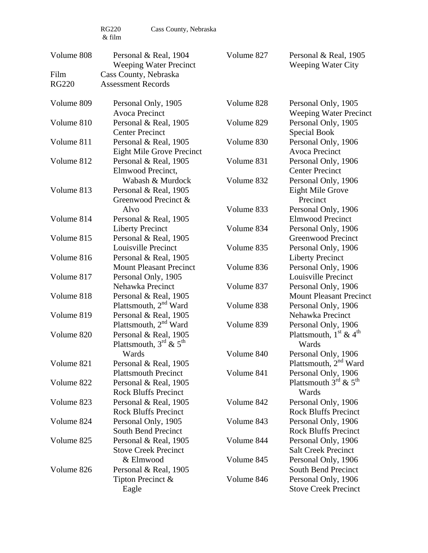RG220 Cass County, Nebraska

Volume 827 Personal & Real, 1905

Volume 808 Personal & Real, 1904

|              | Weeping Water Precinct            |            | <b>Weeping Water City</b>                      |
|--------------|-----------------------------------|------------|------------------------------------------------|
| Film         | Cass County, Nebraska             |            |                                                |
| <b>RG220</b> | <b>Assessment Records</b>         |            |                                                |
| Volume 809   | Personal Only, 1905               | Volume 828 | Personal Only, 1905                            |
|              | Avoca Precinct                    |            | <b>Weeping Water Precinct</b>                  |
| Volume 810   | Personal & Real, 1905             | Volume 829 | Personal Only, 1905                            |
|              | <b>Center Precinct</b>            |            | Special Book                                   |
| Volume 811   | Personal & Real, 1905             | Volume 830 | Personal Only, 1906                            |
|              | Eight Mile Grove Precinct         |            | <b>Avoca Precinct</b>                          |
| Volume 812   | Personal & Real, 1905             | Volume 831 | Personal Only, 1906                            |
|              | Elmwood Precinct,                 |            | <b>Center Precinct</b>                         |
|              | Wabash & Murdock                  | Volume 832 | Personal Only, 1906                            |
| Volume 813   | Personal & Real, 1905             |            | Eight Mile Grove                               |
|              | Greenwood Precinct &              |            | Precinct                                       |
|              | Alvo                              | Volume 833 | Personal Only, 1906                            |
| Volume 814   | Personal & Real, 1905             |            | <b>Elmwood Precinct</b>                        |
|              | <b>Liberty Precinct</b>           | Volume 834 | Personal Only, 1906                            |
| Volume 815   | Personal & Real, 1905             |            | Greenwood Precinct                             |
|              | Louisville Precinct               | Volume 835 | Personal Only, 1906                            |
| Volume 816   | Personal & Real, 1905             |            | <b>Liberty Precinct</b>                        |
|              | <b>Mount Pleasant Precinct</b>    | Volume 836 | Personal Only, 1906                            |
| Volume 817   | Personal Only, 1905               |            | Louisville Precinct                            |
|              | Nehawka Precinct                  | Volume 837 | Personal Only, 1906                            |
| Volume 818   | Personal & Real, 1905             |            | <b>Mount Pleasant Precinct</b>                 |
|              | Plattsmouth, 2 <sup>nd</sup> Ward | Volume 838 | Personal Only, 1906                            |
| Volume 819   | Personal & Real, 1905             |            | Nehawka Precinct                               |
|              | Plattsmouth, 2 <sup>nd</sup> Ward | Volume 839 | Personal Only, 1906                            |
| Volume 820   | Personal & Real, 1905             |            | Plattsmouth, $1^{\text{st}}$ & $4^{\text{th}}$ |
|              | Plattsmouth, $3^{rd}$ & $5^{th}$  |            | Wards                                          |
|              | Wards                             | Volume 840 | Personal Only, 1906                            |
| Volume 821   | Personal & Real, 1905             |            | Plattsmouth, 2 <sup>nd</sup> Ward              |
|              | <b>Plattsmouth Precinct</b>       | Volume 841 | Personal Only, 1906                            |
| Volume 822   | Personal & Real, 1905             |            | Plattsmouth $3^{\text{rd}}$ & $5^{\text{th}}$  |
|              | <b>Rock Bluffs Precinct</b>       |            | Wards                                          |
| Volume 823   | Personal & Real, 1905             | Volume 842 | Personal Only, 1906                            |
|              | <b>Rock Bluffs Precinct</b>       |            | <b>Rock Bluffs Precinct</b>                    |
| Volume 824   | Personal Only, 1905               | Volume 843 | Personal Only, 1906                            |
|              | <b>South Bend Precinct</b>        |            | <b>Rock Bluffs Precinct</b>                    |
| Volume 825   | Personal & Real, 1905             | Volume 844 | Personal Only, 1906                            |
|              | <b>Stove Creek Precinct</b>       |            | <b>Salt Creek Precinct</b>                     |
|              | & Elmwood                         | Volume 845 | Personal Only, 1906                            |
| Volume 826   | Personal & Real, 1905             |            | South Bend Precinct                            |
|              | Tipton Precinct &                 | Volume 846 | Personal Only, 1906                            |
|              | Eagle                             |            | <b>Stove Creek Precinct</b>                    |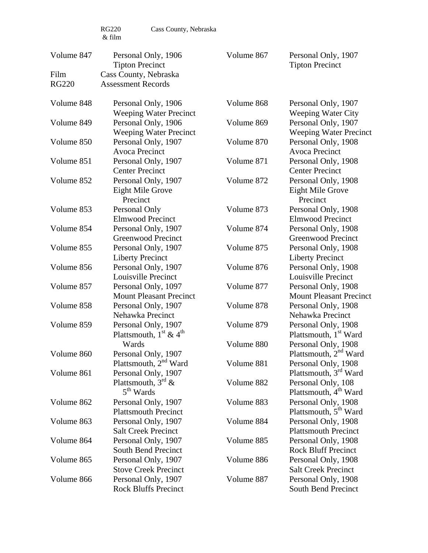RG220 Cass County, Nebraska

| Volume 847   | Personal Only, 1906<br><b>Tipton Precinct</b>                                  | Volume 867               | Personal Only, 1907<br><b>Tipton Precinct</b>                                                 |
|--------------|--------------------------------------------------------------------------------|--------------------------|-----------------------------------------------------------------------------------------------|
| Film         | Cass County, Nebraska                                                          |                          |                                                                                               |
| <b>RG220</b> | <b>Assessment Records</b>                                                      |                          |                                                                                               |
| Volume 848   | Personal Only, 1906<br><b>Weeping Water Precinct</b>                           | Volume 868               | Personal Only, 1907<br><b>Weeping Water City</b>                                              |
| Volume 849   | Personal Only, 1906<br>Weeping Water Precinct                                  | Volume 869               | Personal Only, 1907<br><b>Weeping Water Precinct</b>                                          |
| Volume 850   | Personal Only, 1907<br><b>Avoca Precinct</b>                                   | Volume 870               | Personal Only, 1908<br><b>Avoca Precinct</b>                                                  |
| Volume 851   | Personal Only, 1907<br><b>Center Precinct</b>                                  | Volume 871               | Personal Only, 1908<br><b>Center Precinct</b>                                                 |
| Volume 852   | Personal Only, 1907<br><b>Eight Mile Grove</b><br>Precinct                     | Volume 872               | Personal Only, 1908<br><b>Eight Mile Grove</b><br>Precinct                                    |
| Volume 853   | Personal Only<br><b>Elmwood Precinct</b>                                       | Volume 873               | Personal Only, 1908<br><b>Elmwood Precinct</b>                                                |
| Volume 854   | Personal Only, 1907<br><b>Greenwood Precinct</b>                               | Volume 874               | Personal Only, 1908<br><b>Greenwood Precinct</b>                                              |
| Volume 855   | Personal Only, 1907<br><b>Liberty Precinct</b>                                 | Volume 875               | Personal Only, 1908<br><b>Liberty Precinct</b>                                                |
| Volume 856   | Personal Only, 1907<br>Louisville Precinct                                     | Volume 876               | Personal Only, 1908<br>Louisville Precinct                                                    |
| Volume 857   | Personal Only, 1097<br><b>Mount Pleasant Precinct</b>                          | Volume 877               | Personal Only, 1908<br><b>Mount Pleasant Precinct</b>                                         |
| Volume 858   | Personal Only, 1907<br>Nehawka Precinct                                        | Volume 878               | Personal Only, 1908<br>Nehawka Precinct                                                       |
| Volume 859   | Personal Only, 1907<br>Plattsmouth, $1^{\text{st}}$ & $4^{\text{th}}$<br>Wards | Volume 879<br>Volume 880 | Personal Only, 1908<br>Plattsmouth, 1 <sup>st</sup> Ward                                      |
| Volume 860   | Personal Only, 1907<br>Plattsmouth, 2 <sup>nd</sup> Ward                       | Volume 881               | Personal Only, 1908<br>Plattsmouth, 2 <sup>nd</sup> Ward<br>Personal Only, 1908               |
| Volume 861   | Personal Only, 1907<br>Plattsmouth, $3^{rd}$ &<br>$5th$ Wards                  | Volume 882               | Plattsmouth, 3 <sup>rd</sup> Ward<br>Personal Only, 108                                       |
| Volume 862   | Personal Only, 1907<br><b>Plattsmouth Precinct</b>                             | Volume 883               | Plattsmouth, 4 <sup>th</sup> Ward<br>Personal Only, 1908<br>Plattsmouth, 5 <sup>th</sup> Ward |
| Volume 863   | Personal Only, 1907<br><b>Salt Creek Precinct</b>                              | Volume 884               | Personal Only, 1908<br><b>Plattsmouth Precinct</b>                                            |
| Volume 864   | Personal Only, 1907<br>South Bend Precinct                                     | Volume 885               | Personal Only, 1908<br><b>Rock Bluff Precinct</b>                                             |
| Volume 865   | Personal Only, 1907                                                            | Volume 886               | Personal Only, 1908                                                                           |

Salt Creek Precinct

South Bend Precinct

Volume 887 Personal Only, 1908

Stove Creek Precinct

Rock Bluffs Precinct

Volume 866 Personal Only, 1907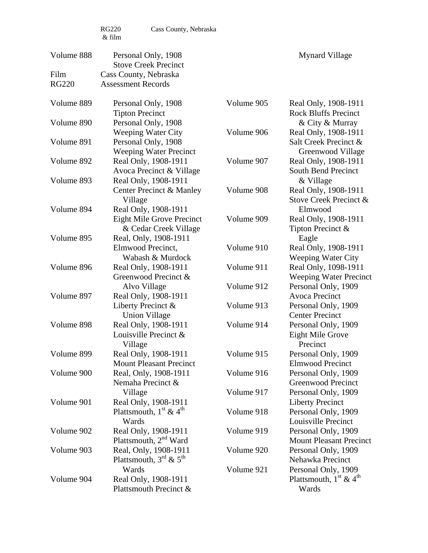| Volume 888   | Personal Only, 1908<br><b>Stove Creek Precinct</b>                                |                          | <b>Mynard Village</b>                                                         |
|--------------|-----------------------------------------------------------------------------------|--------------------------|-------------------------------------------------------------------------------|
| Film         | Cass County, Nebraska                                                             |                          |                                                                               |
| <b>RG220</b> | <b>Assessment Records</b>                                                         |                          |                                                                               |
| Volume 889   | Personal Only, 1908<br><b>Tipton Precinct</b>                                     | Volume 905               | Real Only, 1908-1911<br><b>Rock Bluffs Precinct</b>                           |
| Volume 890   | Personal Only, 1908<br><b>Weeping Water City</b>                                  | Volume 906               | & City & Murray<br>Real Only, 1908-1911                                       |
| Volume 891   | Personal Only, 1908<br><b>Weeping Water Precinct</b>                              |                          | Salt Creek Precinct &<br>Greenwood Village                                    |
| Volume 892   | Real Only, 1908-1911<br>Avoca Precinct & Village                                  | Volume 907               | Real Only, 1908-1911<br>South Bend Precinct                                   |
| Volume 893   | Real Only, 1908-1911<br>Center Precinct & Manley                                  | Volume 908               | & Village<br>Real Only, 1908-1911                                             |
| Volume 894   | Village<br>Real Only, 1908-1911                                                   |                          | Stove Creek Precinct &<br>Elmwood                                             |
|              | Eight Mile Grove Precinct<br>& Cedar Creek Village                                | Volume 909               | Real Only, 1908-1911<br>Tipton Precinct &                                     |
| Volume 895   | Real, Only, 1908-1911<br>Elmwood Precinct,<br>Wabash & Murdock                    | Volume 910               | Eagle<br>Real Only, 1908-1911<br><b>Weeping Water City</b>                    |
| Volume 896   | Real Only, 1908-1911<br>Greenwood Precinct &                                      | Volume 911               | Real Only, 1098-1911<br><b>Weeping Water Precinct</b>                         |
| Volume 897   | Alvo Village<br>Real Only, 1908-1911                                              | Volume 912               | Personal Only, 1909<br>Avoca Precinct                                         |
|              | Liberty Precinct $\&$<br><b>Union Village</b>                                     | Volume 913               | Personal Only, 1909<br><b>Center Precinct</b>                                 |
| Volume 898   | Real Only, 1908-1911<br>Louisville Precinct &<br>Village                          | Volume 914               | Personal Only, 1909<br><b>Eight Mile Grove</b><br>Precinct                    |
| Volume 899   | Real Only, 1908-1911<br><b>Mount Pleasant Precinct</b>                            | Volume 915               | Personal Only, 1909<br><b>Elmwood Precinct</b>                                |
| Volume 900   | Real, Only, 1908-1911<br>Nemaha Precinct &                                        | Volume 916               | Personal Only, 1909<br>Greenwood Precinct                                     |
| Volume 901   | Village<br>Real Only, 1908-1911<br>Plattsmouth, $1^{\text{st}}$ & $4^{\text{th}}$ | Volume 917<br>Volume 918 | Personal Only, 1909<br><b>Liberty Precinct</b><br>Personal Only, 1909         |
| Volume 902   | Wards<br>Real Only, 1908-1911<br>Plattsmouth, 2 <sup>nd</sup> Ward                | Volume 919               | Louisville Precinct<br>Personal Only, 1909<br><b>Mount Pleasant Precinct</b>  |
| Volume 903   | Real, Only, 1908-1911<br>Plattsmouth, $3^{rd}$ & $5^{th}$                         | Volume 920               | Personal Only, 1909<br>Nehawka Precinct                                       |
| Volume 904   | Wards<br>Real Only, 1908-1911<br>Plattsmouth Precinct &                           | Volume 921               | Personal Only, 1909<br>Plattsmouth, $1^{\text{st}} \& 4^{\text{th}}$<br>Wards |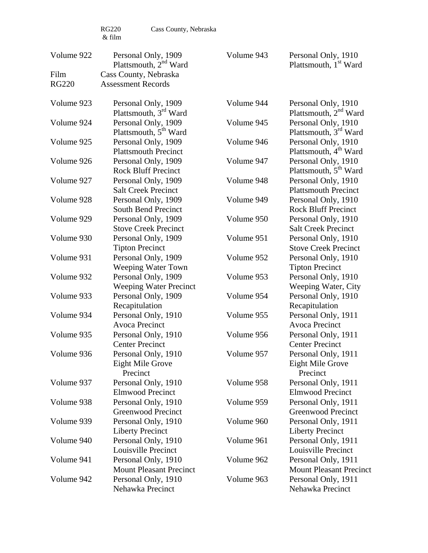| Volume 922   | Personal Only, 1909<br>Plattsmouth, 2 <sup>nd</sup> Ward   | Volume 943 | Personal Only, 1910<br>Plattsmouth, 1 <sup>st</sup> Ward                                      |
|--------------|------------------------------------------------------------|------------|-----------------------------------------------------------------------------------------------|
| Film         | Cass County, Nebraska                                      |            |                                                                                               |
| <b>RG220</b> | <b>Assessment Records</b>                                  |            |                                                                                               |
| Volume 923   | Personal Only, 1909<br>Plattsmouth, 3 <sup>rd</sup> Ward   | Volume 944 | Personal Only, 1910                                                                           |
| Volume 924   | Personal Only, 1909<br>Plattsmouth, 5 <sup>th</sup> Ward   | Volume 945 | Plattsmouth, 2 <sup>nd</sup> Ward<br>Personal Only, 1910<br>Plattsmouth, 3 <sup>rd</sup> Ward |
| Volume 925   | Personal Only, 1909<br><b>Plattsmouth Precinct</b>         | Volume 946 | Personal Only, 1910<br>Plattsmouth, 4 <sup>th</sup> Ward                                      |
| Volume 926   | Personal Only, 1909<br><b>Rock Bluff Precinct</b>          | Volume 947 | Personal Only, 1910<br>Plattsmouth, 5 <sup>th</sup> Ward                                      |
| Volume 927   | Personal Only, 1909<br><b>Salt Creek Precinct</b>          | Volume 948 | Personal Only, 1910<br><b>Plattsmouth Precinct</b>                                            |
| Volume 928   | Personal Only, 1909<br><b>South Bend Precinct</b>          | Volume 949 | Personal Only, 1910<br><b>Rock Bluff Precinct</b>                                             |
| Volume 929   | Personal Only, 1909<br><b>Stove Creek Precinct</b>         | Volume 950 | Personal Only, 1910<br><b>Salt Creek Precinct</b>                                             |
| Volume 930   | Personal Only, 1909<br><b>Tipton Precinct</b>              | Volume 951 | Personal Only, 1910<br><b>Stove Creek Precinct</b>                                            |
| Volume 931   | Personal Only, 1909<br>Weeping Water Town                  | Volume 952 | Personal Only, 1910<br><b>Tipton Precinct</b>                                                 |
| Volume 932   | Personal Only, 1909<br><b>Weeping Water Precinct</b>       | Volume 953 | Personal Only, 1910<br>Weeping Water, City                                                    |
| Volume 933   | Personal Only, 1909<br>Recapitulation                      | Volume 954 | Personal Only, 1910<br>Recapitulation                                                         |
| Volume 934   | Personal Only, 1910<br><b>Avoca Precinct</b>               | Volume 955 | Personal Only, 1911<br><b>Avoca Precinct</b>                                                  |
| Volume 935   | Personal Only, 1910<br><b>Center Precinct</b>              | Volume 956 | Personal Only, 1911<br><b>Center Precinct</b>                                                 |
| Volume 936   | Personal Only, 1910<br><b>Eight Mile Grove</b><br>Precinct | Volume 957 | Personal Only, 1911<br><b>Eight Mile Grove</b><br>Precinct                                    |
| Volume 937   | Personal Only, 1910<br><b>Elmwood Precinct</b>             | Volume 958 | Personal Only, 1911<br><b>Elmwood Precinct</b>                                                |
| Volume 938   | Personal Only, 1910<br><b>Greenwood Precinct</b>           | Volume 959 | Personal Only, 1911<br><b>Greenwood Precinct</b>                                              |
| Volume 939   | Personal Only, 1910<br><b>Liberty Precinct</b>             | Volume 960 | Personal Only, 1911<br><b>Liberty Precinct</b>                                                |
| Volume 940   | Personal Only, 1910<br>Louisville Precinct                 | Volume 961 | Personal Only, 1911<br>Louisville Precinct                                                    |
| Volume 941   | Personal Only, 1910<br><b>Mount Pleasant Precinct</b>      | Volume 962 | Personal Only, 1911<br><b>Mount Pleasant Precinct</b>                                         |
| Volume 942   | Personal Only, 1910<br>Nehawka Precinct                    | Volume 963 | Personal Only, 1911<br>Nehawka Precinct                                                       |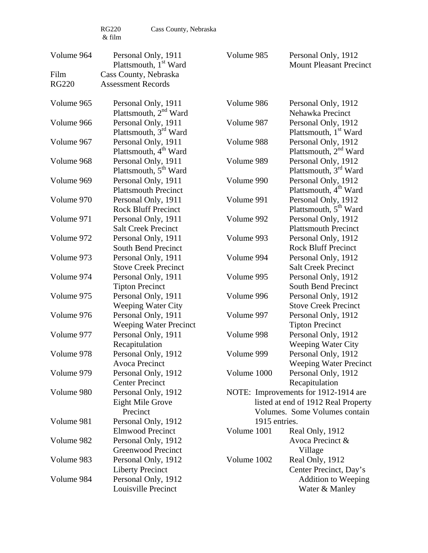| Volume 964   | Personal Only, 1911<br>Plattsmouth, 1 <sup>st</sup> Ward                    | Volume 985    | Personal Only, 1912<br><b>Mount Pleasant Precinct</b>                                                        |
|--------------|-----------------------------------------------------------------------------|---------------|--------------------------------------------------------------------------------------------------------------|
| Film         | Cass County, Nebraska                                                       |               |                                                                                                              |
| <b>RG220</b> | <b>Assessment Records</b>                                                   |               |                                                                                                              |
|              |                                                                             |               |                                                                                                              |
| Volume 965   | Personal Only, 1911<br>Plattsmouth, 2 <sup>nd</sup> Ward                    | Volume 986    | Personal Only, 1912<br>Nehawka Precinct                                                                      |
| Volume 966   | Personal Only, 1911<br>Plattsmouth, 3 <sup>rd</sup> Ward                    | Volume 987    | Personal Only, 1912<br>Plattsmouth, 1 <sup>st</sup> Ward                                                     |
| Volume 967   | Personal Only, 1911<br>Plattsmouth, 4 <sup>th</sup> Ward                    | Volume 988    | Personal Only, 1912<br>Plattsmouth, 2 <sup>nd</sup> Ward                                                     |
| Volume 968   | Personal Only, 1911<br>Plattsmouth, 5 <sup>th</sup> Ward                    | Volume 989    | Personal Only, 1912<br>Plattsmouth, 3 <sup>rd</sup> Ward                                                     |
| Volume 969   | Personal Only, 1911<br><b>Plattsmouth Precinct</b>                          | Volume 990    | Personal Only, 1912<br>Plattsmouth, 4 <sup>th</sup> Ward                                                     |
| Volume 970   | Personal Only, 1911<br><b>Rock Bluff Precinct</b>                           | Volume 991    | Personal Only, 1912<br>Plattsmouth, 5 <sup>th</sup> Ward                                                     |
| Volume 971   | Personal Only, 1911<br><b>Salt Creek Precinct</b>                           | Volume 992    | Personal Only, 1912<br><b>Plattsmouth Precinct</b>                                                           |
| Volume 972   | Personal Only, 1911<br>South Bend Precinct                                  | Volume 993    | Personal Only, 1912<br><b>Rock Bluff Precinct</b>                                                            |
| Volume 973   | Personal Only, 1911<br><b>Stove Creek Precinct</b>                          | Volume 994    | Personal Only, 1912<br><b>Salt Creek Precinct</b>                                                            |
| Volume 974   | Personal Only, 1911<br><b>Tipton Precinct</b>                               | Volume 995    | Personal Only, 1912<br>South Bend Precinct                                                                   |
| Volume 975   | Personal Only, 1911<br><b>Weeping Water City</b>                            | Volume 996    | Personal Only, 1912<br><b>Stove Creek Precinct</b>                                                           |
| Volume 976   | Personal Only, 1911<br><b>Weeping Water Precinct</b>                        | Volume 997    | Personal Only, 1912<br><b>Tipton Precinct</b>                                                                |
| Volume 977   | Personal Only, 1911<br>Recapitulation                                       | Volume 998    | Personal Only, 1912<br><b>Weeping Water City</b>                                                             |
| Volume 978   | Personal Only, 1912<br>Avoca Precinct                                       | Volume 999    | Personal Only, 1912<br><b>Weeping Water Precinct</b>                                                         |
| Volume 979   | Personal Only, 1912<br><b>Center Precinct</b>                               | Volume 1000   | Personal Only, 1912<br>Recapitulation                                                                        |
| Volume 980   | Personal Only, 1912<br>Eight Mile Grove<br>Precinct                         |               | NOTE: Improvements for 1912-1914 are<br>listed at end of 1912 Real Property<br>Volumes. Some Volumes contain |
| Volume 981   | Personal Only, 1912                                                         | 1915 entries. |                                                                                                              |
| Volume 982   | <b>Elmwood Precinct</b><br>Personal Only, 1912<br><b>Greenwood Precinct</b> | Volume 1001   | Real Only, 1912<br>Avoca Precinct &                                                                          |
| Volume 983   | Personal Only, 1912<br><b>Liberty Precinct</b>                              | Volume 1002   | Village<br>Real Only, 1912<br>Center Precinct, Day's                                                         |
| Volume 984   | Personal Only, 1912<br>Louisville Precinct                                  |               | <b>Addition to Weeping</b><br>Water & Manley                                                                 |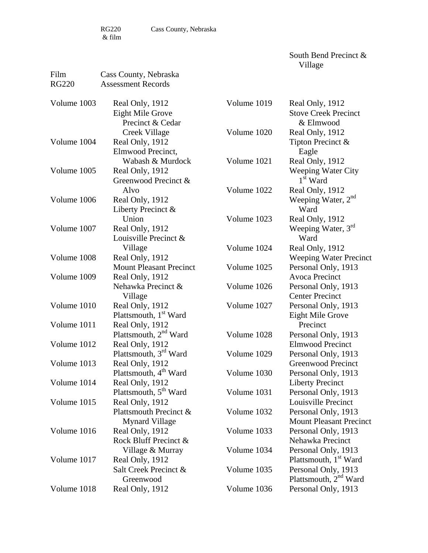South Bend Precinct & Village

| Film         | Cass County, Nebraska             |             |                                   |
|--------------|-----------------------------------|-------------|-----------------------------------|
| <b>RG220</b> | <b>Assessment Records</b>         |             |                                   |
| Volume 1003  | Real Only, 1912                   | Volume 1019 | Real Only, 1912                   |
|              | <b>Eight Mile Grove</b>           |             | <b>Stove Creek Precinct</b>       |
|              | Precinct & Cedar                  |             | & Elmwood                         |
|              | Creek Village                     | Volume 1020 | Real Only, 1912                   |
| Volume 1004  | Real Only, 1912                   |             | Tipton Precinct &                 |
|              | Elmwood Precinct,                 |             | Eagle                             |
|              | Wabash & Murdock                  | Volume 1021 | Real Only, 1912                   |
| Volume 1005  | Real Only, 1912                   |             | <b>Weeping Water City</b>         |
|              | Greenwood Precinct &              |             | $1st$ Ward                        |
|              | Alvo                              | Volume 1022 | Real Only, 1912                   |
| Volume 1006  | Real Only, 1912                   |             | Weeping Water, 2 <sup>nd</sup>    |
|              | Liberty Precinct &                |             | Ward                              |
|              | Union                             | Volume 1023 | Real Only, 1912                   |
| Volume 1007  | Real Only, 1912                   |             | Weeping Water, 3rd                |
|              | Louisville Precinct &             |             | Ward                              |
|              | Village                           | Volume 1024 | Real Only, 1912                   |
| Volume 1008  | Real Only, 1912                   |             | <b>Weeping Water Precinct</b>     |
|              | <b>Mount Pleasant Precinct</b>    | Volume 1025 | Personal Only, 1913               |
| Volume 1009  | Real Only, 1912                   |             | <b>Avoca Precinct</b>             |
|              | Nehawka Precinct &                | Volume 1026 | Personal Only, 1913               |
|              | Village                           |             | <b>Center Precinct</b>            |
| Volume 1010  | Real Only, 1912                   | Volume 1027 | Personal Only, 1913               |
|              | Plattsmouth, 1 <sup>st</sup> Ward |             | Eight Mile Grove                  |
| Volume 1011  | Real Only, 1912                   |             | Precinct                          |
|              | Plattsmouth, 2 <sup>nd</sup> Ward | Volume 1028 | Personal Only, 1913               |
| Volume 1012  | Real Only, 1912                   |             | <b>Elmwood Precinct</b>           |
|              | Plattsmouth, 3 <sup>rd</sup> Ward | Volume 1029 | Personal Only, 1913               |
| Volume 1013  | Real Only, 1912                   |             | <b>Greenwood Precinct</b>         |
|              | Plattsmouth, 4 <sup>th</sup> Ward | Volume 1030 | Personal Only, 1913               |
| Volume 1014  | Real Only, 1912                   |             | <b>Liberty Precinct</b>           |
|              | Plattsmouth, 5 <sup>th</sup> Ward | Volume 1031 | Personal Only, 1913               |
| Volume 1015  | Real Only, 1912                   |             | Louisville Precinct               |
|              | Plattsmouth Precinct &            | Volume 1032 | Personal Only, 1913               |
|              | <b>Mynard Village</b>             |             | <b>Mount Pleasant Precinct</b>    |
| Volume 1016  | Real Only, 1912                   | Volume 1033 | Personal Only, 1913               |
|              | Rock Bluff Precinct &             |             | Nehawka Precinct                  |
|              | Village & Murray                  | Volume 1034 | Personal Only, 1913               |
| Volume 1017  | Real Only, 1912                   |             | Plattsmouth, 1 <sup>st</sup> Ward |
|              | Salt Creek Precinct &             | Volume 1035 | Personal Only, 1913               |
|              | Greenwood                         |             | Plattsmouth, $2nd$ Ward           |
| Volume 1018  | Real Only, 1912                   | Volume 1036 | Personal Only, 1913               |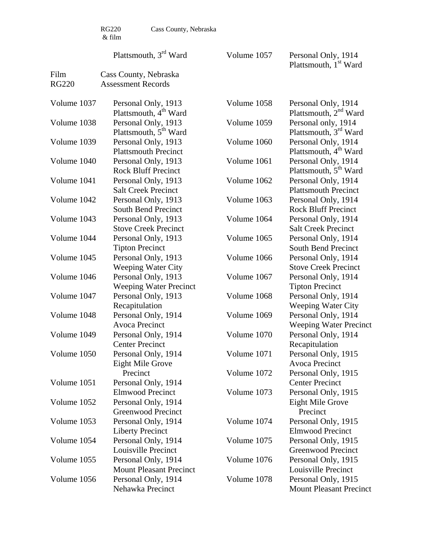$\begin{array}{c} \tt RG220 \\ \& \ \tt film \end{array}$ 

Film Cass County, Nebraska

Cass County, Nebraska

Plattsmouth, 3<sup>rd</sup> Ward

Volume 1057 Personal Only, 1914 Plattsmouth, 1<sup>st</sup> Ward

| <b>RG220</b> | <b>Assessment Records</b>                                |             |                                                          |
|--------------|----------------------------------------------------------|-------------|----------------------------------------------------------|
| Volume 1037  | Personal Only, 1913<br>Plattsmouth, 4 <sup>th</sup> Ward | Volume 1058 | Personal Only, 1914<br>Plattsmouth, 2 <sup>nd</sup> Ward |
| Volume 1038  | Personal Only, 1913                                      | Volume 1059 | Personal only, 1914                                      |
|              | Plattsmouth, 5 <sup>th</sup> Ward                        |             | Plattsmouth, 3 <sup>rd</sup> Ward                        |
| Volume 1039  | Personal Only, 1913                                      | Volume 1060 | Personal Only, 1914                                      |
|              | <b>Plattsmouth Precinct</b>                              |             | Plattsmouth, 4 <sup>th</sup> Ward                        |
| Volume 1040  | Personal Only, 1913                                      | Volume 1061 | Personal Only, 1914                                      |
|              | <b>Rock Bluff Precinct</b>                               |             | Plattsmouth, 5 <sup>th</sup> Ward                        |
| Volume 1041  | Personal Only, 1913                                      | Volume 1062 | Personal Only, 1914                                      |
|              | <b>Salt Creek Precinct</b>                               |             | <b>Plattsmouth Precinct</b>                              |
| Volume 1042  | Personal Only, 1913                                      | Volume 1063 | Personal Only, 1914                                      |
|              | South Bend Precinct                                      |             | <b>Rock Bluff Precinct</b>                               |
| Volume 1043  | Personal Only, 1913                                      | Volume 1064 | Personal Only, 1914                                      |
|              | <b>Stove Creek Precinct</b>                              |             | <b>Salt Creek Precinct</b>                               |
| Volume 1044  | Personal Only, 1913                                      | Volume 1065 | Personal Only, 1914                                      |
|              | <b>Tipton Precinct</b>                                   |             | <b>South Bend Precinct</b>                               |
| Volume 1045  | Personal Only, 1913                                      | Volume 1066 | Personal Only, 1914                                      |
|              | <b>Weeping Water City</b>                                |             | <b>Stove Creek Precinct</b>                              |
| Volume 1046  | Personal Only, 1913                                      | Volume 1067 | Personal Only, 1914                                      |
|              | <b>Weeping Water Precinct</b>                            |             | <b>Tipton Precinct</b>                                   |
| Volume 1047  | Personal Only, 1913                                      | Volume 1068 | Personal Only, 1914                                      |
|              | Recapitulation                                           |             | <b>Weeping Water City</b>                                |
| Volume 1048  | Personal Only, 1914                                      | Volume 1069 | Personal Only, 1914                                      |
|              | <b>Avoca Precinct</b>                                    |             | <b>Weeping Water Precinct</b>                            |
| Volume 1049  | Personal Only, 1914                                      | Volume 1070 | Personal Only, 1914                                      |
|              | <b>Center Precinct</b>                                   |             | Recapitulation                                           |
| Volume 1050  | Personal Only, 1914                                      | Volume 1071 | Personal Only, 1915                                      |
|              | <b>Eight Mile Grove</b>                                  |             | Avoca Precinct                                           |
|              | Precinct                                                 | Volume 1072 | Personal Only, 1915                                      |
| Volume 1051  | Personal Only, 1914                                      |             | <b>Center Precinct</b>                                   |
|              | <b>Elmwood Precinct</b>                                  | Volume 1073 | Personal Only, 1915                                      |
| Volume 1052  | Personal Only, 1914                                      |             | Eight Mile Grove                                         |
|              | <b>Greenwood Precinct</b>                                |             | Precinct                                                 |
| Volume 1053  | Personal Only, 1914                                      | Volume 1074 | Personal Only, 1915                                      |
|              | <b>Liberty Precinct</b>                                  |             | <b>Elmwood Precinct</b>                                  |
| Volume 1054  | Personal Only, 1914                                      | Volume 1075 | Personal Only, 1915                                      |
|              | Louisville Precinct                                      |             | Greenwood Precinct                                       |
| Volume 1055  | Personal Only, 1914                                      | Volume 1076 | Personal Only, 1915                                      |
|              | <b>Mount Pleasant Precinct</b>                           |             | Louisville Precinct                                      |
| Volume 1056  | Personal Only, 1914                                      | Volume 1078 | Personal Only, 1915                                      |
|              | Nehawka Precinct                                         |             | <b>Mount Pleasant Precinct</b>                           |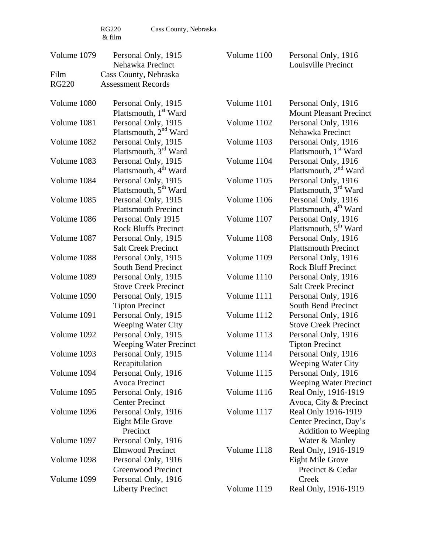| Volume 1079  | Personal Only, 1915<br>Nehawka Precinct           | Volume 1100 | Personal Only, 1916<br>Louisville Precinct               |
|--------------|---------------------------------------------------|-------------|----------------------------------------------------------|
| Film         | Cass County, Nebraska                             |             |                                                          |
| <b>RG220</b> | <b>Assessment Records</b>                         |             |                                                          |
| Volume 1080  | Personal Only, 1915                               | Volume 1101 | Personal Only, 1916                                      |
|              | Plattsmouth, 1 <sup>st</sup> Ward                 |             | <b>Mount Pleasant Precinct</b>                           |
| Volume 1081  | Personal Only, 1915                               | Volume 1102 | Personal Only, 1916                                      |
|              | Plattsmouth, $2nd$ Ward                           |             | Nehawka Precinct                                         |
| Volume 1082  | Personal Only, 1915                               | Volume 1103 | Personal Only, 1916                                      |
|              | Plattsmouth, 3 <sup>rd</sup> Ward                 |             | Plattsmouth, 1 <sup>st</sup> Ward                        |
| Volume 1083  | Personal Only, 1915                               | Volume 1104 | Personal Only, 1916                                      |
|              | Plattsmouth, 4 <sup>th</sup> Ward                 |             | Plattsmouth, 2 <sup>nd</sup> Ward                        |
| Volume 1084  | Personal Only, 1915                               | Volume 1105 | Personal Only, 1916                                      |
|              | Plattsmouth, 5 <sup>th</sup> Ward                 |             | Plattsmouth, 3 <sup>rd</sup> Ward                        |
| Volume 1085  | Personal Only, 1915                               | Volume 1106 | Personal Only, 1916                                      |
|              | <b>Plattsmouth Precinct</b>                       |             | Plattsmouth, 4 <sup>th</sup> Ward                        |
| Volume 1086  |                                                   | Volume 1107 |                                                          |
|              | Personal Only 1915<br><b>Rock Bluffs Precinct</b> |             | Personal Only, 1916<br>Plattsmouth, 5 <sup>th</sup> Ward |
|              |                                                   |             |                                                          |
| Volume 1087  | Personal Only, 1915                               | Volume 1108 | Personal Only, 1916                                      |
|              | <b>Salt Creek Precinct</b>                        |             | <b>Plattsmouth Precinct</b>                              |
| Volume 1088  | Personal Only, 1915                               | Volume 1109 | Personal Only, 1916                                      |
|              | <b>South Bend Precinct</b>                        |             | <b>Rock Bluff Precinct</b>                               |
| Volume 1089  | Personal Only, 1915                               | Volume 1110 | Personal Only, 1916                                      |
|              | <b>Stove Creek Precinct</b>                       |             | <b>Salt Creek Precinct</b>                               |
| Volume 1090  | Personal Only, 1915                               | Volume 1111 | Personal Only, 1916                                      |
|              | <b>Tipton Precinct</b>                            |             | South Bend Precinct                                      |
| Volume 1091  | Personal Only, 1915                               | Volume 1112 | Personal Only, 1916                                      |
|              | <b>Weeping Water City</b>                         |             | <b>Stove Creek Precinct</b>                              |
| Volume 1092  | Personal Only, 1915                               | Volume 1113 | Personal Only, 1916                                      |
|              | Weeping Water Precinct                            |             | <b>Tipton Precinct</b>                                   |
| Volume 1093  | Personal Only, 1915                               | Volume 1114 | Personal Only, 1916                                      |
|              | Recapitulation                                    |             | Weeping Water City                                       |
| Volume 1094  | Personal Only, 1916                               | Volume 1115 | Personal Only, 1916                                      |
|              | <b>Avoca Precinct</b>                             |             | <b>Weeping Water Precinct</b>                            |
| Volume 1095  | Personal Only, 1916                               | Volume 1116 | Real Only, 1916-1919                                     |
|              | <b>Center Precinct</b>                            |             | Avoca, City & Precinct                                   |
| Volume 1096  | Personal Only, 1916                               | Volume 1117 | Real Only 1916-1919                                      |
|              | Eight Mile Grove                                  |             | Center Precinct, Day's                                   |
|              | Precinct                                          |             | <b>Addition to Weeping</b>                               |
| Volume 1097  | Personal Only, 1916                               |             | Water & Manley                                           |
|              | <b>Elmwood Precinct</b>                           | Volume 1118 | Real Only, 1916-1919                                     |
| Volume 1098  | Personal Only, 1916                               |             | Eight Mile Grove                                         |
|              | <b>Greenwood Precinct</b>                         |             | Precinct & Cedar                                         |
| Volume 1099  | Personal Only, 1916                               |             | Creek                                                    |
|              | <b>Liberty Precinct</b>                           | Volume 1119 | Real Only, 1916-1919                                     |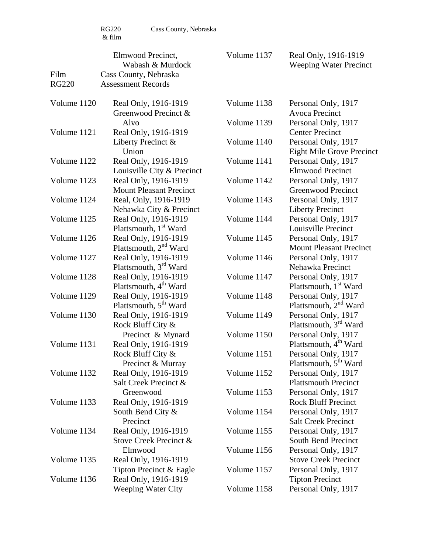|                      | Elmwood Precinct,<br>Wabash & Murdock                  | Volume 1137 | Real Only, 1916-1919<br><b>Weeping Water Precinct</b>    |
|----------------------|--------------------------------------------------------|-------------|----------------------------------------------------------|
| Film<br><b>RG220</b> | Cass County, Nebraska<br><b>Assessment Records</b>     |             |                                                          |
| Volume 1120          | Real Only, 1916-1919<br>Greenwood Precinct &           | Volume 1138 | Personal Only, 1917<br>Avoca Precinct                    |
|                      | Alvo                                                   | Volume 1139 | Personal Only, 1917                                      |
| Volume 1121          | Real Only, 1916-1919                                   |             | <b>Center Precinct</b>                                   |
|                      | Liberty Precinct &                                     | Volume 1140 | Personal Only, 1917                                      |
|                      | Union                                                  |             | <b>Eight Mile Grove Precinct</b>                         |
| Volume 1122          | Real Only, 1916-1919                                   | Volume 1141 | Personal Only, 1917                                      |
|                      | Louisville City & Precinct                             |             | <b>Elmwood Precinct</b>                                  |
| Volume 1123          | Real Only, 1916-1919<br><b>Mount Pleasant Precinct</b> | Volume 1142 | Personal Only, 1917<br><b>Greenwood Precinct</b>         |
| Volume 1124          | Real, Only, 1916-1919                                  | Volume 1143 | Personal Only, 1917                                      |
|                      | Nehawka City & Precinct                                |             | <b>Liberty Precinct</b>                                  |
| Volume 1125          | Real Only, 1916-1919                                   | Volume 1144 | Personal Only, 1917                                      |
|                      | Plattsmouth, 1 <sup>st</sup> Ward                      |             | Louisville Precinct                                      |
| Volume 1126          | Real Only, 1916-1919                                   | Volume 1145 | Personal Only, 1917                                      |
|                      | Plattsmouth, 2 <sup>nd</sup> Ward                      |             | <b>Mount Pleasant Precinct</b>                           |
| Volume 1127          | Real Only, 1916-1919                                   | Volume 1146 | Personal Only, 1917                                      |
|                      | Plattsmouth, $3rd$ Ward                                |             | Nehawka Precinct                                         |
| Volume 1128          | Real Only, 1916-1919                                   | Volume 1147 | Personal Only, 1917                                      |
|                      | Plattsmouth, 4 <sup>th</sup> Ward                      |             | Plattsmouth, 1 <sup>st</sup> Ward                        |
| Volume 1129          | Real Only, 1916-1919                                   | Volume 1148 | Personal Only, 1917                                      |
|                      | Plattsmouth, 5 <sup>th</sup> Ward                      |             | Plattsmouth, 2 <sup>nd</sup> Ward                        |
| Volume 1130          | Real Only, 1916-1919                                   | Volume 1149 | Personal Only, 1917                                      |
|                      | Rock Bluff City &                                      |             | Plattsmouth, 3 <sup>rd</sup> Ward                        |
|                      | Precinct & Mynard                                      | Volume 1150 | Personal Only, 1917                                      |
| Volume 1131          | Real Only, 1916-1919                                   | Volume 1151 | Plattsmouth, 4 <sup>th</sup> Ward                        |
|                      | Rock Bluff City &<br>Precinct & Murray                 |             | Personal Only, 1917<br>Plattsmouth, 5 <sup>th</sup> Ward |
| Volume 1132          | Real Only, 1916-1919                                   | Volume 1152 | Personal Only, 1917                                      |
|                      | Salt Creek Precinct &                                  |             | <b>Plattsmouth Precinct</b>                              |
|                      | Greenwood                                              | Volume 1153 | Personal Only, 1917                                      |
| Volume 1133          | Real Only, 1916-1919                                   |             | <b>Rock Bluff Precinct</b>                               |
|                      | South Bend City $\&$                                   | Volume 1154 | Personal Only, 1917                                      |
|                      | Precinct                                               |             | <b>Salt Creek Precinct</b>                               |
| Volume 1134          | Real Only, 1916-1919                                   | Volume 1155 | Personal Only, 1917                                      |
|                      | Stove Creek Precinct &                                 |             | South Bend Precinct                                      |
|                      | Elmwood                                                | Volume 1156 | Personal Only, 1917                                      |
| Volume 1135          | Real Only, 1916-1919                                   |             | <b>Stove Creek Precinct</b>                              |
|                      | Tipton Precinct & Eagle                                | Volume 1157 | Personal Only, 1917                                      |
| Volume 1136          | Real Only, 1916-1919                                   |             | <b>Tipton Precinct</b>                                   |
|                      | <b>Weeping Water City</b>                              | Volume 1158 | Personal Only, 1917                                      |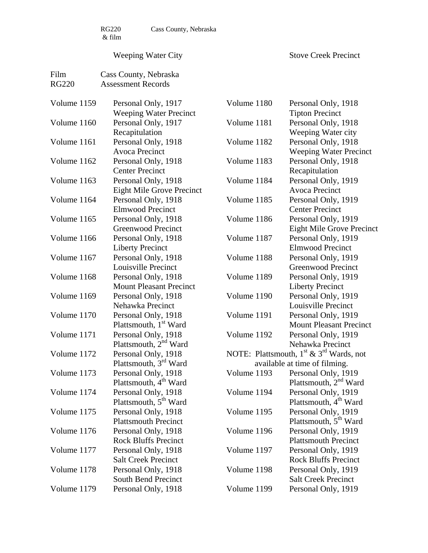# Weeping Water City

Stove Creek Precinct

| Film         | Cass County, Nebraska             |             |                                                                 |
|--------------|-----------------------------------|-------------|-----------------------------------------------------------------|
| <b>RG220</b> | <b>Assessment Records</b>         |             |                                                                 |
|              |                                   |             |                                                                 |
| Volume 1159  | Personal Only, 1917               | Volume 1180 | Personal Only, 1918                                             |
|              | <b>Weeping Water Precinct</b>     |             | <b>Tipton Precinct</b>                                          |
| Volume 1160  | Personal Only, 1917               | Volume 1181 | Personal Only, 1918                                             |
|              | Recapitulation                    |             | Weeping Water city                                              |
| Volume 1161  | Personal Only, 1918               | Volume 1182 | Personal Only, 1918                                             |
|              | <b>Avoca Precinct</b>             |             | <b>Weeping Water Precinct</b>                                   |
| Volume 1162  | Personal Only, 1918               | Volume 1183 | Personal Only, 1918                                             |
|              | <b>Center Precinct</b>            |             | Recapitulation                                                  |
| Volume 1163  | Personal Only, 1918               | Volume 1184 | Personal Only, 1919                                             |
|              | <b>Eight Mile Grove Precinct</b>  |             | <b>Avoca Precinct</b>                                           |
| Volume 1164  | Personal Only, 1918               | Volume 1185 | Personal Only, 1919                                             |
|              | <b>Elmwood Precinct</b>           |             | <b>Center Precinct</b>                                          |
| Volume 1165  | Personal Only, 1918               | Volume 1186 | Personal Only, 1919                                             |
|              | <b>Greenwood Precinct</b>         |             | <b>Eight Mile Grove Precinct</b>                                |
| Volume 1166  | Personal Only, 1918               | Volume 1187 | Personal Only, 1919                                             |
|              | <b>Liberty Precinct</b>           |             | <b>Elmwood Precinct</b>                                         |
| Volume 1167  | Personal Only, 1918               | Volume 1188 | Personal Only, 1919                                             |
|              | Louisville Precinct               |             | <b>Greenwood Precinct</b>                                       |
| Volume 1168  | Personal Only, 1918               | Volume 1189 | Personal Only, 1919                                             |
|              | <b>Mount Pleasant Precinct</b>    |             | <b>Liberty Precinct</b>                                         |
| Volume 1169  | Personal Only, 1918               | Volume 1190 | Personal Only, 1919                                             |
|              | Nehawka Precinct                  |             | Louisville Precinct                                             |
| Volume 1170  | Personal Only, 1918               | Volume 1191 | Personal Only, 1919                                             |
|              | Plattsmouth, 1 <sup>st</sup> Ward |             | <b>Mount Pleasant Precinct</b>                                  |
| Volume 1171  | Personal Only, 1918               | Volume 1192 | Personal Only, 1919                                             |
|              | Plattsmouth, 2 <sup>nd</sup> Ward |             | Nehawka Precinct                                                |
| Volume 1172  | Personal Only, 1918               |             | NOTE: Plattsmouth, 1 <sup>st</sup> & 3 <sup>rd</sup> Wards, not |
|              | Plattsmouth, 3 <sup>rd</sup> Ward |             | available at time of filming.                                   |
| Volume 1173  | Personal Only, 1918               | Volume 1193 | Personal Only, 1919                                             |
|              | Plattsmouth, 4 <sup>th</sup> Ward |             | Plattsmouth, $2nd$ Ward                                         |
| Volume 1174  | Personal Only, 1918               | Volume 1194 | Personal Only, 1919                                             |
|              | Plattsmouth, 5 <sup>th</sup> Ward |             | Plattsmouth, 4 <sup>th</sup> Ward                               |
| Volume 1175  | Personal Only, 1918               | Volume 1195 | Personal Only, 1919                                             |
|              | <b>Plattsmouth Precinct</b>       |             | Plattsmouth, 5 <sup>th</sup> Ward                               |
| Volume 1176  | Personal Only, 1918               | Volume 1196 | Personal Only, 1919                                             |
|              | <b>Rock Bluffs Precinct</b>       |             | <b>Plattsmouth Precinct</b>                                     |
| Volume 1177  | Personal Only, 1918               | Volume 1197 | Personal Only, 1919                                             |
|              | <b>Salt Creek Precinct</b>        |             | <b>Rock Bluffs Precinct</b>                                     |
| Volume 1178  | Personal Only, 1918               | Volume 1198 | Personal Only, 1919                                             |
|              | South Bend Precinct               |             | <b>Salt Creek Precinct</b>                                      |
| Volume 1179  | Personal Only, 1918               | Volume 1199 | Personal Only, 1919                                             |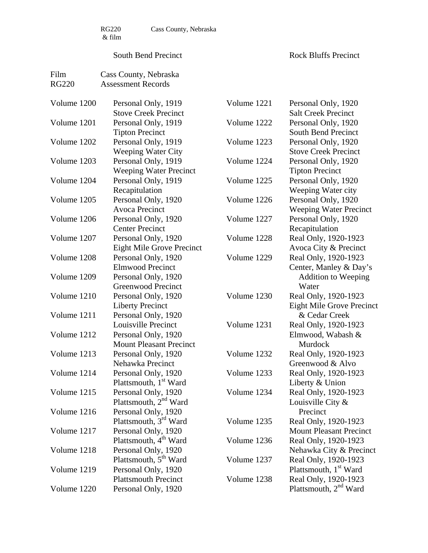RG220 Cass County, Nebraska

#### South Bend Precinct

Rock Bluffs Precinct

| Film         | Cass County, Nebraska             |             |                                   |
|--------------|-----------------------------------|-------------|-----------------------------------|
| <b>RG220</b> | <b>Assessment Records</b>         |             |                                   |
| Volume 1200  | Personal Only, 1919               | Volume 1221 | Personal Only, 1920               |
|              | <b>Stove Creek Precinct</b>       |             | <b>Salt Creek Precinct</b>        |
| Volume 1201  | Personal Only, 1919               | Volume 1222 | Personal Only, 1920               |
|              | <b>Tipton Precinct</b>            |             | South Bend Precinct               |
| Volume 1202  | Personal Only, 1919               | Volume 1223 | Personal Only, 1920               |
|              | <b>Weeping Water City</b>         |             | <b>Stove Creek Precinct</b>       |
| Volume 1203  | Personal Only, 1919               | Volume 1224 | Personal Only, 1920               |
|              | <b>Weeping Water Precinct</b>     |             | <b>Tipton Precinct</b>            |
| Volume 1204  | Personal Only, 1919               | Volume 1225 | Personal Only, 1920               |
|              | Recapitulation                    |             | Weeping Water city                |
| Volume 1205  | Personal Only, 1920               | Volume 1226 | Personal Only, 1920               |
|              | <b>Avoca Precinct</b>             |             | <b>Weeping Water Precinct</b>     |
| Volume 1206  | Personal Only, 1920               | Volume 1227 | Personal Only, 1920               |
|              | <b>Center Precinct</b>            |             | Recapitulation                    |
| Volume 1207  | Personal Only, 1920               | Volume 1228 | Real Only, 1920-1923              |
|              | <b>Eight Mile Grove Precinct</b>  |             | Avoca City & Precinct             |
| Volume 1208  | Personal Only, 1920               | Volume 1229 | Real Only, 1920-1923              |
|              | <b>Elmwood Precinct</b>           |             | Center, Manley & Day's            |
| Volume 1209  | Personal Only, 1920               |             | <b>Addition to Weeping</b>        |
|              | Greenwood Precinct                |             | Water                             |
| Volume 1210  | Personal Only, 1920               | Volume 1230 | Real Only, 1920-1923              |
|              | <b>Liberty Precinct</b>           |             | Eight Mile Grove Precinct         |
| Volume 1211  | Personal Only, 1920               |             | & Cedar Creek                     |
|              | Louisville Precinct               | Volume 1231 | Real Only, 1920-1923              |
| Volume 1212  | Personal Only, 1920               |             | Elmwood, Wabash &                 |
|              | <b>Mount Pleasant Precinct</b>    |             | Murdock                           |
| Volume 1213  | Personal Only, 1920               | Volume 1232 | Real Only, 1920-1923              |
|              | Nehawka Precinct                  |             | Greenwood & Alvo                  |
| Volume 1214  | Personal Only, 1920               | Volume 1233 | Real Only, 1920-1923              |
|              | Plattsmouth, 1 <sup>st</sup> Ward |             | Liberty & Union                   |
| Volume 1215  | Personal Only, 1920               | Volume 1234 | Real Only, 1920-1923              |
|              | Plattsmouth, $2nd$ Ward           |             | Louisville City $\&$              |
| Volume 1216  | Personal Only, 1920               |             | Precinct                          |
|              | Plattsmouth, 3 <sup>rd</sup> Ward | Volume 1235 | Real Only, 1920-1923              |
| Volume 1217  | Personal Only, 1920               |             | <b>Mount Pleasant Precinct</b>    |
|              | Plattsmouth, 4 <sup>th</sup> Ward | Volume 1236 | Real Only, 1920-1923              |
| Volume 1218  | Personal Only, 1920               |             | Nehawka City & Precinct           |
|              | Plattsmouth, 5 <sup>th</sup> Ward | Volume 1237 | Real Only, 1920-1923              |
| Volume 1219  | Personal Only, 1920               |             | Plattsmouth, 1 <sup>st</sup> Ward |
|              | <b>Plattsmouth Precinct</b>       | Volume 1238 | Real Only, 1920-1923              |
| Volume 1220  | Personal Only, 1920               |             | Plattsmouth, 2 <sup>nd</sup> Ward |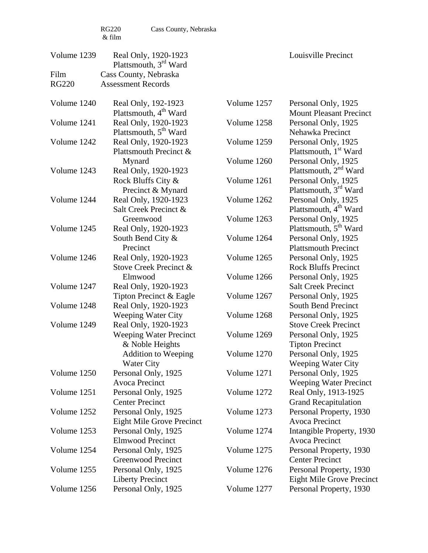| Volume 1239  | Real Only, 1920-1923<br>Plattsmouth, 3 <sup>rd</sup> Ward                    |                            | Louisville Precinct                                                                           |
|--------------|------------------------------------------------------------------------------|----------------------------|-----------------------------------------------------------------------------------------------|
| Film         | Cass County, Nebraska                                                        |                            |                                                                                               |
| <b>RG220</b> | <b>Assessment Records</b>                                                    |                            |                                                                                               |
| Volume 1240  | Real Only, 192-1923<br>Plattsmouth, 4 <sup>th</sup> Ward                     | Volume 1257                | Personal Only, 1925<br><b>Mount Pleasant Precinct</b>                                         |
| Volume 1241  | Real Only, 1920-1923<br>Plattsmouth, 5 <sup>th</sup> Ward                    | Volume 1258                | Personal Only, 1925<br>Nehawka Precinct                                                       |
| Volume 1242  | Real Only, 1920-1923<br>Plattsmouth Precinct &                               | Volume 1259                | Personal Only, 1925<br>Plattsmouth, 1 <sup>st</sup> Ward                                      |
| Volume 1243  | Mynard<br>Real Only, 1920-1923<br>Rock Bluffs City &                         | Volume 1260<br>Volume 1261 | Personal Only, 1925<br>Plattsmouth, $2nd$ Ward<br>Personal Only, 1925                         |
| Volume 1244  | Precinct & Mynard<br>Real Only, 1920-1923                                    | Volume 1262                | Plattsmouth, 3 <sup>rd</sup> Ward<br>Personal Only, 1925                                      |
| Volume 1245  | Salt Creek Precinct &<br>Greenwood<br>Real Only, 1920-1923                   | Volume 1263                | Plattsmouth, 4 <sup>th</sup> Ward<br>Personal Only, 1925<br>Plattsmouth, 5 <sup>th</sup> Ward |
|              | South Bend City &<br>Precinct                                                | Volume 1264                | Personal Only, 1925<br><b>Plattsmouth Precinct</b>                                            |
| Volume 1246  | Real Only, 1920-1923<br>Stove Creek Precinct &                               | Volume 1265                | Personal Only, 1925<br><b>Rock Bluffs Precinct</b>                                            |
| Volume 1247  | Elmwood<br>Real Only, 1920-1923                                              | Volume 1266                | Personal Only, 1925<br><b>Salt Creek Precinct</b>                                             |
| Volume 1248  | Tipton Precinct & Eagle<br>Real Only, 1920-1923<br><b>Weeping Water City</b> | Volume 1267<br>Volume 1268 | Personal Only, 1925<br><b>South Bend Precinct</b><br>Personal Only, 1925                      |
| Volume 1249  | Real Only, 1920-1923<br><b>Weeping Water Precinct</b>                        | Volume 1269                | <b>Stove Creek Precinct</b><br>Personal Only, 1925                                            |
|              | & Noble Heights<br><b>Addition to Weeping</b><br>Water City                  | Volume 1270                | <b>Tipton Precinct</b><br>Personal Only, 1925<br>Weeping Water City                           |
| Volume 1250  | Personal Only, 1925<br>Avoca Precinct                                        | Volume 1271                | Personal Only, 1925<br><b>Weeping Water Precinct</b>                                          |
| Volume 1251  | Personal Only, 1925<br><b>Center Precinct</b>                                | Volume 1272                | Real Only, 1913-1925<br><b>Grand Recapitulation</b>                                           |
| Volume 1252  | Personal Only, 1925<br>Eight Mile Grove Precinct                             | Volume 1273                | Personal Property, 1930<br>Avoca Precinct                                                     |
| Volume 1253  | Personal Only, 1925<br>Elmwood Precinct                                      | Volume 1274                | Intangible Property, 1930<br>Avoca Precinct                                                   |
| Volume 1254  | Personal Only, 1925<br>Greenwood Precinct                                    | Volume 1275                | Personal Property, 1930<br><b>Center Precinct</b>                                             |
| Volume 1255  | Personal Only, 1925<br><b>Liberty Precinct</b>                               | Volume 1276                | Personal Property, 1930<br><b>Eight Mile Grove Precinct</b>                                   |
| Volume 1256  | Personal Only, 1925                                                          | Volume 1277                | Personal Property, 1930                                                                       |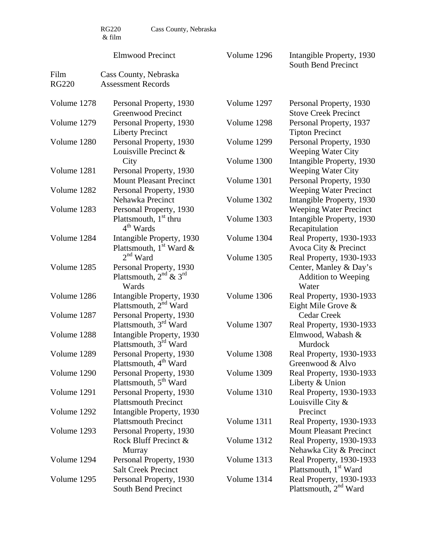|              | <b>Elmwood Precinct</b>                                                                             | Volume 1296 | Intangible Property, 1930<br>South Bend Precinct              |
|--------------|-----------------------------------------------------------------------------------------------------|-------------|---------------------------------------------------------------|
| Film         | Cass County, Nebraska                                                                               |             |                                                               |
| <b>RG220</b> | <b>Assessment Records</b>                                                                           |             |                                                               |
| Volume 1278  | Personal Property, 1930<br><b>Greenwood Precinct</b>                                                | Volume 1297 | Personal Property, 1930<br><b>Stove Creek Precinct</b>        |
| Volume 1279  | Personal Property, 1930<br><b>Liberty Precinct</b>                                                  | Volume 1298 | Personal Property, 1937<br><b>Tipton Precinct</b>             |
| Volume 1280  | Personal Property, 1930<br>Louisville Precinct &                                                    | Volume 1299 | Personal Property, 1930<br><b>Weeping Water City</b>          |
|              | City                                                                                                | Volume 1300 | Intangible Property, 1930                                     |
| Volume 1281  | Personal Property, 1930                                                                             |             | <b>Weeping Water City</b>                                     |
|              | <b>Mount Pleasant Precinct</b>                                                                      | Volume 1301 | Personal Property, 1930                                       |
| Volume 1282  | Personal Property, 1930                                                                             |             | <b>Weeping Water Precinct</b>                                 |
|              | Nehawka Precinct                                                                                    | Volume 1302 | Intangible Property, 1930                                     |
| Volume 1283  | Personal Property, 1930                                                                             |             | <b>Weeping Water Precinct</b>                                 |
|              | Plattsmouth, 1 <sup>st</sup> thru<br>$4th$ Wards                                                    | Volume 1303 | Intangible Property, 1930<br>Recapitulation                   |
| Volume 1284  | Intangible Property, 1930                                                                           | Volume 1304 | Real Property, 1930-1933                                      |
|              | Plattsmouth, $1st$ Ward &                                                                           |             | Avoca City & Precinct                                         |
|              | $2nd$ Ward                                                                                          | Volume 1305 | Real Property, 1930-1933                                      |
| Volume 1285  | Personal Property, 1930<br>Plattsmouth, $2^{nd}$ & $3^{rd}$<br>Wards                                |             | Center, Manley & Day's<br><b>Addition to Weeping</b><br>Water |
| Volume 1286  | Intangible Property, 1930                                                                           | Volume 1306 | Real Property, 1930-1933                                      |
|              | Plattsmouth, 2 <sup>nd</sup> Ward                                                                   |             | Eight Mile Grove $\&$                                         |
| Volume 1287  | Personal Property, 1930                                                                             |             | <b>Cedar Creek</b>                                            |
| Volume 1288  | Plattsmouth, 3 <sup>rd</sup> Ward<br>Intangible Property, 1930<br>Plattsmouth, 3 <sup>rd</sup> Ward | Volume 1307 | Real Property, 1930-1933<br>Elmwood, Wabash &<br>Murdock      |
| Volume 1289  |                                                                                                     | Volume 1308 | Real Property, 1930-1933                                      |
|              | Personal Property, 1930<br>Plattsmouth, 4 <sup>th</sup> Ward                                        |             | Greenwood & Alvo                                              |
| Volume 1290  | Personal Property, 1930<br>Plattsmouth, 5 <sup>th</sup> Ward                                        | Volume 1309 | Real Property, 1930-1933<br>Liberty & Union                   |
| Volume 1291  | Personal Property, 1930<br><b>Plattsmouth Precinct</b>                                              | Volume 1310 | Real Property, 1930-1933<br>Louisville City $\&$              |
| Volume 1292  | Intangible Property, 1930                                                                           |             | Precinct                                                      |
|              | <b>Plattsmouth Precinct</b>                                                                         | Volume 1311 | Real Property, 1930-1933                                      |
| Volume 1293  | Personal Property, 1930                                                                             |             | <b>Mount Pleasant Precinct</b>                                |
|              | Rock Bluff Precinct &<br>Murray                                                                     | Volume 1312 | Real Property, 1930-1933<br>Nehawka City & Precinct           |
| Volume 1294  | Personal Property, 1930                                                                             | Volume 1313 | Real Property, 1930-1933                                      |
|              | <b>Salt Creek Precinct</b>                                                                          |             | Plattsmouth, 1 <sup>st</sup> Ward                             |
| Volume 1295  | Personal Property, 1930<br>South Bend Precinct                                                      | Volume 1314 | Real Property, 1930-1933<br>Plattsmouth, 2 <sup>nd</sup> Ward |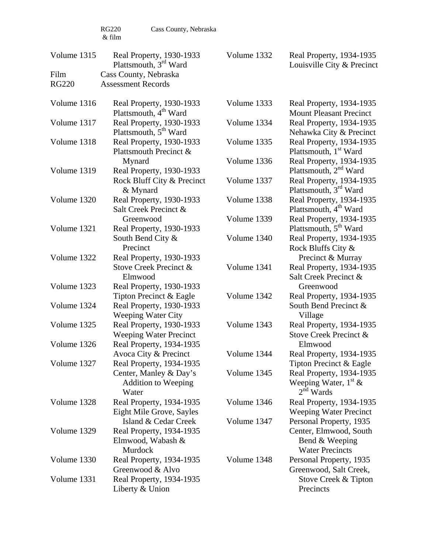| Volume 1315          | Real Property, 1930-1933<br>Plattsmouth, 3 <sup>rd</sup> Ward                             | Volume 1332                | Real Property, 1934-1935<br>Louisville City & Precinct                                                  |
|----------------------|-------------------------------------------------------------------------------------------|----------------------------|---------------------------------------------------------------------------------------------------------|
| Film<br><b>RG220</b> | Cass County, Nebraska<br><b>Assessment Records</b>                                        |                            |                                                                                                         |
| Volume 1316          | Real Property, 1930-1933<br>Plattsmouth, 4 <sup>th</sup> Ward                             | Volume 1333                | Real Property, 1934-1935<br><b>Mount Pleasant Precinct</b>                                              |
| Volume 1317          | Real Property, 1930-1933<br>Plattsmouth, 5 <sup>th</sup> Ward                             | Volume 1334                | Real Property, 1934-1935<br>Nehawka City & Precinct                                                     |
| Volume 1318          | Real Property, 1930-1933<br>Plattsmouth Precinct &                                        | Volume 1335                | Real Property, 1934-1935<br>Plattsmouth, 1 <sup>st</sup> Ward                                           |
| Volume 1319          | Mynard<br>Real Property, 1930-1933<br>Rock Bluff City & Precinct                          | Volume 1336<br>Volume 1337 | Real Property, 1934-1935<br>Plattsmouth, 2 <sup>nd</sup> Ward<br>Real Property, 1934-1935               |
|                      | & Mynard                                                                                  |                            | Plattsmouth, 3 <sup>rd</sup> Ward                                                                       |
| Volume 1320          | Real Property, 1930-1933<br>Salt Creek Precinct &                                         | Volume 1338                | Real Property, 1934-1935<br>Plattsmouth, 4 <sup>th</sup> Ward                                           |
| Volume 1321          | Greenwood<br>Real Property, 1930-1933                                                     | Volume 1339                | Real Property, 1934-1935<br>Plattsmouth, 5 <sup>th</sup> Ward                                           |
|                      | South Bend City &<br>Precinct                                                             | Volume 1340                | Real Property, 1934-1935<br>Rock Bluffs City &                                                          |
| Volume 1322          | Real Property, 1930-1933<br>Stove Creek Precinct &<br>Elmwood                             | Volume 1341                | Precinct & Murray<br>Real Property, 1934-1935<br>Salt Creek Precinct &                                  |
| Volume 1323          | Real Property, 1930-1933<br>Tipton Precinct & Eagle                                       | Volume 1342                | Greenwood<br>Real Property, 1934-1935                                                                   |
| Volume 1324          | Real Property, 1930-1933<br><b>Weeping Water City</b>                                     |                            | South Bend Precinct &<br>Village                                                                        |
| Volume 1325          | Real Property, 1930-1933<br><b>Weeping Water Precinct</b>                                 | Volume 1343                | Real Property, 1934-1935<br>Stove Creek Precinct &                                                      |
| Volume 1326          | Real Property, 1934-1935<br>Avoca City & Precinct                                         | Volume 1344                | Elmwood<br>Real Property, 1934-1935                                                                     |
| Volume 1327          | Real Property, 1934-1935<br>Center, Manley & Day's<br><b>Addition to Weeping</b><br>Water | Volume 1345                | Tipton Precinct & Eagle<br>Real Property, 1934-1935<br>Weeping Water, $1^{\text{st}} \&$<br>$2nd$ Wards |
| Volume 1328          | Real Property, 1934-1935<br>Eight Mile Grove, Sayles                                      | Volume 1346                | Real Property, 1934-1935<br><b>Weeping Water Precinct</b>                                               |
| Volume 1329          | Island & Cedar Creek<br>Real Property, 1934-1935<br>Elmwood, Wabash &<br>Murdock          | Volume 1347                | Personal Property, 1935<br>Center, Elmwood, South<br>Bend & Weeping<br><b>Water Precincts</b>           |
| Volume 1330          | Real Property, 1934-1935<br>Greenwood & Alvo                                              | Volume 1348                | Personal Property, 1935<br>Greenwood, Salt Creek,                                                       |
| Volume 1331          | Real Property, 1934-1935<br>Liberty & Union                                               |                            | Stove Creek & Tipton<br>Precincts                                                                       |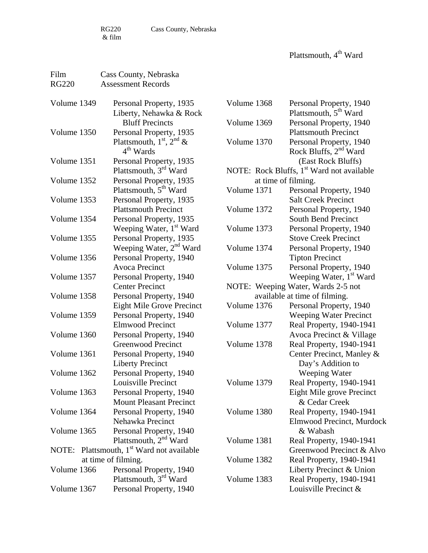RG220 Cass County, Nebraska  $\&$  film

Plattsmouth, 4<sup>th</sup> Ward

| Film<br><b>RG220</b> | Cass County, Nebraska<br><b>Assessment Records</b> |             |                                                              |
|----------------------|----------------------------------------------------|-------------|--------------------------------------------------------------|
| Volume 1349          | Personal Property, 1935                            | Volume 1368 | Personal Property, 1940                                      |
|                      | Liberty, Nehawka & Rock                            |             | Plattsmouth, 5 <sup>th</sup> Ward                            |
|                      | <b>Bluff Precincts</b>                             | Volume 1369 | Personal Property, 1940                                      |
| Volume 1350          | Personal Property, 1935                            |             | <b>Plattsmouth Precinct</b>                                  |
|                      | Plattsmouth, $1st$ , $2nd$ &<br>$4th$ Wards        | Volume 1370 | Personal Property, 1940<br>Rock Bluffs, 2 <sup>nd</sup> Ward |
| Volume 1351          | Personal Property, 1935                            |             | (East Rock Bluffs)                                           |
|                      | Plattsmouth, 3rd Ward                              |             | NOTE: Rock Bluffs, 1 <sup>st</sup> Ward not available        |
| Volume 1352          | Personal Property, 1935                            |             | at time of filming.                                          |
|                      | Plattsmouth, 5 <sup>th</sup> Ward                  | Volume 1371 | Personal Property, 1940                                      |
| Volume 1353          | Personal Property, 1935                            |             | <b>Salt Creek Precinct</b>                                   |
|                      | <b>Plattsmouth Precinct</b>                        | Volume 1372 | Personal Property, 1940                                      |
| Volume 1354          | Personal Property, 1935                            |             | South Bend Precinct                                          |
|                      | Weeping Water, 1 <sup>st</sup> Ward                | Volume 1373 | Personal Property, 1940                                      |
| Volume 1355          | Personal Property, 1935                            |             | <b>Stove Creek Precinct</b>                                  |
|                      | Weeping Water, 2 <sup>nd</sup> Ward                | Volume 1374 | Personal Property, 1940                                      |
| Volume 1356          | Personal Property, 1940                            |             | <b>Tipton Precinct</b>                                       |
|                      | <b>Avoca Precinct</b>                              | Volume 1375 | Personal Property, 1940                                      |
| Volume 1357          | Personal Property, 1940                            |             | Weeping Water, 1 <sup>st</sup> Ward                          |
|                      | <b>Center Precinct</b>                             |             | NOTE: Weeping Water, Wards 2-5 not                           |
| Volume 1358          | Personal Property, 1940                            |             | available at time of filming.                                |
|                      | <b>Eight Mile Grove Precinct</b>                   | Volume 1376 | Personal Property, 1940                                      |
| Volume 1359          | Personal Property, 1940                            |             | <b>Weeping Water Precinct</b>                                |
|                      | <b>Elmwood Precinct</b>                            | Volume 1377 | Real Property, 1940-1941                                     |
| Volume 1360          | Personal Property, 1940                            |             | Avoca Precinct & Village                                     |
|                      | <b>Greenwood Precinct</b>                          | Volume 1378 | Real Property, 1940-1941                                     |
| Volume 1361          | Personal Property, 1940                            |             | Center Precinct, Manley &                                    |
|                      | <b>Liberty Precinct</b>                            |             | Day's Addition to                                            |
| Volume 1362          | Personal Property, 1940                            |             | Weeping Water                                                |
|                      | Louisville Precinct                                | Volume 1379 | Real Property, 1940-1941                                     |
| Volume 1363          | Personal Property, 1940                            |             | Eight Mile grove Precinct                                    |
|                      | <b>Mount Pleasant Precinct</b>                     |             | & Cedar Creek                                                |
| Volume 1364          | Personal Property, 1940                            | Volume 1380 | Real Property, 1940-1941                                     |
|                      | Nehawka Precinct                                   |             | Elmwood Precinct, Murdock                                    |
| Volume 1365          | Personal Property, 1940                            |             | & Wabash                                                     |
|                      | Plattsmouth, 2 <sup>nd</sup> Ward                  | Volume 1381 | Real Property, 1940-1941                                     |
| NOTE:                | Plattsmouth, 1 <sup>st</sup> Ward not available    |             | Greenwood Precinct & Alvo                                    |
|                      | at time of filming.                                | Volume 1382 | Real Property, 1940-1941                                     |
| Volume 1366          | Personal Property, 1940                            |             | Liberty Precinct & Union                                     |
|                      | Plattsmouth, 3 <sup>rd</sup> Ward                  | Volume 1383 | Real Property, 1940-1941                                     |
| Volume 1367          | Personal Property, 1940                            |             | Louisville Precinct &                                        |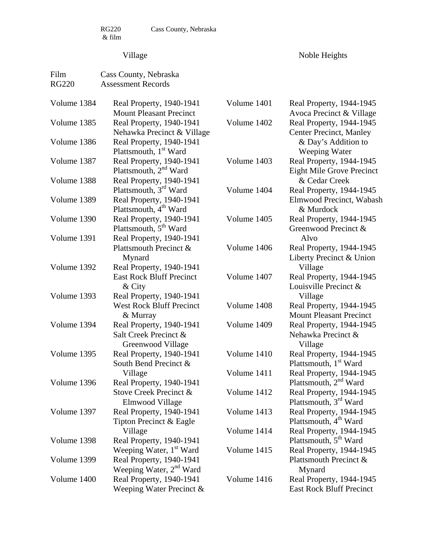RG220 Cass County, Nebraska

# Village

Noble Heights

| Film<br><b>RG220</b> | Cass County, Nebraska<br><b>Assessment Records</b>                     |                            |                                                                                           |
|----------------------|------------------------------------------------------------------------|----------------------------|-------------------------------------------------------------------------------------------|
| Volume 1384          | Real Property, 1940-1941<br><b>Mount Pleasant Precinct</b>             | Volume 1401                | Real Property, 1944-1945<br>Avoca Precinct & Village                                      |
| Volume 1385          | Real Property, 1940-1941<br>Nehawka Precinct & Village                 | Volume 1402                | Real Property, 1944-1945<br><b>Center Precinct, Manley</b>                                |
| Volume 1386          | Real Property, 1940-1941<br>Plattsmouth, 1 <sup>st</sup> Ward          |                            | & Day's Addition to<br>Weeping Water                                                      |
| Volume 1387          | Real Property, 1940-1941<br>Plattsmouth, 2 <sup>nd</sup> Ward          | Volume 1403                | Real Property, 1944-1945<br><b>Eight Mile Grove Precinct</b>                              |
| Volume 1388          | Real Property, 1940-1941<br>Plattsmouth, 3 <sup>rd</sup> Ward          | Volume 1404                | & Cedar Creek<br>Real Property, 1944-1945                                                 |
| Volume 1389          | Real Property, 1940-1941<br>Plattsmouth, 4 <sup>th</sup> Ward          |                            | Elmwood Precinct, Wabash<br>& Murdock                                                     |
| Volume 1390          | Real Property, 1940-1941<br>Plattsmouth, 5 <sup>th</sup> Ward          | Volume 1405                | Real Property, 1944-1945<br>Greenwood Precinct &                                          |
| Volume 1391          | Real Property, 1940-1941<br>Plattsmouth Precinct &<br>Mynard           | Volume 1406                | Alvo<br>Real Property, 1944-1945<br>Liberty Precinct & Union                              |
| Volume 1392          | Real Property, 1940-1941<br><b>East Rock Bluff Precinct</b>            | Volume 1407                | Village<br>Real Property, 1944-1945                                                       |
| Volume 1393          | $&$ City<br>Real Property, 1940-1941                                   |                            | Louisville Precinct &<br>Village                                                          |
|                      | <b>West Rock Bluff Precinct</b><br>& Murray                            | Volume 1408                | Real Property, 1944-1945<br><b>Mount Pleasant Precinct</b>                                |
| Volume 1394          | Real Property, 1940-1941<br>Salt Creek Precinct &<br>Greenwood Village | Volume 1409                | Real Property, 1944-1945<br>Nehawka Precinct &<br>Village                                 |
| Volume 1395          | Real Property, 1940-1941<br>South Bend Precinct &                      | Volume 1410<br>Volume 1411 | Real Property, 1944-1945<br>Plattsmouth, 1 <sup>st</sup> Ward<br>Real Property, 1944-1945 |
| Volume 1396          | Village<br>Real Property, 1940-1941<br>Stove Creek Precinct &          | Volume 1412                | Plattsmouth, 2 <sup>nd</sup> Ward<br>Real Property, 1944-1945                             |
| Volume 1397          | Elmwood Village<br>Real Property, 1940-1941                            | Volume 1413                | Plattsmouth, 3 <sup>rd</sup> Ward<br>Real Property, 1944-1945                             |
|                      | Tipton Precinct & Eagle<br>Village                                     | Volume 1414                | Plattsmouth, 4 <sup>th</sup> Ward<br>Real Property, 1944-1945                             |
| Volume 1398          | Real Property, 1940-1941<br>Weeping Water, 1 <sup>st</sup> Ward        | Volume 1415                | Plattsmouth, 5 <sup>th</sup> Ward<br>Real Property, 1944-1945                             |
| Volume 1399          | Real Property, 1940-1941<br>Weeping Water, $2nd$ Ward                  |                            | Plattsmouth Precinct &<br>Mynard                                                          |
| Volume 1400          | Real Property, 1940-1941<br>Weeping Water Precinct $&$                 | Volume 1416                | Real Property, 1944-1945<br><b>East Rock Bluff Precinct</b>                               |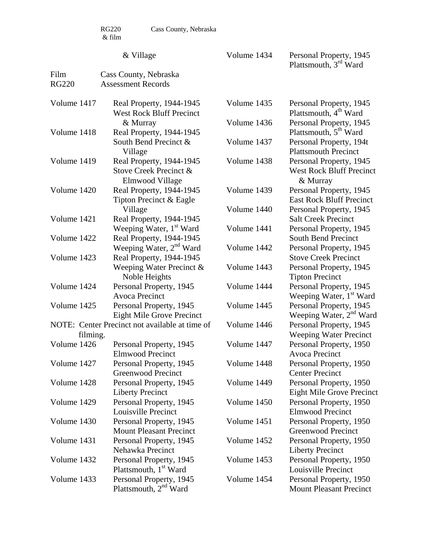RG220 Cass County, Nebraska

#### & Village

Volume 1434 Personal Property, 1945 Plattsmouth, 3<sup>rd</sup> Ward

| Film         | Cass County, Nebraska                                                 |             |                                                                        |
|--------------|-----------------------------------------------------------------------|-------------|------------------------------------------------------------------------|
| <b>RG220</b> | <b>Assessment Records</b>                                             |             |                                                                        |
| Volume 1417  | Real Property, 1944-1945<br><b>West Rock Bluff Precinct</b>           | Volume 1435 | Personal Property, 1945<br>Plattsmouth, 4 <sup>th</sup> Ward           |
| Volume 1418  | & Murray<br>Real Property, 1944-1945                                  | Volume 1436 | Personal Property, 1945<br>Plattsmouth, 5 <sup>th</sup> Ward           |
|              | South Bend Precinct &<br>Village                                      | Volume 1437 | Personal Property, 194t<br><b>Plattsmouth Precinct</b>                 |
| Volume 1419  | Real Property, 1944-1945<br>Stove Creek Precinct &<br>Elmwood Village | Volume 1438 | Personal Property, 1945<br><b>West Rock Bluff Precinct</b><br>& Murray |
| Volume 1420  | Real Property, 1944-1945<br>Tipton Precinct & Eagle                   | Volume 1439 | Personal Property, 1945<br><b>East Rock Bluff Precinct</b>             |
| Volume 1421  | Village<br>Real Property, 1944-1945                                   | Volume 1440 | Personal Property, 1945<br><b>Salt Creek Precinct</b>                  |
| Volume 1422  | Weeping Water, 1 <sup>st</sup> Ward<br>Real Property, 1944-1945       | Volume 1441 | Personal Property, 1945<br>South Bend Precinct                         |
| Volume 1423  | Weeping Water, 2 <sup>nd</sup> Ward<br>Real Property, 1944-1945       | Volume 1442 | Personal Property, 1945<br><b>Stove Creek Precinct</b>                 |
|              | Weeping Water Precinct $&$<br>Noble Heights                           | Volume 1443 | Personal Property, 1945<br><b>Tipton Precinct</b>                      |
| Volume 1424  | Personal Property, 1945<br><b>Avoca Precinct</b>                      | Volume 1444 | Personal Property, 1945<br>Weeping Water, 1 <sup>st</sup> Ward         |
| Volume 1425  | Personal Property, 1945<br><b>Eight Mile Grove Precinct</b>           | Volume 1445 | Personal Property, 1945<br>Weeping Water, 2 <sup>nd</sup> Ward         |
| filming.     | NOTE: Center Precinct not available at time of                        | Volume 1446 | Personal Property, 1945<br><b>Weeping Water Precinct</b>               |
| Volume 1426  | Personal Property, 1945<br><b>Elmwood Precinct</b>                    | Volume 1447 | Personal Property, 1950<br><b>Avoca Precinct</b>                       |
| Volume 1427  | Personal Property, 1945<br><b>Greenwood Precinct</b>                  | Volume 1448 | Personal Property, 1950<br><b>Center Precinct</b>                      |
| Volume 1428  | Personal Property, 1945<br><b>Liberty Precinct</b>                    | Volume 1449 | Personal Property, 1950<br><b>Eight Mile Grove Precinct</b>            |
| Volume 1429  | Personal Property, 1945<br>Louisville Precinct                        | Volume 1450 | Personal Property, 1950<br><b>Elmwood Precinct</b>                     |
| Volume 1430  | Personal Property, 1945<br><b>Mount Pleasant Precinct</b>             | Volume 1451 | Personal Property, 1950<br><b>Greenwood Precinct</b>                   |
| Volume 1431  | Personal Property, 1945<br>Nehawka Precinct                           | Volume 1452 | Personal Property, 1950<br><b>Liberty Precinct</b>                     |
| Volume 1432  | Personal Property, 1945<br>Plattsmouth, 1 <sup>st</sup> Ward          | Volume 1453 | Personal Property, 1950<br>Louisville Precinct                         |
| Volume 1433  | Personal Property, 1945<br>Plattsmouth, 2 <sup>nd</sup> Ward          | Volume 1454 | Personal Property, 1950<br><b>Mount Pleasant Precinct</b>              |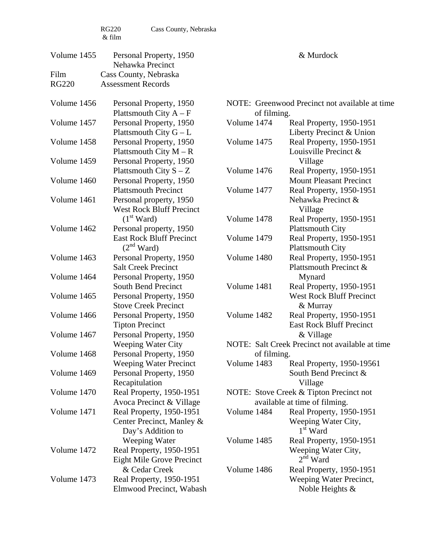| Volume 1455  | Personal Property, 1950<br>Nehawka Precinct               | & Murdock   |                                                             |  |
|--------------|-----------------------------------------------------------|-------------|-------------------------------------------------------------|--|
| Film         | Cass County, Nebraska                                     |             |                                                             |  |
| <b>RG220</b> | <b>Assessment Records</b>                                 |             |                                                             |  |
| Volume 1456  | Personal Property, 1950                                   |             | NOTE: Greenwood Precinct not available at time              |  |
|              | Plattsmouth City $A - F$                                  | of filming. |                                                             |  |
| Volume 1457  | Personal Property, 1950                                   | Volume 1474 | Real Property, 1950-1951                                    |  |
|              | Plattsmouth City $G - L$                                  |             | Liberty Precinct & Union                                    |  |
| Volume 1458  | Personal Property, 1950                                   | Volume 1475 | Real Property, 1950-1951                                    |  |
|              | Plattsmouth City $M - R$                                  |             | Louisville Precinct &                                       |  |
| Volume 1459  | Personal Property, 1950                                   |             | Village                                                     |  |
|              | Plattsmouth City $S - Z$                                  | Volume 1476 | Real Property, 1950-1951                                    |  |
| Volume 1460  | Personal Property, 1950                                   |             | <b>Mount Pleasant Precinct</b>                              |  |
|              | <b>Plattsmouth Precinct</b>                               | Volume 1477 | Real Property, 1950-1951                                    |  |
| Volume 1461  | Personal property, 1950                                   |             | Nehawka Precinct &                                          |  |
|              | <b>West Rock Bluff Precinct</b>                           |             | Village                                                     |  |
|              | (1 <sup>st</sup> Ward)                                    | Volume 1478 | Real Property, 1950-1951                                    |  |
| Volume 1462  | Personal property, 1950                                   |             | <b>Plattsmouth City</b>                                     |  |
|              | <b>East Rock Bluff Precinct</b><br>(2 <sup>nd</sup> Ward) | Volume 1479 | Real Property, 1950-1951                                    |  |
|              |                                                           |             | <b>Plattsmouth City</b>                                     |  |
| Volume 1463  | Personal Property, 1950<br><b>Salt Creek Precinct</b>     | Volume 1480 | Real Property, 1950-1951<br>Plattsmouth Precinct &          |  |
| Volume 1464  |                                                           |             |                                                             |  |
|              | Personal Property, 1950<br>South Bend Precinct            | Volume 1481 | Mynard                                                      |  |
| Volume 1465  | Personal Property, 1950                                   |             | Real Property, 1950-1951<br><b>West Rock Bluff Precinct</b> |  |
|              | <b>Stove Creek Precinct</b>                               |             | & Murray                                                    |  |
| Volume 1466  | Personal Property, 1950                                   | Volume 1482 | Real Property, 1950-1951                                    |  |
|              | <b>Tipton Precinct</b>                                    |             | <b>East Rock Bluff Precinct</b>                             |  |
| Volume 1467  | Personal Property, 1950                                   |             | & Village                                                   |  |
|              | <b>Weeping Water City</b>                                 |             | NOTE: Salt Creek Precinct not available at time             |  |
| Volume 1468  | Personal Property, 1950                                   | of filming. |                                                             |  |
|              | <b>Weeping Water Precinct</b>                             | Volume 1483 | Real Property, 1950-19561                                   |  |
| Volume 1469  | Personal Property, 1950                                   |             | South Bend Precinct &                                       |  |
|              | Recapitulation                                            |             | Village                                                     |  |
| Volume 1470  | Real Property, 1950-1951                                  |             | NOTE: Stove Creek & Tipton Precinct not                     |  |
|              | Avoca Precinct & Village                                  |             | available at time of filming.                               |  |
| Volume 1471  | Real Property, 1950-1951                                  | Volume 1484 | Real Property, 1950-1951                                    |  |
|              | Center Precinct, Manley &<br>Day's Addition to            |             | Weeping Water City,<br>$1st$ Ward                           |  |
|              | Weeping Water                                             | Volume 1485 | Real Property, 1950-1951                                    |  |
| Volume 1472  | Real Property, 1950-1951                                  |             | Weeping Water City,                                         |  |
|              | <b>Eight Mile Grove Precinct</b>                          |             | $2nd$ Ward                                                  |  |
|              | & Cedar Creek                                             | Volume 1486 | Real Property, 1950-1951                                    |  |
| Volume 1473  | Real Property, 1950-1951                                  |             | Weeping Water Precinct,                                     |  |
|              | Elmwood Precinct, Wabash                                  |             | Noble Heights $\&$                                          |  |
|              |                                                           |             |                                                             |  |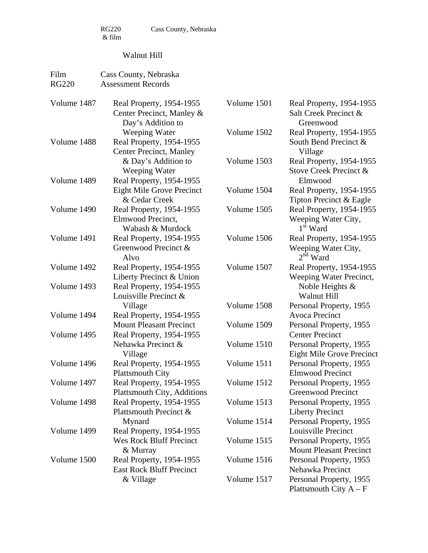# Walnut Hill

| Film<br><b>RG220</b> | Cass County, Nebraska<br><b>Assessment Records</b>                          |                            |                                                                           |
|----------------------|-----------------------------------------------------------------------------|----------------------------|---------------------------------------------------------------------------|
| Volume 1487          | Real Property, 1954-1955<br>Center Precinct, Manley &<br>Day's Addition to  | Volume 1501                | Real Property, 1954-1955<br>Salt Creek Precinct &<br>Greenwood            |
| Volume 1488          | Weeping Water<br>Real Property, 1954-1955<br><b>Center Precinct, Manley</b> | Volume 1502                | Real Property, 1954-1955<br>South Bend Precinct &<br>Village              |
| Volume 1489          | & Day's Addition to<br>Weeping Water<br>Real Property, 1954-1955            | Volume 1503                | Real Property, 1954-1955<br>Stove Creek Precinct &<br>Elmwood             |
|                      | Eight Mile Grove Precinct<br>& Cedar Creek                                  | Volume 1504                | Real Property, 1954-1955<br>Tipton Precinct & Eagle                       |
| Volume 1490          | Real Property, 1954-1955<br>Elmwood Precinct,<br>Wabash & Murdock           | Volume 1505                | Real Property, 1954-1955<br>Weeping Water City,<br>1 <sup>st</sup> Ward   |
| Volume 1491          | Real Property, 1954-1955<br>Greenwood Precinct &<br>Alvo                    | Volume 1506                | Real Property, 1954-1955<br>Weeping Water City,<br>$2nd$ Ward             |
| Volume 1492          | Real Property, 1954-1955<br>Liberty Precinct & Union                        | Volume 1507                | Real Property, 1954-1955<br>Weeping Water Precinct,                       |
| Volume 1493          | Real Property, 1954-1955<br>Louisville Precinct &                           |                            | Noble Heights &<br>Walnut Hill                                            |
| Volume 1494          | Village<br>Real Property, 1954-1955                                         | Volume 1508                | Personal Property, 1955<br><b>Avoca Precinct</b>                          |
| Volume 1495          | <b>Mount Pleasant Precinct</b><br>Real Property, 1954-1955                  | Volume 1509                | Personal Property, 1955<br><b>Center Precinct</b>                         |
|                      | Nehawka Precinct &<br>Village                                               | Volume 1510                | Personal Property, 1955<br><b>Eight Mile Grove Precinct</b>               |
| Volume 1496          | Real Property, 1954-1955<br><b>Plattsmouth City</b>                         | Volume 1511                | Personal Property, 1955<br><b>Elmwood Precinct</b>                        |
| Volume 1497          | Real Property, 1954-1955<br><b>Plattsmouth City, Additions</b>              | Volume 1512                | Personal Property, 1955<br>Greenwood Precinct                             |
| Volume 1498          | Real Property, 1954-1955<br>Plattsmouth Precinct &                          | Volume 1513                | Personal Property, 1955<br><b>Liberty Precinct</b>                        |
| Volume 1499          | Mynard<br>Real Property, 1954-1955<br><b>Wes Rock Bluff Precinct</b>        | Volume 1514<br>Volume 1515 | Personal Property, 1955<br>Louisville Precinct<br>Personal Property, 1955 |
| Volume 1500          | & Murray<br>Real Property, 1954-1955                                        | Volume 1516                | <b>Mount Pleasant Precinct</b><br>Personal Property, 1955                 |
|                      | <b>East Rock Bluff Precinct</b><br>& Village                                | Volume 1517                | Nehawka Precinct<br>Personal Property, 1955<br>Plattsmouth City $A - F$   |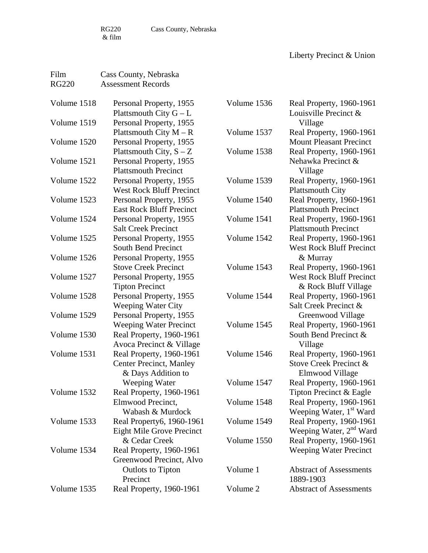RG220 Cass County, Nebraska  $\&$  film

Liberty Precinct & Union

| Film         | Cass County, Nebraska            |             |                                     |
|--------------|----------------------------------|-------------|-------------------------------------|
| <b>RG220</b> | <b>Assessment Records</b>        |             |                                     |
| Volume 1518  | Personal Property, 1955          | Volume 1536 | Real Property, 1960-1961            |
|              | Plattsmouth City $G - L$         |             | Louisville Precinct &               |
| Volume 1519  | Personal Property, 1955          |             | Village                             |
|              | Plattsmouth City $M - R$         | Volume 1537 | Real Property, 1960-1961            |
| Volume 1520  | Personal Property, 1955          |             | <b>Mount Pleasant Precinct</b>      |
|              | Plattsmouth City, $S - Z$        | Volume 1538 | Real Property, 1960-1961            |
| Volume 1521  | Personal Property, 1955          |             | Nehawka Precinct &                  |
|              | <b>Plattsmouth Precinct</b>      |             | Village                             |
| Volume 1522  | Personal Property, 1955          | Volume 1539 | Real Property, 1960-1961            |
|              | <b>West Rock Bluff Precinct</b>  |             | <b>Plattsmouth City</b>             |
| Volume 1523  | Personal Property, 1955          | Volume 1540 | Real Property, 1960-1961            |
|              | <b>East Rock Bluff Precinct</b>  |             | <b>Plattsmouth Precinct</b>         |
| Volume 1524  | Personal Property, 1955          | Volume 1541 | Real Property, 1960-1961            |
|              | <b>Salt Creek Precinct</b>       |             | <b>Plattsmouth Precinct</b>         |
| Volume 1525  | Personal Property, 1955          | Volume 1542 | Real Property, 1960-1961            |
|              | South Bend Precinct              |             | <b>West Rock Bluff Precinct</b>     |
| Volume 1526  | Personal Property, 1955          |             | & Murray                            |
|              | <b>Stove Creek Precinct</b>      | Volume 1543 | Real Property, 1960-1961            |
| Volume 1527  | Personal Property, 1955          |             | <b>West Rock Bluff Precinct</b>     |
|              | <b>Tipton Precinct</b>           |             | & Rock Bluff Village                |
| Volume 1528  | Personal Property, 1955          | Volume 1544 | Real Property, 1960-1961            |
|              | <b>Weeping Water City</b>        |             | Salt Creek Precinct &               |
| Volume 1529  | Personal Property, 1955          |             | Greenwood Village                   |
|              | <b>Weeping Water Precinct</b>    | Volume 1545 | Real Property, 1960-1961            |
| Volume 1530  | Real Property, 1960-1961         |             | South Bend Precinct &               |
|              | Avoca Precinct & Village         |             | Village                             |
| Volume 1531  | Real Property, 1960-1961         | Volume 1546 | Real Property, 1960-1961            |
|              | <b>Center Precinct, Manley</b>   |             | Stove Creek Precinct &              |
|              | & Days Addition to               |             | Elmwood Village                     |
|              | Weeping Water                    | Volume 1547 | Real Property, 1960-1961            |
| Volume 1532  | Real Property, 1960-1961         |             | Tipton Precinct & Eagle             |
|              | Elmwood Precinct,                | Volume 1548 | Real Property, 1960-1961            |
|              | Wabash & Murdock                 |             | Weeping Water, 1 <sup>st</sup> Ward |
| Volume 1533  | Real Property6, 1960-1961        | Volume 1549 | Real Property, 1960-1961            |
|              | <b>Eight Mile Grove Precinct</b> |             | Weeping Water, 2 <sup>nd</sup> Ward |
|              | & Cedar Creek                    | Volume 1550 | Real Property, 1960-1961            |
| Volume 1534  | Real Property, 1960-1961         |             | <b>Weeping Water Precinct</b>       |
|              | Greenwood Precinct, Alvo         |             |                                     |
|              | Outlots to Tipton                | Volume 1    | <b>Abstract of Assessments</b>      |
|              | Precinct                         |             | 1889-1903                           |
| Volume 1535  | Real Property, 1960-1961         | Volume 2    | <b>Abstract of Assessments</b>      |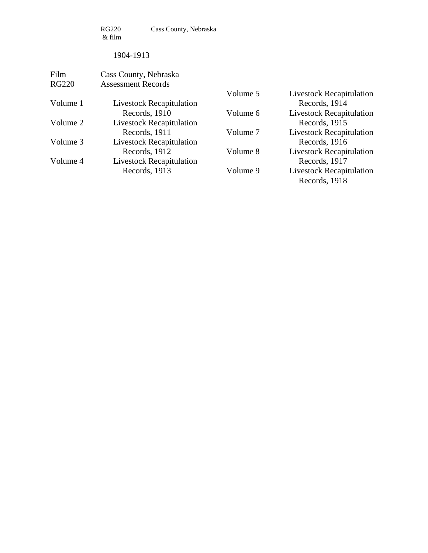RG220 Cass County, Nebraska  $\&$  film

#### 1904-1913

| Film         | Cass County, Nebraska           |          |                                 |
|--------------|---------------------------------|----------|---------------------------------|
| <b>RG220</b> | <b>Assessment Records</b>       |          |                                 |
|              |                                 | Volume 5 | Livestock Recapitulation        |
| Volume 1     | <b>Livestock Recapitulation</b> |          | Records, 1914                   |
|              | Records, 1910                   | Volume 6 | <b>Livestock Recapitulation</b> |
| Volume 2     | <b>Livestock Recapitulation</b> |          | Records, 1915                   |
|              | Records, 1911                   | Volume 7 | <b>Livestock Recapitulation</b> |
| Volume 3     | <b>Livestock Recapitulation</b> |          | Records, 1916                   |
|              | Records, 1912                   | Volume 8 | <b>Livestock Recapitulation</b> |
| Volume 4     | <b>Livestock Recapitulation</b> |          | Records, 1917                   |
|              | Records, 1913                   | Volume 9 | <b>Livestock Recapitulation</b> |
|              |                                 |          | Records, 1918                   |